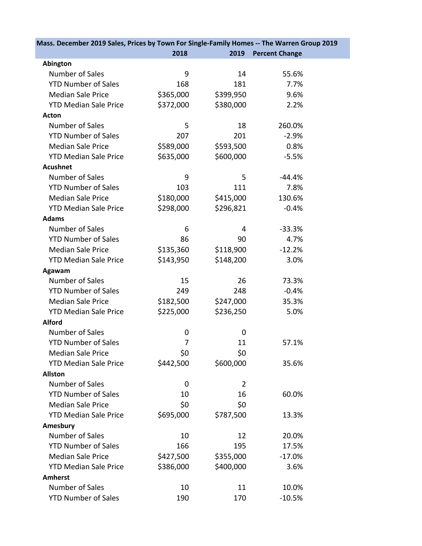| Mass. December 2019 Sales, Prices by Town For Single-Family Homes -- The Warren Group 2019 |           |           |                       |  |
|--------------------------------------------------------------------------------------------|-----------|-----------|-----------------------|--|
|                                                                                            | 2018      | 2019      | <b>Percent Change</b> |  |
| Abington                                                                                   |           |           |                       |  |
| Number of Sales                                                                            | 9         | 14        | 55.6%                 |  |
| <b>YTD Number of Sales</b>                                                                 | 168       | 181       | 7.7%                  |  |
| <b>Median Sale Price</b>                                                                   | \$365,000 | \$399,950 | 9.6%                  |  |
| <b>YTD Median Sale Price</b>                                                               | \$372,000 | \$380,000 | 2.2%                  |  |
| Acton                                                                                      |           |           |                       |  |
| Number of Sales                                                                            | 5         | 18        | 260.0%                |  |
| <b>YTD Number of Sales</b>                                                                 | 207       | 201       | $-2.9%$               |  |
| <b>Median Sale Price</b>                                                                   | \$589,000 | \$593,500 | 0.8%                  |  |
| <b>YTD Median Sale Price</b>                                                               | \$635,000 | \$600,000 | $-5.5%$               |  |
| <b>Acushnet</b>                                                                            |           |           |                       |  |
| Number of Sales                                                                            | 9         | 5         | $-44.4%$              |  |
| <b>YTD Number of Sales</b>                                                                 | 103       | 111       | 7.8%                  |  |
| <b>Median Sale Price</b>                                                                   | \$180,000 | \$415,000 | 130.6%                |  |
| <b>YTD Median Sale Price</b>                                                               | \$298,000 | \$296,821 | $-0.4%$               |  |
| <b>Adams</b>                                                                               |           |           |                       |  |
| Number of Sales                                                                            | 6         | 4         | $-33.3%$              |  |
| <b>YTD Number of Sales</b>                                                                 | 86        | 90        | 4.7%                  |  |
| <b>Median Sale Price</b>                                                                   | \$135,360 | \$118,900 | $-12.2%$              |  |
| <b>YTD Median Sale Price</b>                                                               | \$143,950 | \$148,200 | 3.0%                  |  |
| Agawam                                                                                     |           |           |                       |  |
| Number of Sales                                                                            | 15        | 26        | 73.3%                 |  |
| <b>YTD Number of Sales</b>                                                                 | 249       | 248       | $-0.4%$               |  |
| <b>Median Sale Price</b>                                                                   | \$182,500 | \$247,000 | 35.3%                 |  |
| <b>YTD Median Sale Price</b>                                                               | \$225,000 | \$236,250 | 5.0%                  |  |
| <b>Alford</b>                                                                              |           |           |                       |  |
| Number of Sales                                                                            | 0         | 0         |                       |  |
| <b>YTD Number of Sales</b>                                                                 | 7         | 11        | 57.1%                 |  |
| <b>Median Sale Price</b>                                                                   | \$0       | \$0       |                       |  |
| <b>YTD Median Sale Price</b>                                                               | \$442,500 | \$600,000 | 35.6%                 |  |
| <b>Allston</b>                                                                             |           |           |                       |  |
| Number of Sales                                                                            | 0         | 2         |                       |  |
| <b>YTD Number of Sales</b>                                                                 | 10        | 16        | 60.0%                 |  |
| <b>Median Sale Price</b>                                                                   | \$0       | \$0       |                       |  |
| <b>YTD Median Sale Price</b>                                                               | \$695,000 | \$787,500 | 13.3%                 |  |
| Amesbury                                                                                   |           |           |                       |  |
| Number of Sales                                                                            | 10        | 12        | 20.0%                 |  |
| <b>YTD Number of Sales</b>                                                                 | 166       | 195       | 17.5%                 |  |
| <b>Median Sale Price</b>                                                                   | \$427,500 | \$355,000 | $-17.0%$              |  |
| <b>YTD Median Sale Price</b>                                                               | \$386,000 | \$400,000 | 3.6%                  |  |
| <b>Amherst</b>                                                                             |           |           |                       |  |
| Number of Sales                                                                            | 10        | 11        | 10.0%                 |  |
| <b>YTD Number of Sales</b>                                                                 | 190       | 170       | $-10.5%$              |  |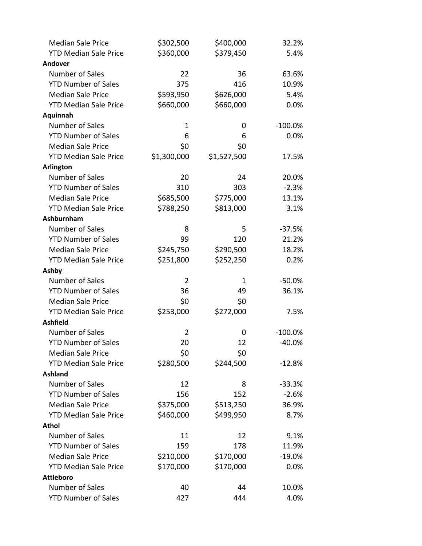| <b>Median Sale Price</b>     | \$302,500   | \$400,000   | 32.2%     |
|------------------------------|-------------|-------------|-----------|
| <b>YTD Median Sale Price</b> | \$360,000   | \$379,450   | 5.4%      |
| Andover                      |             |             |           |
| Number of Sales              | 22          | 36          | 63.6%     |
| <b>YTD Number of Sales</b>   | 375         | 416         | 10.9%     |
| <b>Median Sale Price</b>     | \$593,950   | \$626,000   | 5.4%      |
| <b>YTD Median Sale Price</b> | \$660,000   | \$660,000   | 0.0%      |
| Aquinnah                     |             |             |           |
| Number of Sales              | 1           | 0           | $-100.0%$ |
| <b>YTD Number of Sales</b>   | 6           | 6           | 0.0%      |
| <b>Median Sale Price</b>     | \$0         | \$0         |           |
| <b>YTD Median Sale Price</b> | \$1,300,000 | \$1,527,500 | 17.5%     |
| <b>Arlington</b>             |             |             |           |
| Number of Sales              | 20          | 24          | 20.0%     |
| <b>YTD Number of Sales</b>   | 310         | 303         | $-2.3%$   |
| <b>Median Sale Price</b>     | \$685,500   | \$775,000   | 13.1%     |
| <b>YTD Median Sale Price</b> | \$788,250   | \$813,000   | 3.1%      |
| <b>Ashburnham</b>            |             |             |           |
| Number of Sales              | 8           | 5           | $-37.5%$  |
| <b>YTD Number of Sales</b>   | 99          | 120         | 21.2%     |
| <b>Median Sale Price</b>     | \$245,750   | \$290,500   | 18.2%     |
| <b>YTD Median Sale Price</b> | \$251,800   | \$252,250   | 0.2%      |
| Ashby                        |             |             |           |
| Number of Sales              | 2           | 1           | $-50.0%$  |
| <b>YTD Number of Sales</b>   | 36          | 49          | 36.1%     |
| <b>Median Sale Price</b>     | \$0         | \$0         |           |
| <b>YTD Median Sale Price</b> | \$253,000   | \$272,000   | 7.5%      |
| <b>Ashfield</b>              |             |             |           |
| Number of Sales              | 2           | 0           | $-100.0%$ |
| <b>YTD Number of Sales</b>   | 20          | 12          | $-40.0%$  |
| <b>Median Sale Price</b>     | \$0         | \$0         |           |
| <b>YTD Median Sale Price</b> | \$280,500   | \$244,500   | $-12.8%$  |
| <b>Ashland</b>               |             |             |           |
| Number of Sales              | 12          | 8           | $-33.3%$  |
| <b>YTD Number of Sales</b>   | 156         | 152         | $-2.6%$   |
| <b>Median Sale Price</b>     | \$375,000   | \$513,250   | 36.9%     |
| <b>YTD Median Sale Price</b> | \$460,000   | \$499,950   | 8.7%      |
| <b>Athol</b>                 |             |             |           |
| Number of Sales              | 11          | 12          | 9.1%      |
| <b>YTD Number of Sales</b>   | 159         | 178         | 11.9%     |
| <b>Median Sale Price</b>     | \$210,000   | \$170,000   | $-19.0%$  |
| <b>YTD Median Sale Price</b> | \$170,000   | \$170,000   | 0.0%      |
| <b>Attleboro</b>             |             |             |           |
| Number of Sales              | 40          | 44          | 10.0%     |
| <b>YTD Number of Sales</b>   | 427         | 444         | 4.0%      |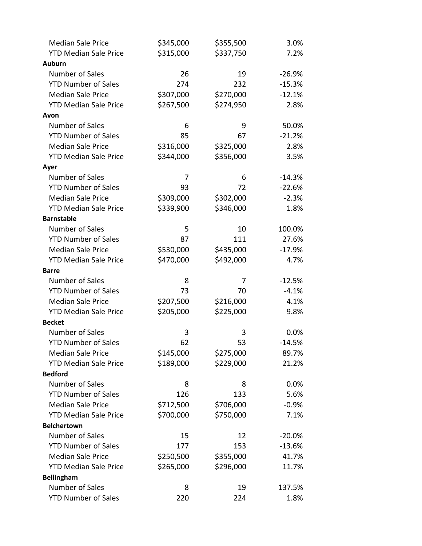| <b>Median Sale Price</b>     | \$345,000 | \$355,500 | 3.0%     |
|------------------------------|-----------|-----------|----------|
| <b>YTD Median Sale Price</b> | \$315,000 | \$337,750 | 7.2%     |
| <b>Auburn</b>                |           |           |          |
| Number of Sales              | 26        | 19        | $-26.9%$ |
| <b>YTD Number of Sales</b>   | 274       | 232       | $-15.3%$ |
| <b>Median Sale Price</b>     | \$307,000 | \$270,000 | $-12.1%$ |
| <b>YTD Median Sale Price</b> | \$267,500 | \$274,950 | 2.8%     |
| Avon                         |           |           |          |
| Number of Sales              | 6         | 9         | 50.0%    |
| <b>YTD Number of Sales</b>   | 85        | 67        | $-21.2%$ |
| <b>Median Sale Price</b>     | \$316,000 | \$325,000 | 2.8%     |
| <b>YTD Median Sale Price</b> | \$344,000 | \$356,000 | 3.5%     |
| Ayer                         |           |           |          |
| Number of Sales              | 7         | 6         | $-14.3%$ |
| <b>YTD Number of Sales</b>   | 93        | 72        | $-22.6%$ |
| <b>Median Sale Price</b>     | \$309,000 | \$302,000 | $-2.3%$  |
| <b>YTD Median Sale Price</b> | \$339,900 | \$346,000 | 1.8%     |
| <b>Barnstable</b>            |           |           |          |
| Number of Sales              | 5         | 10        | 100.0%   |
| <b>YTD Number of Sales</b>   | 87        | 111       | 27.6%    |
| <b>Median Sale Price</b>     | \$530,000 | \$435,000 | $-17.9%$ |
| <b>YTD Median Sale Price</b> | \$470,000 | \$492,000 | 4.7%     |
| <b>Barre</b>                 |           |           |          |
| Number of Sales              | 8         | 7         | $-12.5%$ |
| <b>YTD Number of Sales</b>   | 73        | 70        | $-4.1%$  |
| <b>Median Sale Price</b>     | \$207,500 | \$216,000 | 4.1%     |
| <b>YTD Median Sale Price</b> | \$205,000 | \$225,000 | 9.8%     |
| <b>Becket</b>                |           |           |          |
| Number of Sales              | 3         | 3         | 0.0%     |
| <b>YTD Number of Sales</b>   | 62        | 53        | $-14.5%$ |
| <b>Median Sale Price</b>     | \$145,000 | \$275,000 | 89.7%    |
| <b>YTD Median Sale Price</b> | \$189,000 | \$229,000 | 21.2%    |
| <b>Bedford</b>               |           |           |          |
| Number of Sales              | 8         | 8         | 0.0%     |
| <b>YTD Number of Sales</b>   | 126       | 133       | 5.6%     |
| <b>Median Sale Price</b>     | \$712,500 | \$706,000 | $-0.9%$  |
| <b>YTD Median Sale Price</b> | \$700,000 | \$750,000 | 7.1%     |
| <b>Belchertown</b>           |           |           |          |
| Number of Sales              | 15        | 12        | $-20.0%$ |
| <b>YTD Number of Sales</b>   | 177       | 153       | $-13.6%$ |
| <b>Median Sale Price</b>     | \$250,500 | \$355,000 | 41.7%    |
| <b>YTD Median Sale Price</b> | \$265,000 | \$296,000 | 11.7%    |
| <b>Bellingham</b>            |           |           |          |
| Number of Sales              | 8         | 19        | 137.5%   |
| <b>YTD Number of Sales</b>   | 220       | 224       | 1.8%     |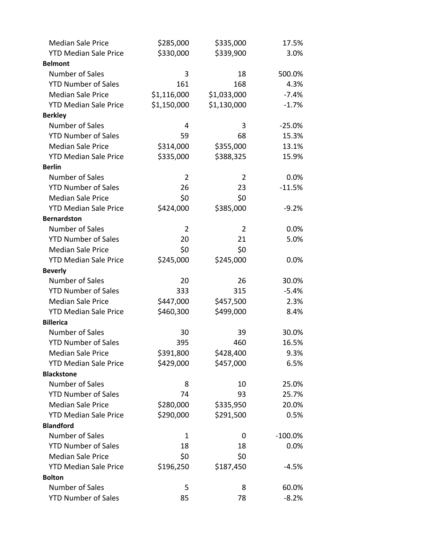| <b>Median Sale Price</b>     | \$285,000      | \$335,000      | 17.5%      |
|------------------------------|----------------|----------------|------------|
| <b>YTD Median Sale Price</b> | \$330,000      | \$339,900      | 3.0%       |
| <b>Belmont</b>               |                |                |            |
| Number of Sales              | 3              | 18             | 500.0%     |
| <b>YTD Number of Sales</b>   | 161            | 168            | 4.3%       |
| <b>Median Sale Price</b>     | \$1,116,000    | \$1,033,000    | $-7.4%$    |
| <b>YTD Median Sale Price</b> | \$1,150,000    | \$1,130,000    | $-1.7%$    |
| <b>Berkley</b>               |                |                |            |
| Number of Sales              | 4              | 3              | $-25.0%$   |
| <b>YTD Number of Sales</b>   | 59             | 68             | 15.3%      |
| <b>Median Sale Price</b>     | \$314,000      | \$355,000      | 13.1%      |
| <b>YTD Median Sale Price</b> | \$335,000      | \$388,325      | 15.9%      |
| <b>Berlin</b>                |                |                |            |
| Number of Sales              | $\overline{2}$ | 2              | 0.0%       |
| <b>YTD Number of Sales</b>   | 26             | 23             | $-11.5%$   |
| <b>Median Sale Price</b>     | \$0            | \$0            |            |
| <b>YTD Median Sale Price</b> | \$424,000      | \$385,000      | $-9.2%$    |
| <b>Bernardston</b>           |                |                |            |
| Number of Sales              | $\overline{2}$ | $\overline{2}$ | 0.0%       |
| <b>YTD Number of Sales</b>   | 20             | 21             | 5.0%       |
| <b>Median Sale Price</b>     | \$0            | \$0            |            |
| <b>YTD Median Sale Price</b> | \$245,000      | \$245,000      | 0.0%       |
| <b>Beverly</b>               |                |                |            |
| Number of Sales              | 20             | 26             | 30.0%      |
| <b>YTD Number of Sales</b>   | 333            | 315            | $-5.4%$    |
| <b>Median Sale Price</b>     | \$447,000      | \$457,500      | 2.3%       |
| <b>YTD Median Sale Price</b> | \$460,300      | \$499,000      | 8.4%       |
| <b>Billerica</b>             |                |                |            |
| Number of Sales              | 30             | 39             | 30.0%      |
| <b>YTD Number of Sales</b>   | 395            | 460            | 16.5%      |
| <b>Median Sale Price</b>     | \$391,800      | \$428,400      | 9.3%       |
| <b>YTD Median Sale Price</b> | \$429,000      | \$457,000      | 6.5%       |
| <b>Blackstone</b>            |                |                |            |
| Number of Sales              | 8              | 10             | 25.0%      |
| <b>YTD Number of Sales</b>   | 74             | 93             | 25.7%      |
| <b>Median Sale Price</b>     | \$280,000      | \$335,950      | 20.0%      |
| <b>YTD Median Sale Price</b> | \$290,000      | \$291,500      | 0.5%       |
| <b>Blandford</b>             |                |                |            |
| Number of Sales              | 1              | 0              | $-100.0\%$ |
| <b>YTD Number of Sales</b>   | 18             | 18             | 0.0%       |
| <b>Median Sale Price</b>     | \$0            | \$0            |            |
| <b>YTD Median Sale Price</b> | \$196,250      | \$187,450      | $-4.5%$    |
| <b>Bolton</b>                |                |                |            |
| Number of Sales              | 5              | 8              | 60.0%      |
| <b>YTD Number of Sales</b>   | 85             | 78             | $-8.2%$    |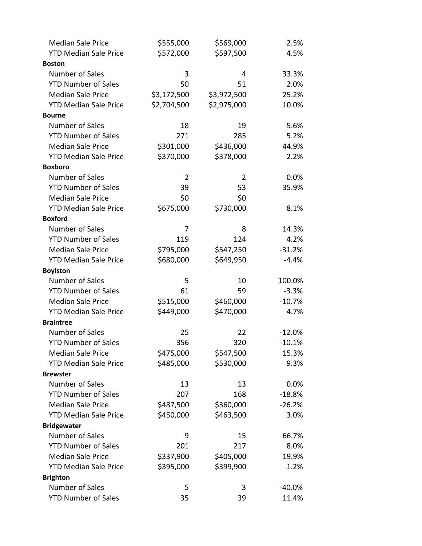| <b>Median Sale Price</b>     | \$555,000      | \$569,000   | 2.5%     |
|------------------------------|----------------|-------------|----------|
| <b>YTD Median Sale Price</b> | \$572,000      | \$597,500   | 4.5%     |
| <b>Boston</b>                |                |             |          |
| Number of Sales              | 3              | 4           | 33.3%    |
| <b>YTD Number of Sales</b>   | 50             | 51          | 2.0%     |
| <b>Median Sale Price</b>     | \$3,172,500    | \$3,972,500 | 25.2%    |
| <b>YTD Median Sale Price</b> | \$2,704,500    | \$2,975,000 | 10.0%    |
| <b>Bourne</b>                |                |             |          |
| Number of Sales              | 18             | 19          | 5.6%     |
| <b>YTD Number of Sales</b>   | 271            | 285         | 5.2%     |
| <b>Median Sale Price</b>     | \$301,000      | \$436,000   | 44.9%    |
| <b>YTD Median Sale Price</b> | \$370,000      | \$378,000   | 2.2%     |
| <b>Boxboro</b>               |                |             |          |
| Number of Sales              | $\overline{2}$ | 2           | 0.0%     |
| <b>YTD Number of Sales</b>   | 39             | 53          | 35.9%    |
| <b>Median Sale Price</b>     | \$0            | \$0         |          |
| <b>YTD Median Sale Price</b> | \$675,000      | \$730,000   | 8.1%     |
| <b>Boxford</b>               |                |             |          |
| Number of Sales              | 7              | 8           | 14.3%    |
| <b>YTD Number of Sales</b>   | 119            | 124         | 4.2%     |
| <b>Median Sale Price</b>     | \$795,000      | \$547,250   | $-31.2%$ |
| <b>YTD Median Sale Price</b> | \$680,000      | \$649,950   | $-4.4%$  |
| <b>Boylston</b>              |                |             |          |
| Number of Sales              | 5              | 10          | 100.0%   |
| <b>YTD Number of Sales</b>   | 61             | 59          | $-3.3%$  |
| <b>Median Sale Price</b>     | \$515,000      | \$460,000   | $-10.7%$ |
| <b>YTD Median Sale Price</b> | \$449,000      | \$470,000   | 4.7%     |
| <b>Braintree</b>             |                |             |          |
| Number of Sales              | 25             | 22          | $-12.0%$ |
| <b>YTD Number of Sales</b>   | 356            | 320         | $-10.1%$ |
| <b>Median Sale Price</b>     | \$475,000      | \$547,500   | 15.3%    |
| <b>YTD Median Sale Price</b> | \$485,000      | \$530,000   | 9.3%     |
| <b>Brewster</b>              |                |             |          |
| Number of Sales              | 13             | 13          | 0.0%     |
| <b>YTD Number of Sales</b>   | 207            | 168         | $-18.8%$ |
| <b>Median Sale Price</b>     | \$487,500      | \$360,000   | $-26.2%$ |
| <b>YTD Median Sale Price</b> | \$450,000      | \$463,500   | 3.0%     |
| <b>Bridgewater</b>           |                |             |          |
| Number of Sales              | 9              | 15          | 66.7%    |
| <b>YTD Number of Sales</b>   | 201            | 217         | 8.0%     |
| <b>Median Sale Price</b>     | \$337,900      | \$405,000   | 19.9%    |
| <b>YTD Median Sale Price</b> | \$395,000      | \$399,900   | 1.2%     |
| <b>Brighton</b>              |                |             |          |
| Number of Sales              | 5              | 3           | $-40.0%$ |
| <b>YTD Number of Sales</b>   | 35             | 39          | 11.4%    |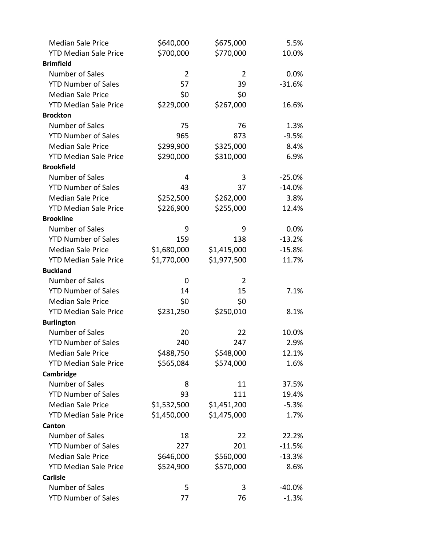| <b>Median Sale Price</b>     | \$640,000      | \$675,000      | 5.5%     |
|------------------------------|----------------|----------------|----------|
| <b>YTD Median Sale Price</b> | \$700,000      | \$770,000      | 10.0%    |
| <b>Brimfield</b>             |                |                |          |
| Number of Sales              | $\overline{2}$ | $\overline{2}$ | 0.0%     |
| <b>YTD Number of Sales</b>   | 57             | 39             | $-31.6%$ |
| <b>Median Sale Price</b>     | \$0            | \$0            |          |
| <b>YTD Median Sale Price</b> | \$229,000      | \$267,000      | 16.6%    |
| <b>Brockton</b>              |                |                |          |
| Number of Sales              | 75             | 76             | 1.3%     |
| <b>YTD Number of Sales</b>   | 965            | 873            | $-9.5%$  |
| <b>Median Sale Price</b>     | \$299,900      | \$325,000      | 8.4%     |
| <b>YTD Median Sale Price</b> | \$290,000      | \$310,000      | 6.9%     |
| <b>Brookfield</b>            |                |                |          |
| Number of Sales              | 4              | 3              | $-25.0%$ |
| <b>YTD Number of Sales</b>   | 43             | 37             | $-14.0%$ |
| <b>Median Sale Price</b>     | \$252,500      | \$262,000      | 3.8%     |
| <b>YTD Median Sale Price</b> | \$226,900      | \$255,000      | 12.4%    |
| <b>Brookline</b>             |                |                |          |
| Number of Sales              | 9              | 9              | 0.0%     |
| <b>YTD Number of Sales</b>   | 159            | 138            | $-13.2%$ |
| <b>Median Sale Price</b>     | \$1,680,000    | \$1,415,000    | $-15.8%$ |
| <b>YTD Median Sale Price</b> | \$1,770,000    | \$1,977,500    | 11.7%    |
| <b>Buckland</b>              |                |                |          |
| Number of Sales              | 0              | 2              |          |
| <b>YTD Number of Sales</b>   | 14             | 15             | 7.1%     |
| <b>Median Sale Price</b>     | \$0            | \$0            |          |
| <b>YTD Median Sale Price</b> | \$231,250      | \$250,010      | 8.1%     |
| <b>Burlington</b>            |                |                |          |
| Number of Sales              | 20             | 22             | 10.0%    |
| <b>YTD Number of Sales</b>   | 240            | 247            | 2.9%     |
| <b>Median Sale Price</b>     | \$488,750      | \$548,000      | 12.1%    |
| <b>YTD Median Sale Price</b> | \$565,084      | \$574,000      | 1.6%     |
| Cambridge                    |                |                |          |
| Number of Sales              | 8              | 11             | 37.5%    |
| <b>YTD Number of Sales</b>   | 93             | 111            | 19.4%    |
| <b>Median Sale Price</b>     | \$1,532,500    | \$1,451,200    | $-5.3%$  |
| <b>YTD Median Sale Price</b> | \$1,450,000    | \$1,475,000    | 1.7%     |
| Canton                       |                |                |          |
| Number of Sales              | 18             | 22             | 22.2%    |
| <b>YTD Number of Sales</b>   | 227            | 201            | $-11.5%$ |
| <b>Median Sale Price</b>     | \$646,000      | \$560,000      | $-13.3%$ |
| <b>YTD Median Sale Price</b> | \$524,900      | \$570,000      | 8.6%     |
| <b>Carlisle</b>              |                |                |          |
| Number of Sales              | 5              | 3              | $-40.0%$ |
| <b>YTD Number of Sales</b>   | 77             | 76             | $-1.3%$  |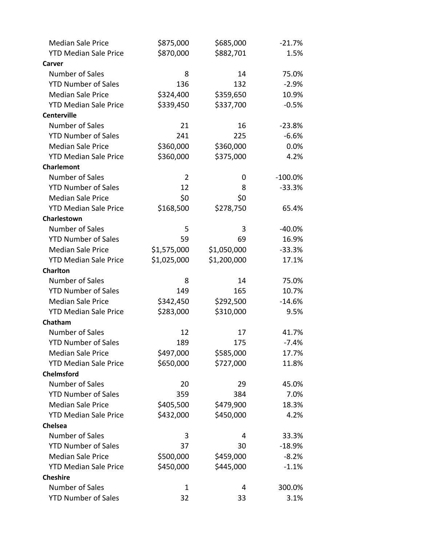| <b>Median Sale Price</b>     | \$875,000      | \$685,000   | $-21.7%$  |
|------------------------------|----------------|-------------|-----------|
| <b>YTD Median Sale Price</b> | \$870,000      | \$882,701   | 1.5%      |
| Carver                       |                |             |           |
| Number of Sales              | 8              | 14          | 75.0%     |
| <b>YTD Number of Sales</b>   | 136            | 132         | $-2.9%$   |
| <b>Median Sale Price</b>     | \$324,400      | \$359,650   | 10.9%     |
| <b>YTD Median Sale Price</b> | \$339,450      | \$337,700   | $-0.5%$   |
| <b>Centerville</b>           |                |             |           |
| Number of Sales              | 21             | 16          | $-23.8%$  |
| <b>YTD Number of Sales</b>   | 241            | 225         | $-6.6%$   |
| <b>Median Sale Price</b>     | \$360,000      | \$360,000   | 0.0%      |
| <b>YTD Median Sale Price</b> | \$360,000      | \$375,000   | 4.2%      |
| <b>Charlemont</b>            |                |             |           |
| Number of Sales              | $\overline{2}$ | 0           | $-100.0%$ |
| <b>YTD Number of Sales</b>   | 12             | 8           | $-33.3%$  |
| <b>Median Sale Price</b>     | \$0            | \$0         |           |
| <b>YTD Median Sale Price</b> | \$168,500      | \$278,750   | 65.4%     |
| Charlestown                  |                |             |           |
| Number of Sales              | 5              | 3           | $-40.0%$  |
| <b>YTD Number of Sales</b>   | 59             | 69          | 16.9%     |
| <b>Median Sale Price</b>     | \$1,575,000    | \$1,050,000 | $-33.3%$  |
| <b>YTD Median Sale Price</b> | \$1,025,000    | \$1,200,000 | 17.1%     |
| <b>Charlton</b>              |                |             |           |
| Number of Sales              | 8              | 14          | 75.0%     |
| <b>YTD Number of Sales</b>   | 149            | 165         | 10.7%     |
| <b>Median Sale Price</b>     | \$342,450      | \$292,500   | $-14.6%$  |
| <b>YTD Median Sale Price</b> | \$283,000      | \$310,000   | 9.5%      |
| Chatham                      |                |             |           |
| Number of Sales              | 12             | 17          | 41.7%     |
| <b>YTD Number of Sales</b>   | 189            | 175         | $-7.4%$   |
| <b>Median Sale Price</b>     | \$497,000      | \$585,000   | 17.7%     |
| <b>YTD Median Sale Price</b> | \$650,000      | \$727,000   | 11.8%     |
| <b>Chelmsford</b>            |                |             |           |
| Number of Sales              | 20             | 29          | 45.0%     |
| <b>YTD Number of Sales</b>   | 359            | 384         | 7.0%      |
| <b>Median Sale Price</b>     | \$405,500      | \$479,900   | 18.3%     |
| <b>YTD Median Sale Price</b> | \$432,000      | \$450,000   | 4.2%      |
| <b>Chelsea</b>               |                |             |           |
| Number of Sales              | 3              | 4           | 33.3%     |
| <b>YTD Number of Sales</b>   | 37             | 30          | $-18.9%$  |
| <b>Median Sale Price</b>     | \$500,000      | \$459,000   | $-8.2%$   |
| <b>YTD Median Sale Price</b> | \$450,000      | \$445,000   | $-1.1%$   |
| <b>Cheshire</b>              |                |             |           |
| Number of Sales              | $\mathbf 1$    | 4           | 300.0%    |
| <b>YTD Number of Sales</b>   | 32             | 33          | 3.1%      |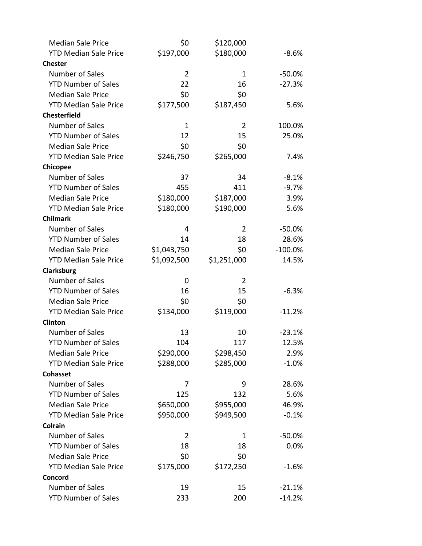| <b>Median Sale Price</b>     | \$0            | \$120,000      |            |
|------------------------------|----------------|----------------|------------|
| <b>YTD Median Sale Price</b> | \$197,000      | \$180,000      | $-8.6%$    |
| <b>Chester</b>               |                |                |            |
| Number of Sales              | $\overline{2}$ | $\mathbf{1}$   | $-50.0%$   |
| <b>YTD Number of Sales</b>   | 22             | 16             | $-27.3%$   |
| <b>Median Sale Price</b>     | \$0            | \$0            |            |
| <b>YTD Median Sale Price</b> | \$177,500      | \$187,450      | 5.6%       |
| <b>Chesterfield</b>          |                |                |            |
| Number of Sales              | $\mathbf{1}$   | $\overline{2}$ | 100.0%     |
| <b>YTD Number of Sales</b>   | 12             | 15             | 25.0%      |
| <b>Median Sale Price</b>     | \$0            | \$0            |            |
| <b>YTD Median Sale Price</b> | \$246,750      | \$265,000      | 7.4%       |
| Chicopee                     |                |                |            |
| Number of Sales              | 37             | 34             | $-8.1%$    |
| <b>YTD Number of Sales</b>   | 455            | 411            | $-9.7%$    |
| <b>Median Sale Price</b>     | \$180,000      | \$187,000      | 3.9%       |
| <b>YTD Median Sale Price</b> | \$180,000      | \$190,000      | 5.6%       |
| <b>Chilmark</b>              |                |                |            |
| Number of Sales              | 4              | $\overline{2}$ | $-50.0%$   |
| <b>YTD Number of Sales</b>   | 14             | 18             | 28.6%      |
| <b>Median Sale Price</b>     | \$1,043,750    | \$0            | $-100.0\%$ |
| <b>YTD Median Sale Price</b> | \$1,092,500    | \$1,251,000    | 14.5%      |
| Clarksburg                   |                |                |            |
| Number of Sales              | 0              | $\overline{2}$ |            |
| <b>YTD Number of Sales</b>   | 16             | 15             | $-6.3%$    |
| <b>Median Sale Price</b>     | \$0            | \$0            |            |
| <b>YTD Median Sale Price</b> | \$134,000      | \$119,000      | $-11.2%$   |
| Clinton                      |                |                |            |
| Number of Sales              | 13             | 10             | $-23.1%$   |
| <b>YTD Number of Sales</b>   | 104            | 117            | 12.5%      |
| <b>Median Sale Price</b>     | \$290,000      | \$298,450      | 2.9%       |
| <b>YTD Median Sale Price</b> | \$288,000      | \$285,000      | $-1.0%$    |
| <b>Cohasset</b>              |                |                |            |
| Number of Sales              | 7              | 9              | 28.6%      |
| <b>YTD Number of Sales</b>   | 125            | 132            | 5.6%       |
| <b>Median Sale Price</b>     | \$650,000      | \$955,000      | 46.9%      |
| <b>YTD Median Sale Price</b> | \$950,000      | \$949,500      | $-0.1%$    |
| <b>Colrain</b>               |                |                |            |
| Number of Sales              | 2              | 1              | $-50.0%$   |
| <b>YTD Number of Sales</b>   | 18             | 18             | 0.0%       |
| <b>Median Sale Price</b>     | \$0            | \$0            |            |
| <b>YTD Median Sale Price</b> | \$175,000      | \$172,250      | $-1.6%$    |
| Concord                      |                |                |            |
| Number of Sales              | 19             | 15             | $-21.1%$   |
| <b>YTD Number of Sales</b>   | 233            | 200            | $-14.2%$   |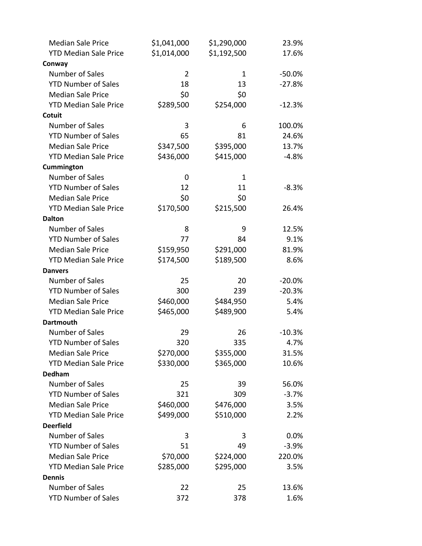| <b>Median Sale Price</b>     | \$1,041,000    | \$1,290,000 | 23.9%     |
|------------------------------|----------------|-------------|-----------|
| <b>YTD Median Sale Price</b> | \$1,014,000    | \$1,192,500 | 17.6%     |
| Conway                       |                |             |           |
| Number of Sales              | $\overline{2}$ | 1           | $-50.0\%$ |
| <b>YTD Number of Sales</b>   | 18             | 13          | $-27.8%$  |
| <b>Median Sale Price</b>     | \$0            | \$0         |           |
| <b>YTD Median Sale Price</b> | \$289,500      | \$254,000   | $-12.3%$  |
| Cotuit                       |                |             |           |
| Number of Sales              | 3              | 6           | 100.0%    |
| <b>YTD Number of Sales</b>   | 65             | 81          | 24.6%     |
| <b>Median Sale Price</b>     | \$347,500      | \$395,000   | 13.7%     |
| <b>YTD Median Sale Price</b> | \$436,000      | \$415,000   | $-4.8%$   |
| Cummington                   |                |             |           |
| Number of Sales              | 0              | 1           |           |
| <b>YTD Number of Sales</b>   | 12             | 11          | $-8.3%$   |
| <b>Median Sale Price</b>     | \$0            | \$0         |           |
| <b>YTD Median Sale Price</b> | \$170,500      | \$215,500   | 26.4%     |
| <b>Dalton</b>                |                |             |           |
| Number of Sales              | 8              | 9           | 12.5%     |
| <b>YTD Number of Sales</b>   | 77             | 84          | 9.1%      |
| <b>Median Sale Price</b>     | \$159,950      | \$291,000   | 81.9%     |
| <b>YTD Median Sale Price</b> | \$174,500      | \$189,500   | 8.6%      |
| <b>Danvers</b>               |                |             |           |
| Number of Sales              | 25             | 20          | $-20.0%$  |
| <b>YTD Number of Sales</b>   | 300            | 239         | $-20.3%$  |
| <b>Median Sale Price</b>     | \$460,000      | \$484,950   | 5.4%      |
| <b>YTD Median Sale Price</b> | \$465,000      | \$489,900   | 5.4%      |
| <b>Dartmouth</b>             |                |             |           |
| Number of Sales              | 29             | 26          | $-10.3%$  |
| <b>YTD Number of Sales</b>   | 320            | 335         | 4.7%      |
| <b>Median Sale Price</b>     | \$270,000      | \$355,000   | 31.5%     |
| <b>YTD Median Sale Price</b> | \$330,000      | \$365,000   | 10.6%     |
| <b>Dedham</b>                |                |             |           |
| Number of Sales              | 25             | 39          | 56.0%     |
| <b>YTD Number of Sales</b>   | 321            | 309         | $-3.7%$   |
| <b>Median Sale Price</b>     | \$460,000      | \$476,000   | 3.5%      |
| <b>YTD Median Sale Price</b> | \$499,000      | \$510,000   | 2.2%      |
| <b>Deerfield</b>             |                |             |           |
| Number of Sales              | 3              | 3           | $0.0\%$   |
| <b>YTD Number of Sales</b>   | 51             | 49          | $-3.9%$   |
| <b>Median Sale Price</b>     | \$70,000       | \$224,000   | 220.0%    |
| <b>YTD Median Sale Price</b> | \$285,000      | \$295,000   | 3.5%      |
| <b>Dennis</b>                |                |             |           |
| Number of Sales              | 22             | 25          | 13.6%     |
| <b>YTD Number of Sales</b>   | 372            | 378         | 1.6%      |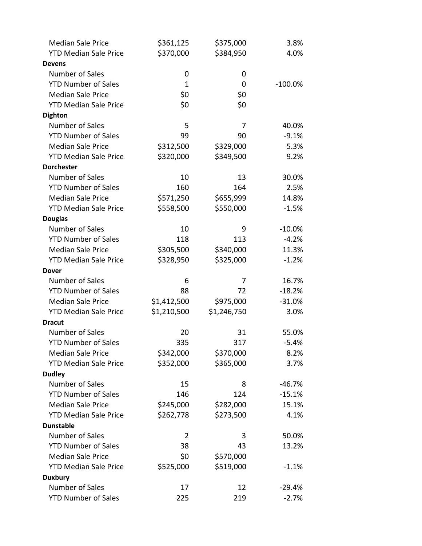| <b>Median Sale Price</b>                 | \$361,125   | \$375,000   | 3.8%      |
|------------------------------------------|-------------|-------------|-----------|
| <b>YTD Median Sale Price</b>             | \$370,000   | \$384,950   | 4.0%      |
| <b>Devens</b>                            |             |             |           |
| <b>Number of Sales</b>                   | 0           | 0           |           |
| <b>YTD Number of Sales</b>               | 1           | 0           | $-100.0%$ |
| <b>Median Sale Price</b>                 | \$0         | \$0         |           |
| <b>YTD Median Sale Price</b>             | \$0         | \$0         |           |
| <b>Dighton</b>                           |             |             |           |
| Number of Sales                          | 5           | 7           | 40.0%     |
| <b>YTD Number of Sales</b>               | 99          | 90          | $-9.1%$   |
| <b>Median Sale Price</b>                 | \$312,500   | \$329,000   | 5.3%      |
| <b>YTD Median Sale Price</b>             | \$320,000   | \$349,500   | 9.2%      |
| <b>Dorchester</b>                        |             |             |           |
| <b>Number of Sales</b>                   | 10          | 13          | 30.0%     |
| <b>YTD Number of Sales</b>               | 160         | 164         | 2.5%      |
| <b>Median Sale Price</b>                 | \$571,250   | \$655,999   | 14.8%     |
| <b>YTD Median Sale Price</b>             | \$558,500   | \$550,000   | $-1.5%$   |
| <b>Douglas</b>                           |             |             |           |
| <b>Number of Sales</b>                   | 10          | 9           | $-10.0%$  |
| <b>YTD Number of Sales</b>               | 118         | 113         | $-4.2%$   |
| <b>Median Sale Price</b>                 | \$305,500   | \$340,000   | 11.3%     |
| <b>YTD Median Sale Price</b>             | \$328,950   | \$325,000   | $-1.2%$   |
| <b>Dover</b>                             |             |             |           |
| Number of Sales                          | 6           | 7           | 16.7%     |
| <b>YTD Number of Sales</b>               | 88          | 72          | $-18.2%$  |
| <b>Median Sale Price</b>                 | \$1,412,500 | \$975,000   | $-31.0%$  |
| <b>YTD Median Sale Price</b>             | \$1,210,500 | \$1,246,750 | 3.0%      |
| <b>Dracut</b>                            |             |             |           |
| <b>Number of Sales</b>                   | 20          | 31          | 55.0%     |
| <b>YTD Number of Sales</b>               | 335         | 317         | $-5.4%$   |
| <b>Median Sale Price</b>                 | \$342,000   | \$370,000   | 8.2%      |
| <b>YTD Median Sale Price</b>             | \$352,000   | \$365,000   | 3.7%      |
| <b>Dudley</b>                            |             |             |           |
| <b>Number of Sales</b>                   | 15          | 8           | $-46.7%$  |
| <b>YTD Number of Sales</b>               | 146         | 124         | $-15.1%$  |
| <b>Median Sale Price</b>                 | \$245,000   | \$282,000   | 15.1%     |
| <b>YTD Median Sale Price</b>             | \$262,778   | \$273,500   | 4.1%      |
| <b>Dunstable</b>                         |             |             |           |
| <b>Number of Sales</b>                   | 2           | 3           | 50.0%     |
| <b>YTD Number of Sales</b>               | 38          | 43          | 13.2%     |
| <b>Median Sale Price</b>                 | \$0         | \$570,000   |           |
| <b>YTD Median Sale Price</b>             | \$525,000   | \$519,000   | $-1.1%$   |
| <b>Duxbury</b><br><b>Number of Sales</b> | 17          | 12          |           |
|                                          |             |             | $-29.4%$  |
| <b>YTD Number of Sales</b>               | 225         | 219         | $-2.7%$   |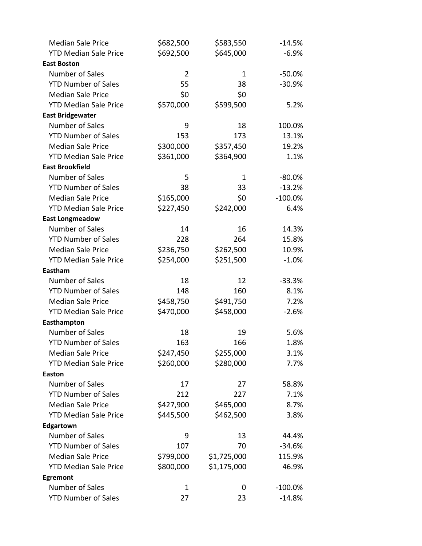| <b>Median Sale Price</b>     | \$682,500      | \$583,550   | $-14.5%$   |
|------------------------------|----------------|-------------|------------|
| <b>YTD Median Sale Price</b> | \$692,500      | \$645,000   | $-6.9%$    |
| <b>East Boston</b>           |                |             |            |
| Number of Sales              | $\overline{2}$ | 1           | $-50.0%$   |
| <b>YTD Number of Sales</b>   | 55             | 38          | $-30.9%$   |
| <b>Median Sale Price</b>     | \$0            | \$0         |            |
| <b>YTD Median Sale Price</b> | \$570,000      | \$599,500   | 5.2%       |
| <b>East Bridgewater</b>      |                |             |            |
| Number of Sales              | 9              | 18          | 100.0%     |
| <b>YTD Number of Sales</b>   | 153            | 173         | 13.1%      |
| <b>Median Sale Price</b>     | \$300,000      | \$357,450   | 19.2%      |
| <b>YTD Median Sale Price</b> | \$361,000      | \$364,900   | 1.1%       |
| <b>East Brookfield</b>       |                |             |            |
| Number of Sales              | 5              | 1           | $-80.0%$   |
| <b>YTD Number of Sales</b>   | 38             | 33          | $-13.2%$   |
| <b>Median Sale Price</b>     | \$165,000      | \$0         | $-100.0\%$ |
| <b>YTD Median Sale Price</b> | \$227,450      | \$242,000   | 6.4%       |
| <b>East Longmeadow</b>       |                |             |            |
| Number of Sales              | 14             | 16          | 14.3%      |
| <b>YTD Number of Sales</b>   | 228            | 264         | 15.8%      |
| <b>Median Sale Price</b>     | \$236,750      | \$262,500   | 10.9%      |
| <b>YTD Median Sale Price</b> | \$254,000      | \$251,500   | $-1.0%$    |
| Eastham                      |                |             |            |
| Number of Sales              | 18             | 12          | $-33.3%$   |
| <b>YTD Number of Sales</b>   | 148            | 160         | 8.1%       |
| <b>Median Sale Price</b>     | \$458,750      | \$491,750   | 7.2%       |
| <b>YTD Median Sale Price</b> | \$470,000      | \$458,000   | $-2.6%$    |
| Easthampton                  |                |             |            |
| Number of Sales              | 18             | 19          | 5.6%       |
| <b>YTD Number of Sales</b>   | 163            | 166         | 1.8%       |
| <b>Median Sale Price</b>     | \$247,450      | \$255,000   | 3.1%       |
| <b>YTD Median Sale Price</b> | \$260,000      | \$280,000   | 7.7%       |
| Easton                       |                |             |            |
| Number of Sales              | 17             | 27          | 58.8%      |
| <b>YTD Number of Sales</b>   | 212            | 227         | 7.1%       |
| <b>Median Sale Price</b>     | \$427,900      | \$465,000   | 8.7%       |
| <b>YTD Median Sale Price</b> | \$445,500      | \$462,500   | 3.8%       |
| Edgartown                    |                |             |            |
| Number of Sales              | 9              | 13          | 44.4%      |
| <b>YTD Number of Sales</b>   | 107            | 70          | $-34.6%$   |
| <b>Median Sale Price</b>     | \$799,000      | \$1,725,000 | 115.9%     |
| <b>YTD Median Sale Price</b> | \$800,000      | \$1,175,000 | 46.9%      |
| Egremont                     |                |             |            |
| Number of Sales              | $\mathbf{1}$   | 0           | $-100.0\%$ |
| <b>YTD Number of Sales</b>   | 27             | 23          | $-14.8%$   |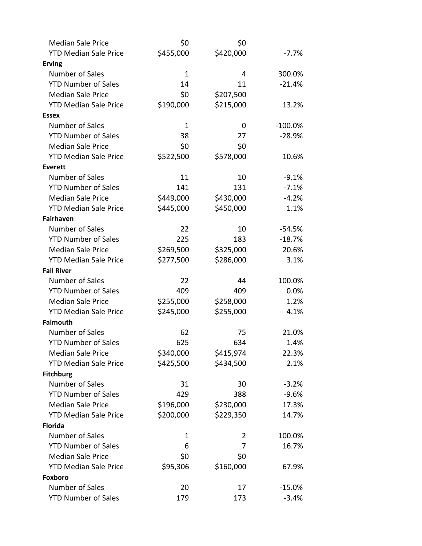| <b>Median Sale Price</b>          | \$0          | \$0       |            |
|-----------------------------------|--------------|-----------|------------|
| <b>YTD Median Sale Price</b>      | \$455,000    | \$420,000 | $-7.7\%$   |
| <b>Erving</b>                     |              |           |            |
| Number of Sales                   | $\mathbf{1}$ | 4         | 300.0%     |
| <b>YTD Number of Sales</b>        | 14           | 11        | $-21.4%$   |
| <b>Median Sale Price</b>          | \$0          | \$207,500 |            |
| <b>YTD Median Sale Price</b>      | \$190,000    | \$215,000 | 13.2%      |
| <b>Essex</b>                      |              |           |            |
| <b>Number of Sales</b>            | 1            | 0         | $-100.0\%$ |
| <b>YTD Number of Sales</b>        | 38           | 27        | $-28.9%$   |
| <b>Median Sale Price</b>          | \$0          | \$0       |            |
| <b>YTD Median Sale Price</b>      | \$522,500    | \$578,000 | 10.6%      |
| <b>Everett</b>                    |              |           |            |
| <b>Number of Sales</b>            | 11           | 10        | $-9.1%$    |
| <b>YTD Number of Sales</b>        | 141          | 131       | $-7.1%$    |
| <b>Median Sale Price</b>          | \$449,000    | \$430,000 | $-4.2%$    |
| <b>YTD Median Sale Price</b>      | \$445,000    | \$450,000 | 1.1%       |
| <b>Fairhaven</b>                  |              |           |            |
| <b>Number of Sales</b>            | 22           | 10        | $-54.5%$   |
| <b>YTD Number of Sales</b>        | 225          | 183       | $-18.7%$   |
| <b>Median Sale Price</b>          | \$269,500    | \$325,000 | 20.6%      |
| <b>YTD Median Sale Price</b>      | \$277,500    | \$286,000 | 3.1%       |
| <b>Fall River</b>                 |              |           |            |
| <b>Number of Sales</b>            | 22           | 44        | 100.0%     |
| <b>YTD Number of Sales</b>        | 409          | 409       | 0.0%       |
| <b>Median Sale Price</b>          | \$255,000    | \$258,000 | 1.2%       |
| <b>YTD Median Sale Price</b>      | \$245,000    | \$255,000 | 4.1%       |
| <b>Falmouth</b>                   |              |           |            |
| Number of Sales                   | 62           | 75        | 21.0%      |
| <b>YTD Number of Sales</b>        | 625          | 634       | 1.4%       |
| <b>Median Sale Price</b>          | \$340,000    | \$415,974 | 22.3%      |
| <b>YTD Median Sale Price</b>      | \$425,500    | \$434,500 | 2.1%       |
| <b>Fitchburg</b>                  |              |           |            |
| Number of Sales                   | 31           | 30        | $-3.2%$    |
| <b>YTD Number of Sales</b>        | 429          | 388       | $-9.6%$    |
| <b>Median Sale Price</b>          | \$196,000    | \$230,000 | 17.3%      |
| <b>YTD Median Sale Price</b>      | \$200,000    | \$229,350 | 14.7%      |
| <b>Florida</b>                    |              |           |            |
| Number of Sales                   | 1            | 2         | 100.0%     |
| <b>YTD Number of Sales</b>        | 6            | 7         | 16.7%      |
| <b>Median Sale Price</b>          | \$0          | \$0       |            |
| <b>YTD Median Sale Price</b>      | \$95,306     | \$160,000 | 67.9%      |
| Foxboro<br><b>Number of Sales</b> | 20           |           |            |
|                                   |              | 17        | $-15.0%$   |
| <b>YTD Number of Sales</b>        | 179          | 173       | $-3.4%$    |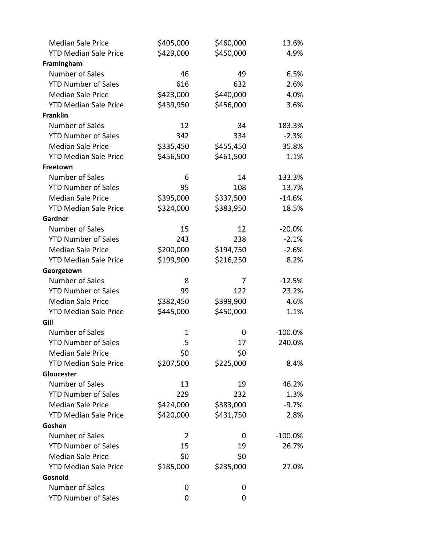| <b>Median Sale Price</b>     | \$405,000 | \$460,000 | 13.6%     |
|------------------------------|-----------|-----------|-----------|
| <b>YTD Median Sale Price</b> | \$429,000 | \$450,000 | 4.9%      |
| Framingham                   |           |           |           |
| Number of Sales              | 46        | 49        | 6.5%      |
| <b>YTD Number of Sales</b>   | 616       | 632       | 2.6%      |
| <b>Median Sale Price</b>     | \$423,000 | \$440,000 | 4.0%      |
| <b>YTD Median Sale Price</b> | \$439,950 | \$456,000 | 3.6%      |
| <b>Franklin</b>              |           |           |           |
| Number of Sales              | 12        | 34        | 183.3%    |
| <b>YTD Number of Sales</b>   | 342       | 334       | $-2.3%$   |
| <b>Median Sale Price</b>     | \$335,450 | \$455,450 | 35.8%     |
| <b>YTD Median Sale Price</b> | \$456,500 | \$461,500 | 1.1%      |
| Freetown                     |           |           |           |
| Number of Sales              | 6         | 14        | 133.3%    |
| <b>YTD Number of Sales</b>   | 95        | 108       | 13.7%     |
| <b>Median Sale Price</b>     | \$395,000 | \$337,500 | $-14.6%$  |
| <b>YTD Median Sale Price</b> | \$324,000 | \$383,950 | 18.5%     |
| Gardner                      |           |           |           |
| Number of Sales              | 15        | 12        | $-20.0%$  |
| <b>YTD Number of Sales</b>   | 243       | 238       | $-2.1%$   |
| <b>Median Sale Price</b>     | \$200,000 | \$194,750 | $-2.6%$   |
| <b>YTD Median Sale Price</b> | \$199,900 | \$216,250 | 8.2%      |
| Georgetown                   |           |           |           |
| Number of Sales              | 8         | 7         | $-12.5%$  |
| <b>YTD Number of Sales</b>   | 99        | 122       | 23.2%     |
| <b>Median Sale Price</b>     | \$382,450 | \$399,900 | 4.6%      |
| <b>YTD Median Sale Price</b> | \$445,000 | \$450,000 | 1.1%      |
| Gill                         |           |           |           |
| Number of Sales              | 1         | 0         | $-100.0%$ |
| <b>YTD Number of Sales</b>   | 5         | 17        | 240.0%    |
| <b>Median Sale Price</b>     | \$0       | \$0       |           |
| <b>YTD Median Sale Price</b> | \$207,500 | \$225,000 | 8.4%      |
| Gloucester                   |           |           |           |
| Number of Sales              | 13        | 19        | 46.2%     |
| <b>YTD Number of Sales</b>   | 229       | 232       | 1.3%      |
| <b>Median Sale Price</b>     | \$424,000 | \$383,000 | $-9.7%$   |
| <b>YTD Median Sale Price</b> | \$420,000 | \$431,750 | 2.8%      |
| Goshen                       |           |           |           |
| Number of Sales              | 2         | 0         | $-100.0%$ |
| <b>YTD Number of Sales</b>   | 15        | 19        | 26.7%     |
| <b>Median Sale Price</b>     | \$0       | \$0       |           |
| <b>YTD Median Sale Price</b> | \$185,000 | \$235,000 | 27.0%     |
| Gosnold<br>Number of Sales   |           |           |           |
|                              | 0         | 0         |           |
| <b>YTD Number of Sales</b>   | 0         | 0         |           |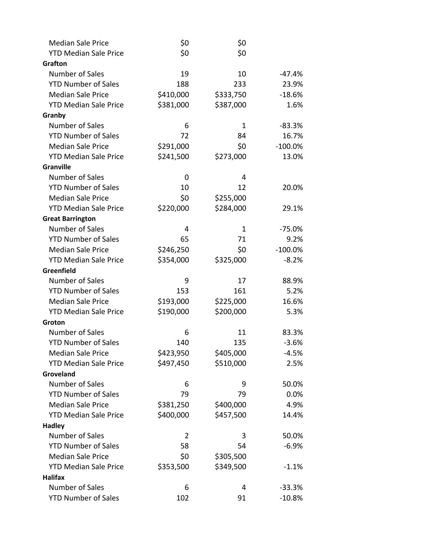| <b>Median Sale Price</b>     | \$0       | \$0       |            |
|------------------------------|-----------|-----------|------------|
| <b>YTD Median Sale Price</b> | \$0       | \$0       |            |
| <b>Grafton</b>               |           |           |            |
| Number of Sales              | 19        | 10        | $-47.4%$   |
| <b>YTD Number of Sales</b>   | 188       | 233       | 23.9%      |
| <b>Median Sale Price</b>     | \$410,000 | \$333,750 | $-18.6%$   |
| <b>YTD Median Sale Price</b> | \$381,000 | \$387,000 | 1.6%       |
| Granby                       |           |           |            |
| Number of Sales              | 6         | 1         | $-83.3%$   |
| <b>YTD Number of Sales</b>   | 72        | 84        | 16.7%      |
| <b>Median Sale Price</b>     | \$291,000 | \$0       | $-100.0\%$ |
| <b>YTD Median Sale Price</b> | \$241,500 | \$273,000 | 13.0%      |
| <b>Granville</b>             |           |           |            |
| Number of Sales              | 0         | 4         |            |
| <b>YTD Number of Sales</b>   | 10        | 12        | 20.0%      |
| <b>Median Sale Price</b>     | \$0       | \$255,000 |            |
| <b>YTD Median Sale Price</b> | \$220,000 | \$284,000 | 29.1%      |
| <b>Great Barrington</b>      |           |           |            |
| Number of Sales              | 4         | 1         | $-75.0%$   |
| <b>YTD Number of Sales</b>   | 65        | 71        | 9.2%       |
| <b>Median Sale Price</b>     | \$246,250 | \$0       | $-100.0\%$ |
| <b>YTD Median Sale Price</b> | \$354,000 | \$325,000 | $-8.2%$    |
| Greenfield                   |           |           |            |
| Number of Sales              | 9         | 17        | 88.9%      |
| <b>YTD Number of Sales</b>   | 153       | 161       | 5.2%       |
| <b>Median Sale Price</b>     | \$193,000 | \$225,000 | 16.6%      |
| <b>YTD Median Sale Price</b> | \$190,000 | \$200,000 | 5.3%       |
| Groton                       |           |           |            |
| Number of Sales              | 6         | 11        | 83.3%      |
| <b>YTD Number of Sales</b>   | 140       | 135       | $-3.6%$    |
| <b>Median Sale Price</b>     | \$423,950 | \$405,000 | $-4.5%$    |
| <b>YTD Median Sale Price</b> | \$497,450 | \$510,000 | 2.5%       |
| Groveland                    |           |           |            |
| Number of Sales              | 6         | 9         | 50.0%      |
| <b>YTD Number of Sales</b>   | 79        | 79        | 0.0%       |
| <b>Median Sale Price</b>     | \$381,250 | \$400,000 | 4.9%       |
| <b>YTD Median Sale Price</b> | \$400,000 | \$457,500 | 14.4%      |
| <b>Hadley</b>                |           |           |            |
| Number of Sales              | 2         | 3         | 50.0%      |
| <b>YTD Number of Sales</b>   | 58        | 54        | $-6.9%$    |
| <b>Median Sale Price</b>     | \$0       | \$305,500 |            |
| <b>YTD Median Sale Price</b> | \$353,500 | \$349,500 | $-1.1%$    |
| <b>Halifax</b>               |           |           |            |
| Number of Sales              | 6         | 4         | $-33.3%$   |
| <b>YTD Number of Sales</b>   | 102       | 91        | $-10.8%$   |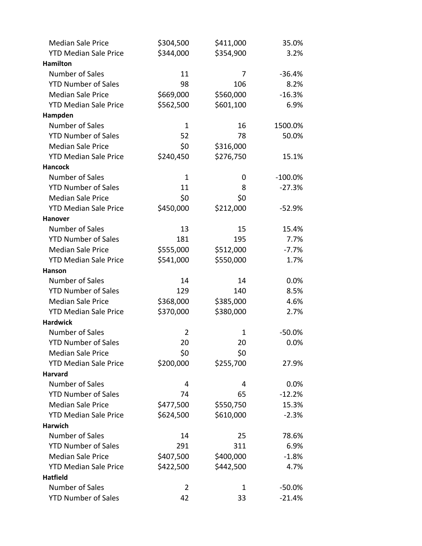| <b>Median Sale Price</b>     | \$304,500      | \$411,000 | 35.0%     |
|------------------------------|----------------|-----------|-----------|
| <b>YTD Median Sale Price</b> | \$344,000      | \$354,900 | 3.2%      |
| <b>Hamilton</b>              |                |           |           |
| Number of Sales              | 11             | 7         | $-36.4%$  |
| <b>YTD Number of Sales</b>   | 98             | 106       | 8.2%      |
| <b>Median Sale Price</b>     | \$669,000      | \$560,000 | $-16.3%$  |
| <b>YTD Median Sale Price</b> | \$562,500      | \$601,100 | 6.9%      |
| Hampden                      |                |           |           |
| Number of Sales              | 1              | 16        | 1500.0%   |
| <b>YTD Number of Sales</b>   | 52             | 78        | 50.0%     |
| <b>Median Sale Price</b>     | \$0            | \$316,000 |           |
| <b>YTD Median Sale Price</b> | \$240,450      | \$276,750 | 15.1%     |
| <b>Hancock</b>               |                |           |           |
| Number of Sales              | 1              | 0         | $-100.0%$ |
| <b>YTD Number of Sales</b>   | 11             | 8         | $-27.3%$  |
| <b>Median Sale Price</b>     | \$0            | \$0       |           |
| <b>YTD Median Sale Price</b> | \$450,000      | \$212,000 | $-52.9%$  |
| <b>Hanover</b>               |                |           |           |
| Number of Sales              | 13             | 15        | 15.4%     |
| <b>YTD Number of Sales</b>   | 181            | 195       | 7.7%      |
| <b>Median Sale Price</b>     | \$555,000      | \$512,000 | $-7.7%$   |
| <b>YTD Median Sale Price</b> | \$541,000      | \$550,000 | 1.7%      |
| Hanson                       |                |           |           |
| Number of Sales              | 14             | 14        | 0.0%      |
| <b>YTD Number of Sales</b>   | 129            | 140       | 8.5%      |
| <b>Median Sale Price</b>     | \$368,000      | \$385,000 | 4.6%      |
| <b>YTD Median Sale Price</b> | \$370,000      | \$380,000 | 2.7%      |
| <b>Hardwick</b>              |                |           |           |
| Number of Sales              | 2              | 1         | $-50.0%$  |
| <b>YTD Number of Sales</b>   | 20             | 20        | 0.0%      |
| <b>Median Sale Price</b>     | \$0            | \$0       |           |
| <b>YTD Median Sale Price</b> | \$200,000      | \$255,700 | 27.9%     |
| <b>Harvard</b>               |                |           |           |
| Number of Sales              | 4              | 4         | 0.0%      |
| <b>YTD Number of Sales</b>   | 74             | 65        | $-12.2%$  |
| <b>Median Sale Price</b>     | \$477,500      | \$550,750 | 15.3%     |
| <b>YTD Median Sale Price</b> | \$624,500      | \$610,000 | $-2.3%$   |
| <b>Harwich</b>               |                |           |           |
| Number of Sales              | 14             | 25        | 78.6%     |
| <b>YTD Number of Sales</b>   | 291            | 311       | 6.9%      |
| <b>Median Sale Price</b>     | \$407,500      | \$400,000 | $-1.8%$   |
| <b>YTD Median Sale Price</b> | \$422,500      | \$442,500 | 4.7%      |
| <b>Hatfield</b>              |                |           |           |
| Number of Sales              | $\overline{2}$ | 1         | $-50.0%$  |
| <b>YTD Number of Sales</b>   | 42             | 33        | $-21.4%$  |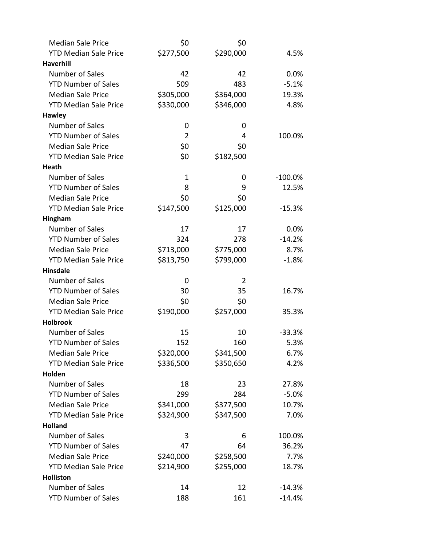| <b>Median Sale Price</b>     | \$0            | \$0            |            |
|------------------------------|----------------|----------------|------------|
| <b>YTD Median Sale Price</b> | \$277,500      | \$290,000      | 4.5%       |
| <b>Haverhill</b>             |                |                |            |
| <b>Number of Sales</b>       | 42             | 42             | 0.0%       |
| <b>YTD Number of Sales</b>   | 509            | 483            | $-5.1%$    |
| <b>Median Sale Price</b>     | \$305,000      | \$364,000      | 19.3%      |
| <b>YTD Median Sale Price</b> | \$330,000      | \$346,000      | 4.8%       |
| <b>Hawley</b>                |                |                |            |
| Number of Sales              | 0              | 0              |            |
| <b>YTD Number of Sales</b>   | $\overline{2}$ | 4              | 100.0%     |
| <b>Median Sale Price</b>     | \$0            | \$0            |            |
| <b>YTD Median Sale Price</b> | \$0            | \$182,500      |            |
| Heath                        |                |                |            |
| Number of Sales              | $\mathbf 1$    | 0              | $-100.0\%$ |
| <b>YTD Number of Sales</b>   | 8              | 9              | 12.5%      |
| <b>Median Sale Price</b>     | \$0            | \$0            |            |
| <b>YTD Median Sale Price</b> | \$147,500      | \$125,000      | $-15.3%$   |
| Hingham                      |                |                |            |
| <b>Number of Sales</b>       | 17             | 17             | 0.0%       |
| <b>YTD Number of Sales</b>   | 324            | 278            | $-14.2%$   |
| <b>Median Sale Price</b>     | \$713,000      | \$775,000      | 8.7%       |
| <b>YTD Median Sale Price</b> | \$813,750      | \$799,000      | $-1.8%$    |
| <b>Hinsdale</b>              |                |                |            |
| <b>Number of Sales</b>       | 0              | $\overline{2}$ |            |
| <b>YTD Number of Sales</b>   | 30             | 35             | 16.7%      |
| <b>Median Sale Price</b>     | \$0            | \$0            |            |
| <b>YTD Median Sale Price</b> | \$190,000      | \$257,000      | 35.3%      |
| <b>Holbrook</b>              |                |                |            |
| <b>Number of Sales</b>       | 15             | 10             | $-33.3%$   |
| <b>YTD Number of Sales</b>   | 152            | 160            | 5.3%       |
| <b>Median Sale Price</b>     | \$320,000      | \$341,500      | 6.7%       |
| <b>YTD Median Sale Price</b> | \$336,500      | \$350,650      | 4.2%       |
| Holden                       |                |                |            |
| <b>Number of Sales</b>       | 18             | 23             | 27.8%      |
| <b>YTD Number of Sales</b>   | 299            | 284            | $-5.0%$    |
| <b>Median Sale Price</b>     | \$341,000      | \$377,500      | 10.7%      |
| <b>YTD Median Sale Price</b> | \$324,900      | \$347,500      | 7.0%       |
| <b>Holland</b>               |                |                |            |
| Number of Sales              | 3              | 6              | 100.0%     |
| <b>YTD Number of Sales</b>   | 47             | 64             | 36.2%      |
| <b>Median Sale Price</b>     | \$240,000      | \$258,500      | 7.7%       |
| <b>YTD Median Sale Price</b> | \$214,900      | \$255,000      | 18.7%      |
| <b>Holliston</b>             |                |                |            |
| <b>Number of Sales</b>       | 14             | 12             | $-14.3%$   |
| <b>YTD Number of Sales</b>   | 188            | 161            | $-14.4%$   |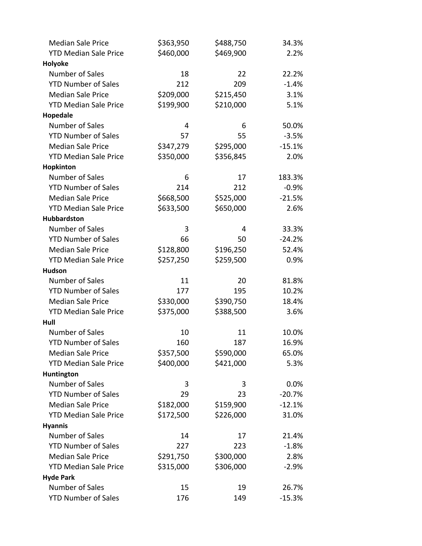| <b>Median Sale Price</b>     | \$363,950 | \$488,750 | 34.3%    |
|------------------------------|-----------|-----------|----------|
| <b>YTD Median Sale Price</b> | \$460,000 | \$469,900 | 2.2%     |
| Holyoke                      |           |           |          |
| Number of Sales              | 18        | 22        | 22.2%    |
| <b>YTD Number of Sales</b>   | 212       | 209       | $-1.4%$  |
| <b>Median Sale Price</b>     | \$209,000 | \$215,450 | 3.1%     |
| <b>YTD Median Sale Price</b> | \$199,900 | \$210,000 | 5.1%     |
| Hopedale                     |           |           |          |
| <b>Number of Sales</b>       | 4         | 6         | 50.0%    |
| <b>YTD Number of Sales</b>   | 57        | 55        | $-3.5%$  |
| <b>Median Sale Price</b>     | \$347,279 | \$295,000 | $-15.1%$ |
| <b>YTD Median Sale Price</b> | \$350,000 | \$356,845 | 2.0%     |
| Hopkinton                    |           |           |          |
| Number of Sales              | 6         | 17        | 183.3%   |
| <b>YTD Number of Sales</b>   | 214       | 212       | $-0.9%$  |
| <b>Median Sale Price</b>     | \$668,500 | \$525,000 | $-21.5%$ |
| <b>YTD Median Sale Price</b> | \$633,500 | \$650,000 | 2.6%     |
| Hubbardston                  |           |           |          |
| <b>Number of Sales</b>       | 3         | 4         | 33.3%    |
| <b>YTD Number of Sales</b>   | 66        | 50        | $-24.2%$ |
| <b>Median Sale Price</b>     | \$128,800 | \$196,250 | 52.4%    |
| <b>YTD Median Sale Price</b> | \$257,250 | \$259,500 | 0.9%     |
| <b>Hudson</b>                |           |           |          |
| Number of Sales              | 11        | 20        | 81.8%    |
| <b>YTD Number of Sales</b>   | 177       | 195       | 10.2%    |
| <b>Median Sale Price</b>     | \$330,000 | \$390,750 | 18.4%    |
| <b>YTD Median Sale Price</b> | \$375,000 | \$388,500 | 3.6%     |
| Hull                         |           |           |          |
| <b>Number of Sales</b>       | 10        | 11        | 10.0%    |
| <b>YTD Number of Sales</b>   | 160       | 187       | 16.9%    |
| <b>Median Sale Price</b>     | \$357,500 | \$590,000 | 65.0%    |
| <b>YTD Median Sale Price</b> | \$400,000 | \$421,000 | 5.3%     |
| Huntington                   |           |           |          |
| Number of Sales              | 3         | 3         | 0.0%     |
| <b>YTD Number of Sales</b>   | 29        | 23        | $-20.7%$ |
| <b>Median Sale Price</b>     | \$182,000 | \$159,900 | $-12.1%$ |
| <b>YTD Median Sale Price</b> | \$172,500 | \$226,000 | 31.0%    |
| <b>Hyannis</b>               |           |           |          |
| <b>Number of Sales</b>       | 14        | 17        | 21.4%    |
| <b>YTD Number of Sales</b>   | 227       | 223       | $-1.8%$  |
| <b>Median Sale Price</b>     | \$291,750 | \$300,000 | 2.8%     |
| <b>YTD Median Sale Price</b> | \$315,000 | \$306,000 | $-2.9%$  |
| <b>Hyde Park</b>             |           |           |          |
| Number of Sales              | 15        | 19        | 26.7%    |
| <b>YTD Number of Sales</b>   | 176       | 149       | $-15.3%$ |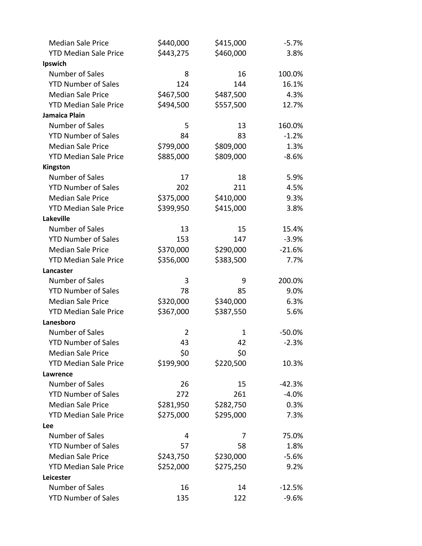| <b>Median Sale Price</b>     | \$440,000 | \$415,000 | $-5.7%$  |
|------------------------------|-----------|-----------|----------|
| <b>YTD Median Sale Price</b> | \$443,275 | \$460,000 | 3.8%     |
| Ipswich                      |           |           |          |
| Number of Sales              | 8         | 16        | 100.0%   |
| <b>YTD Number of Sales</b>   | 124       | 144       | 16.1%    |
| <b>Median Sale Price</b>     | \$467,500 | \$487,500 | 4.3%     |
| <b>YTD Median Sale Price</b> | \$494,500 | \$557,500 | 12.7%    |
| Jamaica Plain                |           |           |          |
| Number of Sales              | 5         | 13        | 160.0%   |
| <b>YTD Number of Sales</b>   | 84        | 83        | $-1.2%$  |
| <b>Median Sale Price</b>     | \$799,000 | \$809,000 | 1.3%     |
| <b>YTD Median Sale Price</b> | \$885,000 | \$809,000 | $-8.6%$  |
| Kingston                     |           |           |          |
| Number of Sales              | 17        | 18        | 5.9%     |
| <b>YTD Number of Sales</b>   | 202       | 211       | 4.5%     |
| <b>Median Sale Price</b>     | \$375,000 | \$410,000 | 9.3%     |
| <b>YTD Median Sale Price</b> | \$399,950 | \$415,000 | 3.8%     |
| Lakeville                    |           |           |          |
| Number of Sales              | 13        | 15        | 15.4%    |
| <b>YTD Number of Sales</b>   | 153       | 147       | $-3.9%$  |
| <b>Median Sale Price</b>     | \$370,000 | \$290,000 | $-21.6%$ |
| <b>YTD Median Sale Price</b> | \$356,000 | \$383,500 | 7.7%     |
| Lancaster                    |           |           |          |
| Number of Sales              | 3         | 9         | 200.0%   |
| <b>YTD Number of Sales</b>   | 78        | 85        | 9.0%     |
| <b>Median Sale Price</b>     | \$320,000 | \$340,000 | 6.3%     |
| <b>YTD Median Sale Price</b> | \$367,000 | \$387,550 | 5.6%     |
| Lanesboro                    |           |           |          |
| Number of Sales              | 2         | 1         | $-50.0%$ |
| <b>YTD Number of Sales</b>   | 43        | 42        | $-2.3%$  |
| <b>Median Sale Price</b>     | \$0       | \$0       |          |
| <b>YTD Median Sale Price</b> | \$199,900 | \$220,500 | 10.3%    |
| Lawrence                     |           |           |          |
| Number of Sales              | 26        | 15        | $-42.3%$ |
| <b>YTD Number of Sales</b>   | 272       | 261       | $-4.0%$  |
| <b>Median Sale Price</b>     | \$281,950 | \$282,750 | 0.3%     |
| <b>YTD Median Sale Price</b> | \$275,000 | \$295,000 | 7.3%     |
| Lee                          |           |           |          |
| Number of Sales              | 4         | 7         | 75.0%    |
| <b>YTD Number of Sales</b>   | 57        | 58        | 1.8%     |
| <b>Median Sale Price</b>     | \$243,750 | \$230,000 | $-5.6%$  |
| <b>YTD Median Sale Price</b> | \$252,000 | \$275,250 | 9.2%     |
| Leicester                    |           |           |          |
| Number of Sales              | 16        | 14        | $-12.5%$ |
| <b>YTD Number of Sales</b>   | 135       | 122       | $-9.6%$  |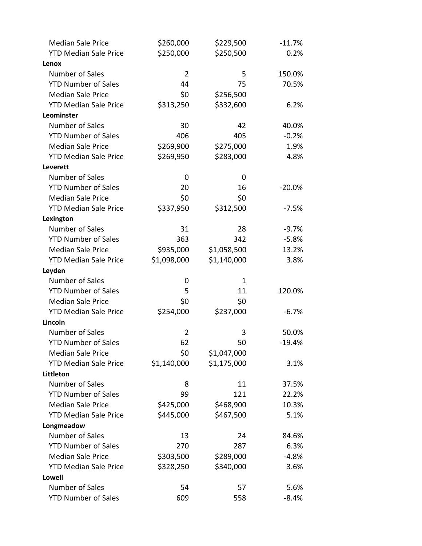| <b>Median Sale Price</b>     | \$260,000      | \$229,500   | $-11.7%$ |
|------------------------------|----------------|-------------|----------|
| <b>YTD Median Sale Price</b> | \$250,000      | \$250,500   | 0.2%     |
| Lenox                        |                |             |          |
| Number of Sales              | $\overline{2}$ | 5           | 150.0%   |
| <b>YTD Number of Sales</b>   | 44             | 75          | 70.5%    |
| <b>Median Sale Price</b>     | \$0            | \$256,500   |          |
| <b>YTD Median Sale Price</b> | \$313,250      | \$332,600   | 6.2%     |
| Leominster                   |                |             |          |
| <b>Number of Sales</b>       | 30             | 42          | 40.0%    |
| <b>YTD Number of Sales</b>   | 406            | 405         | $-0.2%$  |
| <b>Median Sale Price</b>     | \$269,900      | \$275,000   | 1.9%     |
| <b>YTD Median Sale Price</b> | \$269,950      | \$283,000   | 4.8%     |
| Leverett                     |                |             |          |
| Number of Sales              | 0              | 0           |          |
| <b>YTD Number of Sales</b>   | 20             | 16          | $-20.0%$ |
| <b>Median Sale Price</b>     | \$0            | \$0         |          |
| <b>YTD Median Sale Price</b> | \$337,950      | \$312,500   | $-7.5%$  |
| Lexington                    |                |             |          |
| <b>Number of Sales</b>       | 31             | 28          | $-9.7%$  |
| <b>YTD Number of Sales</b>   | 363            | 342         | $-5.8%$  |
| <b>Median Sale Price</b>     | \$935,000      | \$1,058,500 | 13.2%    |
| <b>YTD Median Sale Price</b> | \$1,098,000    | \$1,140,000 | 3.8%     |
| Leyden                       |                |             |          |
| Number of Sales              | 0              | 1           |          |
| <b>YTD Number of Sales</b>   | 5              | 11          | 120.0%   |
| <b>Median Sale Price</b>     | \$0            | \$0         |          |
| <b>YTD Median Sale Price</b> | \$254,000      | \$237,000   | $-6.7%$  |
| Lincoln                      |                |             |          |
| Number of Sales              | 2              | 3           | 50.0%    |
| <b>YTD Number of Sales</b>   | 62             | 50          | $-19.4%$ |
| <b>Median Sale Price</b>     | \$0            | \$1,047,000 |          |
| <b>YTD Median Sale Price</b> | \$1,140,000    | \$1,175,000 | 3.1%     |
| <b>Littleton</b>             |                |             |          |
| Number of Sales              | 8              | 11          | 37.5%    |
| <b>YTD Number of Sales</b>   | 99             | 121         | 22.2%    |
| <b>Median Sale Price</b>     | \$425,000      | \$468,900   | 10.3%    |
| <b>YTD Median Sale Price</b> | \$445,000      | \$467,500   | 5.1%     |
| Longmeadow                   |                |             |          |
| Number of Sales              | 13             | 24          | 84.6%    |
| <b>YTD Number of Sales</b>   | 270            | 287         | 6.3%     |
| <b>Median Sale Price</b>     | \$303,500      | \$289,000   | $-4.8%$  |
| <b>YTD Median Sale Price</b> | \$328,250      | \$340,000   | 3.6%     |
| Lowell                       |                |             |          |
| Number of Sales              | 54             | 57          | 5.6%     |
| <b>YTD Number of Sales</b>   | 609            | 558         | $-8.4%$  |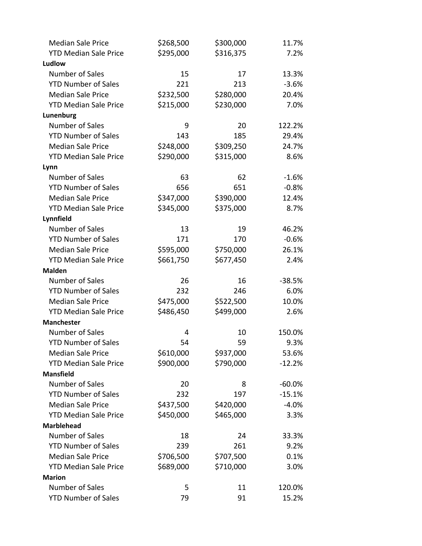| <b>Median Sale Price</b>         | \$268,500 | \$300,000 | 11.7%    |
|----------------------------------|-----------|-----------|----------|
| <b>YTD Median Sale Price</b>     | \$295,000 | \$316,375 | 7.2%     |
| Ludlow                           |           |           |          |
| Number of Sales                  | 15        | 17        | 13.3%    |
| <b>YTD Number of Sales</b>       | 221       | 213       | $-3.6%$  |
| <b>Median Sale Price</b>         | \$232,500 | \$280,000 | 20.4%    |
| <b>YTD Median Sale Price</b>     | \$215,000 | \$230,000 | 7.0%     |
| Lunenburg                        |           |           |          |
| Number of Sales                  | 9         | 20        | 122.2%   |
| <b>YTD Number of Sales</b>       | 143       | 185       | 29.4%    |
| <b>Median Sale Price</b>         | \$248,000 | \$309,250 | 24.7%    |
| <b>YTD Median Sale Price</b>     | \$290,000 | \$315,000 | 8.6%     |
| Lynn                             |           |           |          |
| Number of Sales                  | 63        | 62        | $-1.6%$  |
| <b>YTD Number of Sales</b>       | 656       | 651       | $-0.8%$  |
| <b>Median Sale Price</b>         | \$347,000 | \$390,000 | 12.4%    |
| <b>YTD Median Sale Price</b>     | \$345,000 | \$375,000 | 8.7%     |
| Lynnfield                        |           |           |          |
| Number of Sales                  | 13        | 19        | 46.2%    |
| <b>YTD Number of Sales</b>       | 171       | 170       | $-0.6%$  |
| <b>Median Sale Price</b>         | \$595,000 | \$750,000 | 26.1%    |
| <b>YTD Median Sale Price</b>     | \$661,750 | \$677,450 | 2.4%     |
| <b>Malden</b>                    |           |           |          |
| Number of Sales                  | 26        | 16        | $-38.5%$ |
| <b>YTD Number of Sales</b>       | 232       | 246       | 6.0%     |
| <b>Median Sale Price</b>         | \$475,000 | \$522,500 | 10.0%    |
| <b>YTD Median Sale Price</b>     | \$486,450 | \$499,000 | 2.6%     |
| <b>Manchester</b>                |           |           |          |
| Number of Sales                  | 4         | 10        | 150.0%   |
| <b>YTD Number of Sales</b>       | 54        | 59        | 9.3%     |
| <b>Median Sale Price</b>         | \$610,000 | \$937,000 | 53.6%    |
| <b>YTD Median Sale Price</b>     | \$900,000 | \$790,000 | $-12.2%$ |
| <b>Mansfield</b>                 |           |           |          |
| Number of Sales                  | 20        | 8         | $-60.0%$ |
| <b>YTD Number of Sales</b>       | 232       | 197       | $-15.1%$ |
| <b>Median Sale Price</b>         | \$437,500 | \$420,000 | $-4.0%$  |
| <b>YTD Median Sale Price</b>     | \$450,000 | \$465,000 | 3.3%     |
| <b>Marblehead</b>                |           |           |          |
| Number of Sales                  | 18        | 24        | 33.3%    |
| <b>YTD Number of Sales</b>       | 239       | 261       | 9.2%     |
| <b>Median Sale Price</b>         | \$706,500 | \$707,500 | 0.1%     |
| <b>YTD Median Sale Price</b>     | \$689,000 | \$710,000 | 3.0%     |
| <b>Marion</b><br>Number of Sales | 5         | 11        |          |
|                                  | 79        |           | 120.0%   |
| <b>YTD Number of Sales</b>       |           | 91        | 15.2%    |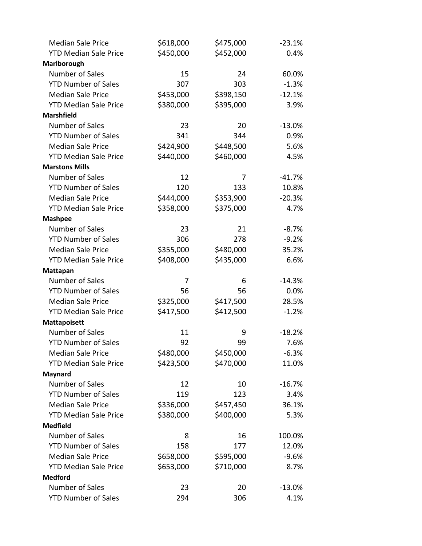| <b>Median Sale Price</b>     | \$618,000 | \$475,000 | $-23.1%$ |
|------------------------------|-----------|-----------|----------|
| <b>YTD Median Sale Price</b> | \$450,000 | \$452,000 | 0.4%     |
| Marlborough                  |           |           |          |
| Number of Sales              | 15        | 24        | 60.0%    |
| <b>YTD Number of Sales</b>   | 307       | 303       | $-1.3%$  |
| <b>Median Sale Price</b>     | \$453,000 | \$398,150 | $-12.1%$ |
| <b>YTD Median Sale Price</b> | \$380,000 | \$395,000 | 3.9%     |
| <b>Marshfield</b>            |           |           |          |
| Number of Sales              | 23        | 20        | $-13.0%$ |
| <b>YTD Number of Sales</b>   | 341       | 344       | 0.9%     |
| <b>Median Sale Price</b>     | \$424,900 | \$448,500 | 5.6%     |
| <b>YTD Median Sale Price</b> | \$440,000 | \$460,000 | 4.5%     |
| <b>Marstons Mills</b>        |           |           |          |
| Number of Sales              | 12        | 7         | $-41.7%$ |
| <b>YTD Number of Sales</b>   | 120       | 133       | 10.8%    |
| <b>Median Sale Price</b>     | \$444,000 | \$353,900 | $-20.3%$ |
| <b>YTD Median Sale Price</b> | \$358,000 | \$375,000 | 4.7%     |
| <b>Mashpee</b>               |           |           |          |
| Number of Sales              | 23        | 21        | $-8.7%$  |
| <b>YTD Number of Sales</b>   | 306       | 278       | $-9.2%$  |
| <b>Median Sale Price</b>     | \$355,000 | \$480,000 | 35.2%    |
| <b>YTD Median Sale Price</b> | \$408,000 | \$435,000 | 6.6%     |
| Mattapan                     |           |           |          |
| Number of Sales              | 7         | 6         | $-14.3%$ |
| <b>YTD Number of Sales</b>   | 56        | 56        | 0.0%     |
| <b>Median Sale Price</b>     | \$325,000 | \$417,500 | 28.5%    |
| <b>YTD Median Sale Price</b> | \$417,500 | \$412,500 | $-1.2%$  |
| <b>Mattapoisett</b>          |           |           |          |
| Number of Sales              | 11        | 9         | $-18.2%$ |
| <b>YTD Number of Sales</b>   | 92        | 99        | 7.6%     |
| <b>Median Sale Price</b>     | \$480,000 | \$450,000 | $-6.3%$  |
| <b>YTD Median Sale Price</b> | \$423,500 | \$470,000 | 11.0%    |
| <b>Maynard</b>               |           |           |          |
| Number of Sales              | 12        | 10        | $-16.7%$ |
| <b>YTD Number of Sales</b>   | 119       | 123       | 3.4%     |
| <b>Median Sale Price</b>     | \$336,000 | \$457,450 | 36.1%    |
| <b>YTD Median Sale Price</b> | \$380,000 | \$400,000 | 5.3%     |
| <b>Medfield</b>              |           |           |          |
| Number of Sales              | 8         | 16        | 100.0%   |
| <b>YTD Number of Sales</b>   | 158       | 177       | 12.0%    |
| <b>Median Sale Price</b>     | \$658,000 | \$595,000 | $-9.6%$  |
| <b>YTD Median Sale Price</b> | \$653,000 | \$710,000 | 8.7%     |
| <b>Medford</b>               |           |           |          |
| Number of Sales              | 23        | 20        | $-13.0%$ |
| <b>YTD Number of Sales</b>   | 294       | 306       | 4.1%     |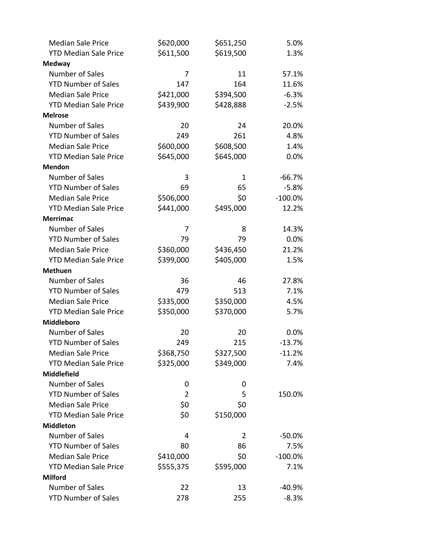| <b>Median Sale Price</b>     | \$620,000      | \$651,250 | 5.0%       |
|------------------------------|----------------|-----------|------------|
| <b>YTD Median Sale Price</b> | \$611,500      | \$619,500 | 1.3%       |
| <b>Medway</b>                |                |           |            |
| Number of Sales              | 7              | 11        | 57.1%      |
| <b>YTD Number of Sales</b>   | 147            | 164       | 11.6%      |
| <b>Median Sale Price</b>     | \$421,000      | \$394,500 | $-6.3%$    |
| <b>YTD Median Sale Price</b> | \$439,900      | \$428,888 | $-2.5%$    |
| <b>Melrose</b>               |                |           |            |
| Number of Sales              | 20             | 24        | 20.0%      |
| <b>YTD Number of Sales</b>   | 249            | 261       | 4.8%       |
| <b>Median Sale Price</b>     | \$600,000      | \$608,500 | 1.4%       |
| <b>YTD Median Sale Price</b> | \$645,000      | \$645,000 | 0.0%       |
| <b>Mendon</b>                |                |           |            |
| Number of Sales              | 3              | 1         | $-66.7%$   |
| <b>YTD Number of Sales</b>   | 69             | 65        | $-5.8%$    |
| <b>Median Sale Price</b>     | \$506,000      | \$0       | $-100.0\%$ |
| <b>YTD Median Sale Price</b> | \$441,000      | \$495,000 | 12.2%      |
| <b>Merrimac</b>              |                |           |            |
| Number of Sales              | 7              | 8         | 14.3%      |
| <b>YTD Number of Sales</b>   | 79             | 79        | 0.0%       |
| <b>Median Sale Price</b>     | \$360,000      | \$436,450 | 21.2%      |
| <b>YTD Median Sale Price</b> | \$399,000      | \$405,000 | 1.5%       |
| <b>Methuen</b>               |                |           |            |
| Number of Sales              | 36             | 46        | 27.8%      |
| <b>YTD Number of Sales</b>   | 479            | 513       | 7.1%       |
| <b>Median Sale Price</b>     | \$335,000      | \$350,000 | 4.5%       |
| <b>YTD Median Sale Price</b> | \$350,000      | \$370,000 | 5.7%       |
| Middleboro                   |                |           |            |
| Number of Sales              | 20             | 20        | 0.0%       |
| <b>YTD Number of Sales</b>   | 249            | 215       | $-13.7%$   |
| <b>Median Sale Price</b>     | \$368,750      | \$327,500 | $-11.2%$   |
| <b>YTD Median Sale Price</b> | \$325,000      | \$349,000 | 7.4%       |
| <b>Middlefield</b>           |                |           |            |
| Number of Sales              | 0              | 0         |            |
| <b>YTD Number of Sales</b>   | $\overline{2}$ | 5         | 150.0%     |
| <b>Median Sale Price</b>     | \$0            | \$0       |            |
| <b>YTD Median Sale Price</b> | \$0            | \$150,000 |            |
| <b>Middleton</b>             |                |           |            |
| Number of Sales              | 4              | 2         | $-50.0%$   |
| <b>YTD Number of Sales</b>   | 80             | 86        | 7.5%       |
| <b>Median Sale Price</b>     | \$410,000      | \$0       | $-100.0%$  |
| <b>YTD Median Sale Price</b> | \$555,375      | \$595,000 | 7.1%       |
| <b>Milford</b>               |                |           |            |
| Number of Sales              | 22             | 13        | $-40.9%$   |
| <b>YTD Number of Sales</b>   | 278            | 255       | $-8.3%$    |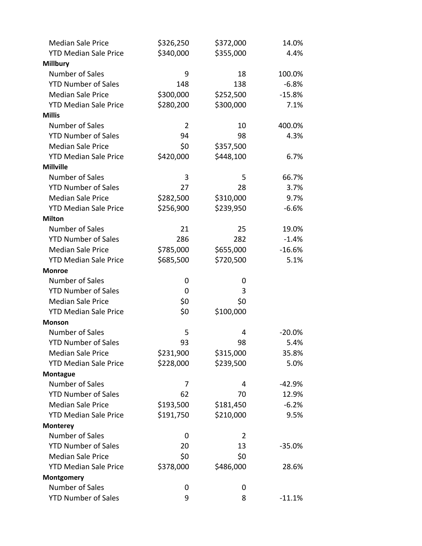| <b>Median Sale Price</b>     | \$326,250      | \$372,000 | 14.0%    |
|------------------------------|----------------|-----------|----------|
| <b>YTD Median Sale Price</b> | \$340,000      | \$355,000 | 4.4%     |
| <b>Millbury</b>              |                |           |          |
| Number of Sales              | 9              | 18        | 100.0%   |
| <b>YTD Number of Sales</b>   | 148            | 138       | $-6.8%$  |
| <b>Median Sale Price</b>     | \$300,000      | \$252,500 | $-15.8%$ |
| <b>YTD Median Sale Price</b> | \$280,200      | \$300,000 | 7.1%     |
| <b>Millis</b>                |                |           |          |
| Number of Sales              | $\overline{2}$ | 10        | 400.0%   |
| <b>YTD Number of Sales</b>   | 94             | 98        | 4.3%     |
| <b>Median Sale Price</b>     | \$0            | \$357,500 |          |
| <b>YTD Median Sale Price</b> | \$420,000      | \$448,100 | 6.7%     |
| <b>Millville</b>             |                |           |          |
| Number of Sales              | 3              | 5         | 66.7%    |
| <b>YTD Number of Sales</b>   | 27             | 28        | 3.7%     |
| <b>Median Sale Price</b>     | \$282,500      | \$310,000 | 9.7%     |
| <b>YTD Median Sale Price</b> | \$256,900      | \$239,950 | $-6.6%$  |
| <b>Milton</b>                |                |           |          |
| Number of Sales              | 21             | 25        | 19.0%    |
| <b>YTD Number of Sales</b>   | 286            | 282       | $-1.4%$  |
| <b>Median Sale Price</b>     | \$785,000      | \$655,000 | $-16.6%$ |
| <b>YTD Median Sale Price</b> | \$685,500      | \$720,500 | 5.1%     |
| <b>Monroe</b>                |                |           |          |
| Number of Sales              | 0              | 0         |          |
| <b>YTD Number of Sales</b>   | 0              | 3         |          |
| <b>Median Sale Price</b>     | \$0            | \$0       |          |
| <b>YTD Median Sale Price</b> | \$0            | \$100,000 |          |
| <b>Monson</b>                |                |           |          |
| Number of Sales              | 5              | 4         | $-20.0%$ |
| <b>YTD Number of Sales</b>   | 93             | 98        | 5.4%     |
| <b>Median Sale Price</b>     | \$231,900      | \$315,000 | 35.8%    |
| <b>YTD Median Sale Price</b> | \$228,000      | \$239,500 | 5.0%     |
| <b>Montague</b>              |                |           |          |
| Number of Sales              | 7              | 4         | $-42.9%$ |
| <b>YTD Number of Sales</b>   | 62             | 70        | 12.9%    |
| <b>Median Sale Price</b>     | \$193,500      | \$181,450 | $-6.2%$  |
| <b>YTD Median Sale Price</b> | \$191,750      | \$210,000 | 9.5%     |
| <b>Monterey</b>              |                |           |          |
| Number of Sales              | 0              | 2         |          |
| <b>YTD Number of Sales</b>   | 20             | 13        | $-35.0%$ |
| <b>Median Sale Price</b>     | \$0            | \$0       |          |
| <b>YTD Median Sale Price</b> | \$378,000      | \$486,000 | 28.6%    |
| Montgomery                   |                |           |          |
| Number of Sales              | 0              | 0         |          |
| <b>YTD Number of Sales</b>   | 9              | 8         | $-11.1%$ |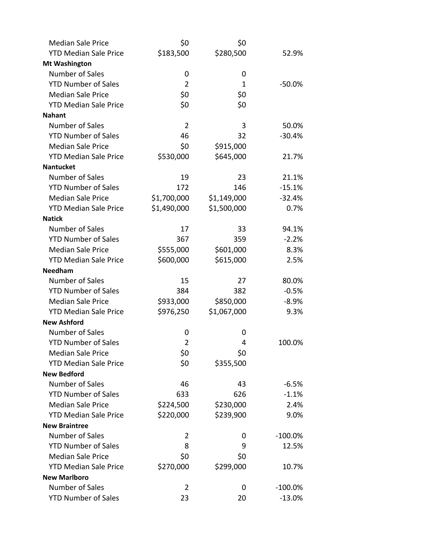| <b>Median Sale Price</b>     | \$0            | \$0         |            |
|------------------------------|----------------|-------------|------------|
| <b>YTD Median Sale Price</b> | \$183,500      | \$280,500   | 52.9%      |
| <b>Mt Washington</b>         |                |             |            |
| Number of Sales              | 0              | 0           |            |
| <b>YTD Number of Sales</b>   | $\overline{2}$ | 1           | $-50.0%$   |
| <b>Median Sale Price</b>     | \$0            | \$0         |            |
| <b>YTD Median Sale Price</b> | \$0            | \$0         |            |
| <b>Nahant</b>                |                |             |            |
| Number of Sales              | $\overline{2}$ | 3           | 50.0%      |
| <b>YTD Number of Sales</b>   | 46             | 32          | $-30.4%$   |
| <b>Median Sale Price</b>     | \$0            | \$915,000   |            |
| <b>YTD Median Sale Price</b> | \$530,000      | \$645,000   | 21.7%      |
| <b>Nantucket</b>             |                |             |            |
| Number of Sales              | 19             | 23          | 21.1%      |
| <b>YTD Number of Sales</b>   | 172            | 146         | $-15.1%$   |
| <b>Median Sale Price</b>     | \$1,700,000    | \$1,149,000 | $-32.4%$   |
| <b>YTD Median Sale Price</b> | \$1,490,000    | \$1,500,000 | 0.7%       |
| <b>Natick</b>                |                |             |            |
| Number of Sales              | 17             | 33          | 94.1%      |
| <b>YTD Number of Sales</b>   | 367            | 359         | $-2.2%$    |
| <b>Median Sale Price</b>     | \$555,000      | \$601,000   | 8.3%       |
| <b>YTD Median Sale Price</b> | \$600,000      | \$615,000   | 2.5%       |
| <b>Needham</b>               |                |             |            |
| Number of Sales              | 15             | 27          | 80.0%      |
| <b>YTD Number of Sales</b>   | 384            | 382         | $-0.5%$    |
| <b>Median Sale Price</b>     | \$933,000      | \$850,000   | $-8.9%$    |
| <b>YTD Median Sale Price</b> | \$976,250      | \$1,067,000 | 9.3%       |
| <b>New Ashford</b>           |                |             |            |
| Number of Sales              | 0              | 0           |            |
| <b>YTD Number of Sales</b>   | $\overline{2}$ | 4           | 100.0%     |
| <b>Median Sale Price</b>     | \$0            | \$0         |            |
| <b>YTD Median Sale Price</b> | \$0            | \$355,500   |            |
| <b>New Bedford</b>           |                |             |            |
| Number of Sales              | 46             | 43          | $-6.5%$    |
| <b>YTD Number of Sales</b>   | 633            | 626         | $-1.1%$    |
| <b>Median Sale Price</b>     | \$224,500      | \$230,000   | 2.4%       |
| <b>YTD Median Sale Price</b> | \$220,000      | \$239,900   | 9.0%       |
| <b>New Braintree</b>         |                |             |            |
| Number of Sales              | 2              | 0           | $-100.0\%$ |
| <b>YTD Number of Sales</b>   | 8              | 9           | 12.5%      |
| <b>Median Sale Price</b>     | \$0            | \$0         |            |
| <b>YTD Median Sale Price</b> | \$270,000      | \$299,000   | 10.7%      |
| <b>New Marlboro</b>          |                |             |            |
| Number of Sales              | 2              | 0           | $-100.0\%$ |
| <b>YTD Number of Sales</b>   | 23             | 20          | $-13.0%$   |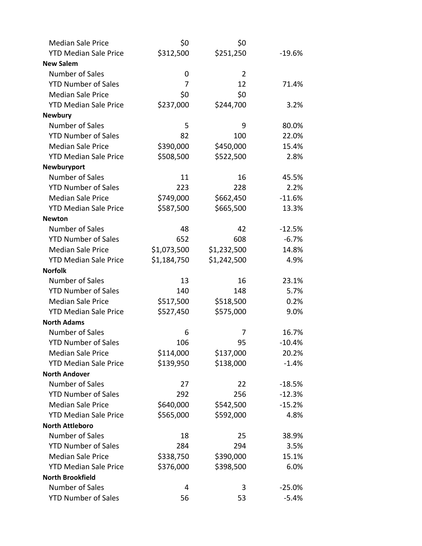| <b>Median Sale Price</b>     | \$0         | \$0            |          |
|------------------------------|-------------|----------------|----------|
| <b>YTD Median Sale Price</b> | \$312,500   | \$251,250      | $-19.6%$ |
| <b>New Salem</b>             |             |                |          |
| Number of Sales              | 0           | $\overline{2}$ |          |
| <b>YTD Number of Sales</b>   | 7           | 12             | 71.4%    |
| <b>Median Sale Price</b>     | \$0         | \$0            |          |
| <b>YTD Median Sale Price</b> | \$237,000   | \$244,700      | 3.2%     |
| <b>Newbury</b>               |             |                |          |
| Number of Sales              | 5           | 9              | 80.0%    |
| <b>YTD Number of Sales</b>   | 82          | 100            | 22.0%    |
| <b>Median Sale Price</b>     | \$390,000   | \$450,000      | 15.4%    |
| <b>YTD Median Sale Price</b> | \$508,500   | \$522,500      | 2.8%     |
| Newburyport                  |             |                |          |
| Number of Sales              | 11          | 16             | 45.5%    |
| <b>YTD Number of Sales</b>   | 223         | 228            | 2.2%     |
| <b>Median Sale Price</b>     | \$749,000   | \$662,450      | $-11.6%$ |
| <b>YTD Median Sale Price</b> | \$587,500   | \$665,500      | 13.3%    |
| <b>Newton</b>                |             |                |          |
| Number of Sales              | 48          | 42             | $-12.5%$ |
| <b>YTD Number of Sales</b>   | 652         | 608            | $-6.7%$  |
| <b>Median Sale Price</b>     | \$1,073,500 | \$1,232,500    | 14.8%    |
| <b>YTD Median Sale Price</b> | \$1,184,750 | \$1,242,500    | 4.9%     |
| <b>Norfolk</b>               |             |                |          |
| Number of Sales              | 13          | 16             | 23.1%    |
| <b>YTD Number of Sales</b>   | 140         | 148            | 5.7%     |
| <b>Median Sale Price</b>     | \$517,500   | \$518,500      | 0.2%     |
| <b>YTD Median Sale Price</b> | \$527,450   | \$575,000      | 9.0%     |
| <b>North Adams</b>           |             |                |          |
| Number of Sales              | 6           | 7              | 16.7%    |
| <b>YTD Number of Sales</b>   | 106         | 95             | $-10.4%$ |
| <b>Median Sale Price</b>     | \$114,000   | \$137,000      | 20.2%    |
| <b>YTD Median Sale Price</b> | \$139,950   | \$138,000      | $-1.4%$  |
| <b>North Andover</b>         |             |                |          |
| Number of Sales              | 27          | 22             | $-18.5%$ |
| <b>YTD Number of Sales</b>   | 292         | 256            | $-12.3%$ |
| <b>Median Sale Price</b>     | \$640,000   | \$542,500      | $-15.2%$ |
| <b>YTD Median Sale Price</b> | \$565,000   | \$592,000      | 4.8%     |
| <b>North Attleboro</b>       |             |                |          |
| Number of Sales              | 18          | 25             | 38.9%    |
| <b>YTD Number of Sales</b>   | 284         | 294            | 3.5%     |
| <b>Median Sale Price</b>     | \$338,750   | \$390,000      | 15.1%    |
| <b>YTD Median Sale Price</b> | \$376,000   | \$398,500      | 6.0%     |
| <b>North Brookfield</b>      |             |                |          |
| Number of Sales              | 4           | 3              | $-25.0%$ |
| <b>YTD Number of Sales</b>   | 56          | 53             | $-5.4%$  |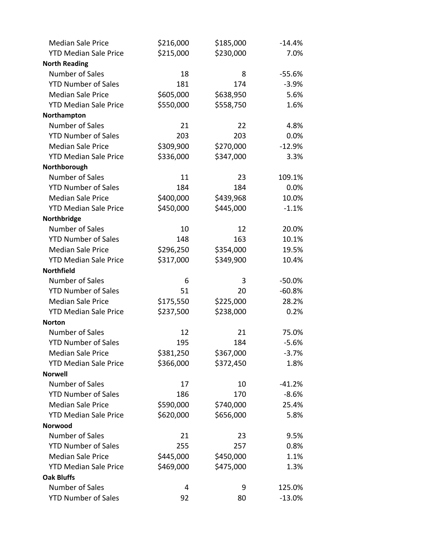| <b>Median Sale Price</b>     | \$216,000 | \$185,000 | $-14.4%$ |
|------------------------------|-----------|-----------|----------|
| <b>YTD Median Sale Price</b> | \$215,000 | \$230,000 | 7.0%     |
| <b>North Reading</b>         |           |           |          |
| Number of Sales              | 18        | 8         | $-55.6%$ |
| <b>YTD Number of Sales</b>   | 181       | 174       | $-3.9%$  |
| <b>Median Sale Price</b>     | \$605,000 | \$638,950 | 5.6%     |
| <b>YTD Median Sale Price</b> | \$550,000 | \$558,750 | 1.6%     |
| Northampton                  |           |           |          |
| Number of Sales              | 21        | 22        | 4.8%     |
| <b>YTD Number of Sales</b>   | 203       | 203       | 0.0%     |
| <b>Median Sale Price</b>     | \$309,900 | \$270,000 | $-12.9%$ |
| <b>YTD Median Sale Price</b> | \$336,000 | \$347,000 | 3.3%     |
| Northborough                 |           |           |          |
| Number of Sales              | 11        | 23        | 109.1%   |
| <b>YTD Number of Sales</b>   | 184       | 184       | 0.0%     |
| <b>Median Sale Price</b>     | \$400,000 | \$439,968 | 10.0%    |
| <b>YTD Median Sale Price</b> | \$450,000 | \$445,000 | $-1.1%$  |
| Northbridge                  |           |           |          |
| Number of Sales              | 10        | 12        | 20.0%    |
| <b>YTD Number of Sales</b>   | 148       | 163       | 10.1%    |
| <b>Median Sale Price</b>     | \$296,250 | \$354,000 | 19.5%    |
| <b>YTD Median Sale Price</b> | \$317,000 | \$349,900 | 10.4%    |
| <b>Northfield</b>            |           |           |          |
| Number of Sales              | 6         | 3         | $-50.0%$ |
| <b>YTD Number of Sales</b>   | 51        | 20        | $-60.8%$ |
| <b>Median Sale Price</b>     | \$175,550 | \$225,000 | 28.2%    |
| <b>YTD Median Sale Price</b> | \$237,500 | \$238,000 | 0.2%     |
| <b>Norton</b>                |           |           |          |
| Number of Sales              | 12        | 21        | 75.0%    |
| <b>YTD Number of Sales</b>   | 195       | 184       | $-5.6%$  |
| <b>Median Sale Price</b>     | \$381,250 | \$367,000 | $-3.7%$  |
| <b>YTD Median Sale Price</b> | \$366,000 | \$372,450 | 1.8%     |
| <b>Norwell</b>               |           |           |          |
| Number of Sales              | 17        | 10        | $-41.2%$ |
| <b>YTD Number of Sales</b>   | 186       | 170       | $-8.6%$  |
| <b>Median Sale Price</b>     | \$590,000 | \$740,000 | 25.4%    |
| <b>YTD Median Sale Price</b> | \$620,000 | \$656,000 | 5.8%     |
| <b>Norwood</b>               |           |           |          |
| Number of Sales              | 21        | 23        | 9.5%     |
| <b>YTD Number of Sales</b>   | 255       | 257       | 0.8%     |
| <b>Median Sale Price</b>     | \$445,000 | \$450,000 | 1.1%     |
| <b>YTD Median Sale Price</b> | \$469,000 | \$475,000 | 1.3%     |
| <b>Oak Bluffs</b>            |           |           |          |
| Number of Sales              | 4         | 9         | 125.0%   |
| <b>YTD Number of Sales</b>   | 92        | 80        | $-13.0%$ |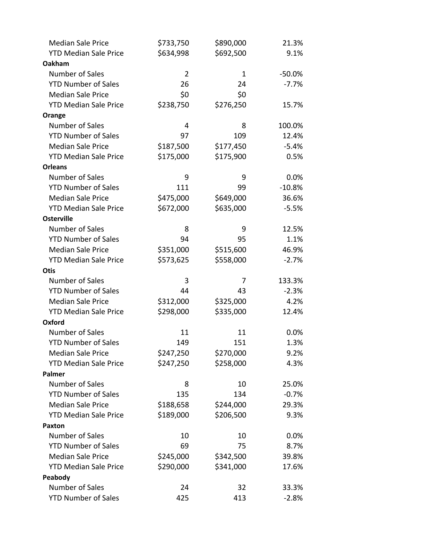| <b>Median Sale Price</b>     | \$733,750      | \$890,000 | 21.3%    |
|------------------------------|----------------|-----------|----------|
| <b>YTD Median Sale Price</b> | \$634,998      | \$692,500 | 9.1%     |
| Oakham                       |                |           |          |
| Number of Sales              | $\overline{2}$ | 1         | $-50.0%$ |
| <b>YTD Number of Sales</b>   | 26             | 24        | $-7.7%$  |
| <b>Median Sale Price</b>     | \$0            | \$0       |          |
| <b>YTD Median Sale Price</b> | \$238,750      | \$276,250 | 15.7%    |
| Orange                       |                |           |          |
| <b>Number of Sales</b>       | 4              | 8         | 100.0%   |
| <b>YTD Number of Sales</b>   | 97             | 109       | 12.4%    |
| <b>Median Sale Price</b>     | \$187,500      | \$177,450 | $-5.4%$  |
| <b>YTD Median Sale Price</b> | \$175,000      | \$175,900 | 0.5%     |
| <b>Orleans</b>               |                |           |          |
| <b>Number of Sales</b>       | 9              | 9         | 0.0%     |
| <b>YTD Number of Sales</b>   | 111            | 99        | $-10.8%$ |
| <b>Median Sale Price</b>     | \$475,000      | \$649,000 | 36.6%    |
| <b>YTD Median Sale Price</b> | \$672,000      | \$635,000 | $-5.5%$  |
| <b>Osterville</b>            |                |           |          |
| <b>Number of Sales</b>       | 8              | 9         | 12.5%    |
| <b>YTD Number of Sales</b>   | 94             | 95        | 1.1%     |
| <b>Median Sale Price</b>     | \$351,000      | \$515,600 | 46.9%    |
| <b>YTD Median Sale Price</b> | \$573,625      | \$558,000 | $-2.7%$  |
| <b>Otis</b>                  |                |           |          |
| Number of Sales              | 3              | 7         | 133.3%   |
| <b>YTD Number of Sales</b>   | 44             | 43        | $-2.3%$  |
| <b>Median Sale Price</b>     | \$312,000      | \$325,000 | 4.2%     |
| <b>YTD Median Sale Price</b> | \$298,000      | \$335,000 | 12.4%    |
| Oxford                       |                |           |          |
| <b>Number of Sales</b>       | 11             | 11        | $0.0\%$  |
| <b>YTD Number of Sales</b>   | 149            | 151       | 1.3%     |
| <b>Median Sale Price</b>     | \$247,250      | \$270,000 | 9.2%     |
| <b>YTD Median Sale Price</b> | \$247,250      | \$258,000 | 4.3%     |
| Palmer                       |                |           |          |
| Number of Sales              | 8              | 10        | 25.0%    |
| <b>YTD Number of Sales</b>   | 135            | 134       | $-0.7%$  |
| <b>Median Sale Price</b>     | \$188,658      | \$244,000 | 29.3%    |
| <b>YTD Median Sale Price</b> | \$189,000      | \$206,500 | 9.3%     |
| <b>Paxton</b>                |                |           |          |
| <b>Number of Sales</b>       | 10             | 10        | 0.0%     |
| <b>YTD Number of Sales</b>   | 69             | 75        | 8.7%     |
| <b>Median Sale Price</b>     | \$245,000      | \$342,500 | 39.8%    |
| <b>YTD Median Sale Price</b> | \$290,000      | \$341,000 | 17.6%    |
| Peabody                      |                |           |          |
| Number of Sales              | 24             | 32        | 33.3%    |
| <b>YTD Number of Sales</b>   | 425            | 413       | $-2.8%$  |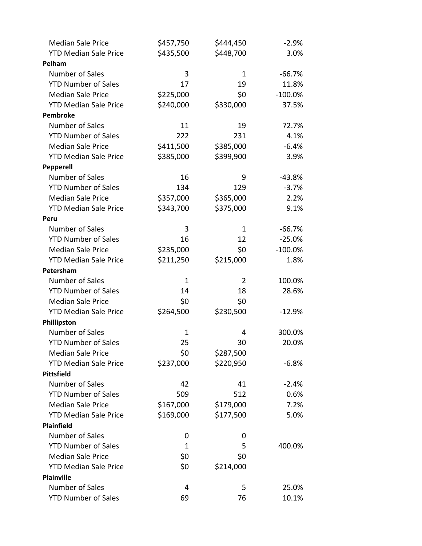| <b>Median Sale Price</b>     | \$457,750 | \$444,450 | $-2.9%$    |
|------------------------------|-----------|-----------|------------|
| <b>YTD Median Sale Price</b> | \$435,500 | \$448,700 | 3.0%       |
| Pelham                       |           |           |            |
| Number of Sales              | 3         | 1         | $-66.7%$   |
| <b>YTD Number of Sales</b>   | 17        | 19        | 11.8%      |
| <b>Median Sale Price</b>     | \$225,000 | \$0       | $-100.0\%$ |
| <b>YTD Median Sale Price</b> | \$240,000 | \$330,000 | 37.5%      |
| Pembroke                     |           |           |            |
| Number of Sales              | 11        | 19        | 72.7%      |
| <b>YTD Number of Sales</b>   | 222       | 231       | 4.1%       |
| <b>Median Sale Price</b>     | \$411,500 | \$385,000 | $-6.4%$    |
| <b>YTD Median Sale Price</b> | \$385,000 | \$399,900 | 3.9%       |
| <b>Pepperell</b>             |           |           |            |
| Number of Sales              | 16        | 9         | $-43.8%$   |
| <b>YTD Number of Sales</b>   | 134       | 129       | $-3.7%$    |
| <b>Median Sale Price</b>     | \$357,000 | \$365,000 | 2.2%       |
| <b>YTD Median Sale Price</b> | \$343,700 | \$375,000 | 9.1%       |
| Peru                         |           |           |            |
| Number of Sales              | 3         | 1         | $-66.7%$   |
| <b>YTD Number of Sales</b>   | 16        | 12        | $-25.0%$   |
| <b>Median Sale Price</b>     | \$235,000 | \$0       | $-100.0\%$ |
| <b>YTD Median Sale Price</b> | \$211,250 | \$215,000 | 1.8%       |
| Petersham                    |           |           |            |
| Number of Sales              | 1         | 2         | 100.0%     |
| <b>YTD Number of Sales</b>   | 14        | 18        | 28.6%      |
| <b>Median Sale Price</b>     | \$0       | \$0       |            |
| <b>YTD Median Sale Price</b> | \$264,500 | \$230,500 | $-12.9%$   |
| Phillipston                  |           |           |            |
| Number of Sales              | 1         | 4         | 300.0%     |
| <b>YTD Number of Sales</b>   | 25        | 30        | 20.0%      |
| <b>Median Sale Price</b>     | \$0       | \$287,500 |            |
| <b>YTD Median Sale Price</b> | \$237,000 | \$220,950 | $-6.8%$    |
| <b>Pittsfield</b>            |           |           |            |
| Number of Sales              | 42        | 41        | $-2.4%$    |
| <b>YTD Number of Sales</b>   | 509       | 512       | 0.6%       |
| <b>Median Sale Price</b>     | \$167,000 | \$179,000 | 7.2%       |
| <b>YTD Median Sale Price</b> | \$169,000 | \$177,500 | 5.0%       |
| <b>Plainfield</b>            |           |           |            |
| Number of Sales              | 0         | 0         |            |
| <b>YTD Number of Sales</b>   | 1         | 5         | 400.0%     |
| <b>Median Sale Price</b>     | \$0       | \$0       |            |
| <b>YTD Median Sale Price</b> | \$0       | \$214,000 |            |
| <b>Plainville</b>            |           |           |            |
| Number of Sales              | 4         | 5         | 25.0%      |
| <b>YTD Number of Sales</b>   | 69        | 76        | 10.1%      |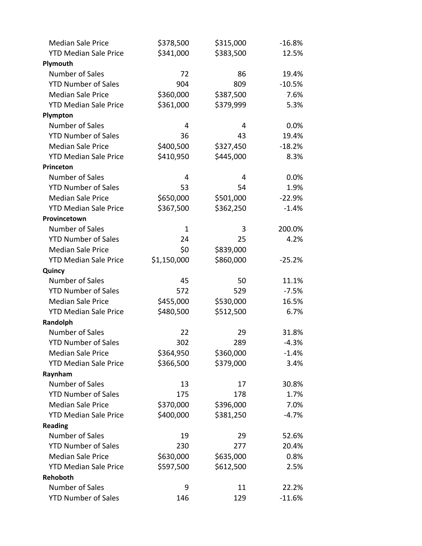| <b>Median Sale Price</b>     | \$378,500    | \$315,000 | $-16.8%$ |
|------------------------------|--------------|-----------|----------|
| <b>YTD Median Sale Price</b> | \$341,000    | \$383,500 | 12.5%    |
| Plymouth                     |              |           |          |
| Number of Sales              | 72           | 86        | 19.4%    |
| <b>YTD Number of Sales</b>   | 904          | 809       | $-10.5%$ |
| <b>Median Sale Price</b>     | \$360,000    | \$387,500 | 7.6%     |
| <b>YTD Median Sale Price</b> | \$361,000    | \$379,999 | 5.3%     |
| Plympton                     |              |           |          |
| Number of Sales              | 4            | 4         | 0.0%     |
| <b>YTD Number of Sales</b>   | 36           | 43        | 19.4%    |
| <b>Median Sale Price</b>     | \$400,500    | \$327,450 | $-18.2%$ |
| <b>YTD Median Sale Price</b> | \$410,950    | \$445,000 | 8.3%     |
| Princeton                    |              |           |          |
| <b>Number of Sales</b>       | 4            | 4         | 0.0%     |
| <b>YTD Number of Sales</b>   | 53           | 54        | 1.9%     |
| <b>Median Sale Price</b>     | \$650,000    | \$501,000 | $-22.9%$ |
| <b>YTD Median Sale Price</b> | \$367,500    | \$362,250 | $-1.4%$  |
| Provincetown                 |              |           |          |
| Number of Sales              | $\mathbf{1}$ | 3         | 200.0%   |
| <b>YTD Number of Sales</b>   | 24           | 25        | 4.2%     |
| <b>Median Sale Price</b>     | \$0          | \$839,000 |          |
| <b>YTD Median Sale Price</b> | \$1,150,000  | \$860,000 | $-25.2%$ |
| Quincy                       |              |           |          |
| Number of Sales              | 45           | 50        | 11.1%    |
| <b>YTD Number of Sales</b>   | 572          | 529       | $-7.5%$  |
| <b>Median Sale Price</b>     | \$455,000    | \$530,000 | 16.5%    |
| <b>YTD Median Sale Price</b> | \$480,500    | \$512,500 | 6.7%     |
| Randolph                     |              |           |          |
| <b>Number of Sales</b>       | 22           | 29        | 31.8%    |
| <b>YTD Number of Sales</b>   | 302          | 289       | $-4.3%$  |
| <b>Median Sale Price</b>     | \$364,950    | \$360,000 | $-1.4%$  |
| <b>YTD Median Sale Price</b> | \$366,500    | \$379,000 | 3.4%     |
| Raynham                      |              |           |          |
| <b>Number of Sales</b>       | 13           | 17        | 30.8%    |
| <b>YTD Number of Sales</b>   | 175          | 178       | 1.7%     |
| <b>Median Sale Price</b>     | \$370,000    | \$396,000 | 7.0%     |
| <b>YTD Median Sale Price</b> | \$400,000    | \$381,250 | $-4.7%$  |
| <b>Reading</b>               |              |           |          |
| Number of Sales              | 19           | 29        | 52.6%    |
| <b>YTD Number of Sales</b>   | 230          | 277       | 20.4%    |
| <b>Median Sale Price</b>     | \$630,000    | \$635,000 | 0.8%     |
| <b>YTD Median Sale Price</b> | \$597,500    | \$612,500 | 2.5%     |
| Rehoboth                     |              |           |          |
| <b>Number of Sales</b>       | 9            | 11        | 22.2%    |
| <b>YTD Number of Sales</b>   | 146          | 129       | $-11.6%$ |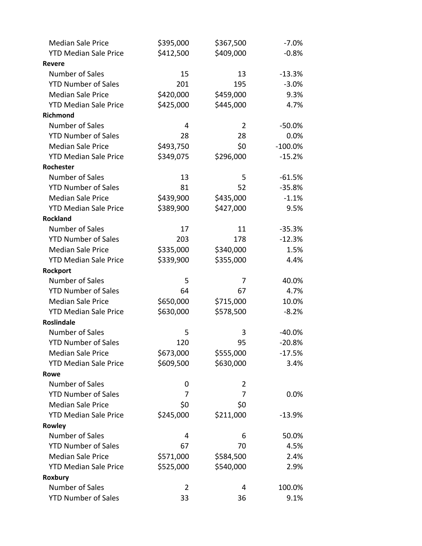| <b>Median Sale Price</b>     | \$395,000      | \$367,500 | $-7.0%$   |
|------------------------------|----------------|-----------|-----------|
| <b>YTD Median Sale Price</b> | \$412,500      | \$409,000 | $-0.8%$   |
| <b>Revere</b>                |                |           |           |
| Number of Sales              | 15             | 13        | $-13.3%$  |
| <b>YTD Number of Sales</b>   | 201            | 195       | $-3.0%$   |
| <b>Median Sale Price</b>     | \$420,000      | \$459,000 | 9.3%      |
| <b>YTD Median Sale Price</b> | \$425,000      | \$445,000 | 4.7%      |
| Richmond                     |                |           |           |
| Number of Sales              | 4              | 2         | $-50.0%$  |
| <b>YTD Number of Sales</b>   | 28             | 28        | 0.0%      |
| <b>Median Sale Price</b>     | \$493,750      | \$0       | $-100.0%$ |
| <b>YTD Median Sale Price</b> | \$349,075      | \$296,000 | $-15.2%$  |
| Rochester                    |                |           |           |
| Number of Sales              | 13             | 5         | $-61.5%$  |
| <b>YTD Number of Sales</b>   | 81             | 52        | $-35.8%$  |
| <b>Median Sale Price</b>     | \$439,900      | \$435,000 | $-1.1%$   |
| <b>YTD Median Sale Price</b> | \$389,900      | \$427,000 | 9.5%      |
| <b>Rockland</b>              |                |           |           |
| Number of Sales              | 17             | 11        | $-35.3%$  |
| <b>YTD Number of Sales</b>   | 203            | 178       | $-12.3%$  |
| <b>Median Sale Price</b>     | \$335,000      | \$340,000 | 1.5%      |
| <b>YTD Median Sale Price</b> | \$339,900      | \$355,000 | 4.4%      |
| Rockport                     |                |           |           |
| Number of Sales              | 5              | 7         | 40.0%     |
| <b>YTD Number of Sales</b>   | 64             | 67        | 4.7%      |
| <b>Median Sale Price</b>     | \$650,000      | \$715,000 | 10.0%     |
| <b>YTD Median Sale Price</b> | \$630,000      | \$578,500 | $-8.2%$   |
| <b>Roslindale</b>            |                |           |           |
| Number of Sales              | 5              | 3         | $-40.0%$  |
| <b>YTD Number of Sales</b>   | 120            | 95        | $-20.8%$  |
| <b>Median Sale Price</b>     | \$673,000      | \$555,000 | $-17.5%$  |
| <b>YTD Median Sale Price</b> | \$609,500      | \$630,000 | 3.4%      |
| Rowe                         |                |           |           |
| Number of Sales              | 0              | 2         |           |
| <b>YTD Number of Sales</b>   | 7              | 7         | 0.0%      |
| <b>Median Sale Price</b>     | \$0            | \$0       |           |
| <b>YTD Median Sale Price</b> | \$245,000      | \$211,000 | $-13.9%$  |
| Rowley                       |                |           |           |
| Number of Sales              | 4              | 6         | 50.0%     |
| <b>YTD Number of Sales</b>   | 67             | 70        | 4.5%      |
| <b>Median Sale Price</b>     | \$571,000      | \$584,500 | 2.4%      |
| <b>YTD Median Sale Price</b> | \$525,000      | \$540,000 | 2.9%      |
| Roxbury                      |                |           |           |
| Number of Sales              | $\overline{2}$ | 4         | 100.0%    |
| <b>YTD Number of Sales</b>   | 33             | 36        | 9.1%      |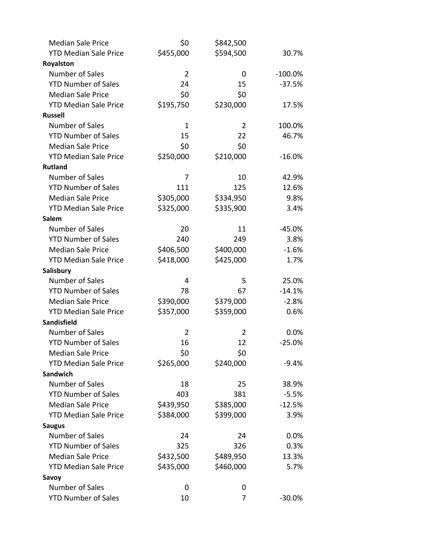| <b>Median Sale Price</b>     | \$0            | \$842,500 |            |
|------------------------------|----------------|-----------|------------|
| <b>YTD Median Sale Price</b> | \$455,000      | \$594,500 | 30.7%      |
| Royalston                    |                |           |            |
| Number of Sales              | $\overline{2}$ | 0         | $-100.0\%$ |
| <b>YTD Number of Sales</b>   | 24             | 15        | $-37.5%$   |
| <b>Median Sale Price</b>     | \$0            | \$0       |            |
| <b>YTD Median Sale Price</b> | \$195,750      | \$230,000 | 17.5%      |
| <b>Russell</b>               |                |           |            |
| Number of Sales              | 1              | 2         | 100.0%     |
| <b>YTD Number of Sales</b>   | 15             | 22        | 46.7%      |
| <b>Median Sale Price</b>     | \$0            | \$0       |            |
| <b>YTD Median Sale Price</b> | \$250,000      | \$210,000 | $-16.0%$   |
| <b>Rutland</b>               |                |           |            |
| Number of Sales              | 7              | 10        | 42.9%      |
| <b>YTD Number of Sales</b>   | 111            | 125       | 12.6%      |
| <b>Median Sale Price</b>     | \$305,000      | \$334,950 | 9.8%       |
| <b>YTD Median Sale Price</b> | \$325,000      | \$335,900 | 3.4%       |
| Salem                        |                |           |            |
| Number of Sales              | 20             | 11        | $-45.0%$   |
| <b>YTD Number of Sales</b>   | 240            | 249       | 3.8%       |
| <b>Median Sale Price</b>     | \$406,500      | \$400,000 | $-1.6%$    |
| <b>YTD Median Sale Price</b> | \$418,000      | \$425,000 | 1.7%       |
| Salisbury                    |                |           |            |
| Number of Sales              | 4              | 5         | 25.0%      |
| <b>YTD Number of Sales</b>   | 78             | 67        | $-14.1%$   |
| <b>Median Sale Price</b>     | \$390,000      | \$379,000 | $-2.8%$    |
| <b>YTD Median Sale Price</b> | \$357,000      | \$359,000 | 0.6%       |
| Sandisfield                  |                |           |            |
| Number of Sales              | 2              | 2         | 0.0%       |
| <b>YTD Number of Sales</b>   | 16             | 12        | $-25.0%$   |
| <b>Median Sale Price</b>     | \$0            | \$0       |            |
| <b>YTD Median Sale Price</b> | \$265,000      | \$240,000 | $-9.4%$    |
| Sandwich                     |                |           |            |
| Number of Sales              | 18             | 25        | 38.9%      |
| <b>YTD Number of Sales</b>   | 403            | 381       | $-5.5%$    |
| <b>Median Sale Price</b>     | \$439,950      | \$385,000 | $-12.5%$   |
| <b>YTD Median Sale Price</b> | \$384,000      | \$399,000 | 3.9%       |
| <b>Saugus</b>                |                |           |            |
| <b>Number of Sales</b>       | 24             | 24        | 0.0%       |
| <b>YTD Number of Sales</b>   | 325            | 326       | 0.3%       |
| <b>Median Sale Price</b>     | \$432,500      | \$489,950 | 13.3%      |
| <b>YTD Median Sale Price</b> | \$435,000      | \$460,000 | 5.7%       |
| Savoy                        |                |           |            |
| Number of Sales              | 0              | 0         |            |
| <b>YTD Number of Sales</b>   | 10             | 7         | $-30.0%$   |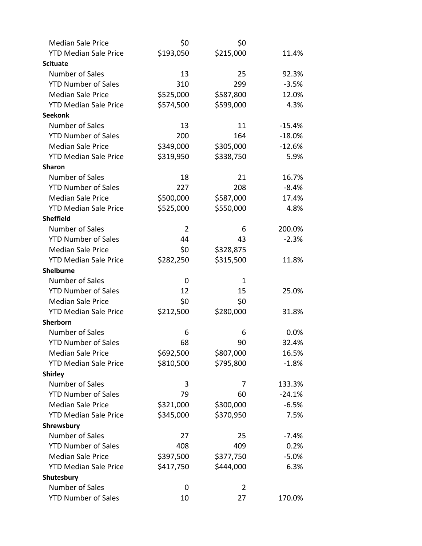| <b>Median Sale Price</b>     | \$0            | \$0            |           |
|------------------------------|----------------|----------------|-----------|
| <b>YTD Median Sale Price</b> | \$193,050      | \$215,000      | 11.4%     |
| <b>Scituate</b>              |                |                |           |
| Number of Sales              | 13             | 25             | 92.3%     |
| <b>YTD Number of Sales</b>   | 310            | 299            | $-3.5%$   |
| <b>Median Sale Price</b>     | \$525,000      | \$587,800      | 12.0%     |
| <b>YTD Median Sale Price</b> | \$574,500      | \$599,000      | 4.3%      |
| <b>Seekonk</b>               |                |                |           |
| Number of Sales              | 13             | 11             | $-15.4%$  |
| <b>YTD Number of Sales</b>   | 200            | 164            | $-18.0\%$ |
| <b>Median Sale Price</b>     | \$349,000      | \$305,000      | $-12.6%$  |
| <b>YTD Median Sale Price</b> | \$319,950      | \$338,750      | 5.9%      |
| <b>Sharon</b>                |                |                |           |
| Number of Sales              | 18             | 21             | 16.7%     |
| <b>YTD Number of Sales</b>   | 227            | 208            | $-8.4%$   |
| <b>Median Sale Price</b>     | \$500,000      | \$587,000      | 17.4%     |
| <b>YTD Median Sale Price</b> | \$525,000      | \$550,000      | 4.8%      |
| <b>Sheffield</b>             |                |                |           |
| Number of Sales              | $\overline{2}$ | 6              | 200.0%    |
| <b>YTD Number of Sales</b>   | 44             | 43             | $-2.3%$   |
| <b>Median Sale Price</b>     | \$0            | \$328,875      |           |
| <b>YTD Median Sale Price</b> | \$282,250      | \$315,500      | 11.8%     |
| <b>Shelburne</b>             |                |                |           |
| Number of Sales              | 0              | $\mathbf 1$    |           |
| <b>YTD Number of Sales</b>   | 12             | 15             | 25.0%     |
| <b>Median Sale Price</b>     | \$0            | \$0            |           |
| <b>YTD Median Sale Price</b> | \$212,500      | \$280,000      | 31.8%     |
| Sherborn                     |                |                |           |
| Number of Sales              | 6              | 6              | $0.0\%$   |
| <b>YTD Number of Sales</b>   | 68             | 90             | 32.4%     |
| <b>Median Sale Price</b>     | \$692,500      | \$807,000      | 16.5%     |
| <b>YTD Median Sale Price</b> | \$810,500      | \$795,800      | $-1.8%$   |
| <b>Shirley</b>               |                |                |           |
| Number of Sales              | 3              | 7              | 133.3%    |
| <b>YTD Number of Sales</b>   | 79             | 60             | $-24.1%$  |
| <b>Median Sale Price</b>     | \$321,000      | \$300,000      | $-6.5%$   |
| <b>YTD Median Sale Price</b> | \$345,000      | \$370,950      | 7.5%      |
| Shrewsbury                   |                |                |           |
| <b>Number of Sales</b>       | 27             | 25             | $-7.4%$   |
| <b>YTD Number of Sales</b>   | 408            | 409            | 0.2%      |
| <b>Median Sale Price</b>     | \$397,500      | \$377,750      | $-5.0\%$  |
| <b>YTD Median Sale Price</b> | \$417,750      | \$444,000      | 6.3%      |
| Shutesbury                   |                |                |           |
| Number of Sales              | 0              | $\overline{2}$ |           |
| <b>YTD Number of Sales</b>   | 10             | 27             | 170.0%    |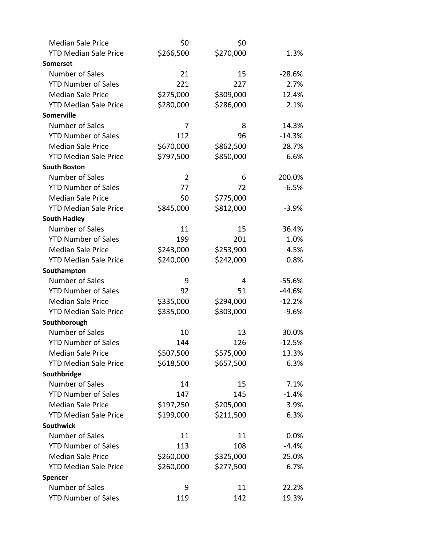| <b>Median Sale Price</b>     | \$0            | \$0       |          |
|------------------------------|----------------|-----------|----------|
| <b>YTD Median Sale Price</b> | \$266,500      | \$270,000 | 1.3%     |
| <b>Somerset</b>              |                |           |          |
| Number of Sales              | 21             | 15        | $-28.6%$ |
| <b>YTD Number of Sales</b>   | 221            | 227       | 2.7%     |
| <b>Median Sale Price</b>     | \$275,000      | \$309,000 | 12.4%    |
| <b>YTD Median Sale Price</b> | \$280,000      | \$286,000 | 2.1%     |
| <b>Somerville</b>            |                |           |          |
| Number of Sales              | 7              | 8         | 14.3%    |
| <b>YTD Number of Sales</b>   | 112            | 96        | $-14.3%$ |
| <b>Median Sale Price</b>     | \$670,000      | \$862,500 | 28.7%    |
| <b>YTD Median Sale Price</b> | \$797,500      | \$850,000 | 6.6%     |
| <b>South Boston</b>          |                |           |          |
| Number of Sales              | $\overline{2}$ | 6         | 200.0%   |
| <b>YTD Number of Sales</b>   | 77             | 72        | $-6.5%$  |
| <b>Median Sale Price</b>     | \$0            | \$775,000 |          |
| <b>YTD Median Sale Price</b> | \$845,000      | \$812,000 | $-3.9%$  |
| <b>South Hadley</b>          |                |           |          |
| Number of Sales              | 11             | 15        | 36.4%    |
| <b>YTD Number of Sales</b>   | 199            | 201       | 1.0%     |
| <b>Median Sale Price</b>     | \$243,000      | \$253,900 | 4.5%     |
| <b>YTD Median Sale Price</b> | \$240,000      | \$242,000 | 0.8%     |
| Southampton                  |                |           |          |
| Number of Sales              | 9              | 4         | $-55.6%$ |
| <b>YTD Number of Sales</b>   | 92             | 51        | $-44.6%$ |
| <b>Median Sale Price</b>     | \$335,000      | \$294,000 | $-12.2%$ |
| <b>YTD Median Sale Price</b> | \$335,000      | \$303,000 | $-9.6%$  |
| Southborough                 |                |           |          |
| Number of Sales              | 10             | 13        | 30.0%    |
| <b>YTD Number of Sales</b>   | 144            | 126       | $-12.5%$ |
| <b>Median Sale Price</b>     | \$507,500      | \$575,000 | 13.3%    |
| <b>YTD Median Sale Price</b> | \$618,500      | \$657,500 | 6.3%     |
| Southbridge                  |                |           |          |
| Number of Sales              | 14             | 15        | 7.1%     |
| <b>YTD Number of Sales</b>   | 147            | 145       | $-1.4%$  |
| <b>Median Sale Price</b>     | \$197,250      | \$205,000 | 3.9%     |
| <b>YTD Median Sale Price</b> | \$199,000      | \$211,500 | 6.3%     |
| <b>Southwick</b>             |                |           |          |
| Number of Sales              | 11             | 11        | 0.0%     |
| <b>YTD Number of Sales</b>   | 113            | 108       | $-4.4%$  |
| <b>Median Sale Price</b>     | \$260,000      | \$325,000 | 25.0%    |
| <b>YTD Median Sale Price</b> | \$260,000      | \$277,500 | 6.7%     |
| Spencer                      |                |           |          |
| Number of Sales              | 9              | 11        | 22.2%    |
| <b>YTD Number of Sales</b>   | 119            | 142       | 19.3%    |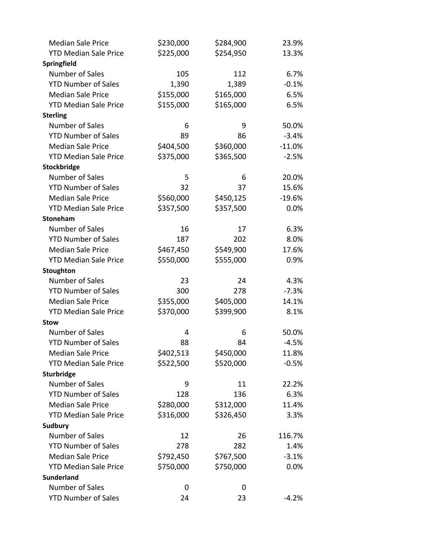| <b>Median Sale Price</b>     | \$230,000 | \$284,900 | 23.9%    |
|------------------------------|-----------|-----------|----------|
| <b>YTD Median Sale Price</b> | \$225,000 | \$254,950 | 13.3%    |
| Springfield                  |           |           |          |
| Number of Sales              | 105       | 112       | 6.7%     |
| <b>YTD Number of Sales</b>   | 1,390     | 1,389     | $-0.1%$  |
| <b>Median Sale Price</b>     | \$155,000 | \$165,000 | 6.5%     |
| <b>YTD Median Sale Price</b> | \$155,000 | \$165,000 | 6.5%     |
| <b>Sterling</b>              |           |           |          |
| Number of Sales              | 6         | 9         | 50.0%    |
| <b>YTD Number of Sales</b>   | 89        | 86        | $-3.4%$  |
| <b>Median Sale Price</b>     | \$404,500 | \$360,000 | $-11.0%$ |
| <b>YTD Median Sale Price</b> | \$375,000 | \$365,500 | $-2.5%$  |
| Stockbridge                  |           |           |          |
| Number of Sales              | 5         | 6         | 20.0%    |
| <b>YTD Number of Sales</b>   | 32        | 37        | 15.6%    |
| <b>Median Sale Price</b>     | \$560,000 | \$450,125 | $-19.6%$ |
| <b>YTD Median Sale Price</b> | \$357,500 | \$357,500 | 0.0%     |
| <b>Stoneham</b>              |           |           |          |
| Number of Sales              | 16        | 17        | 6.3%     |
| <b>YTD Number of Sales</b>   | 187       | 202       | 8.0%     |
| <b>Median Sale Price</b>     | \$467,450 | \$549,900 | 17.6%    |
| <b>YTD Median Sale Price</b> | \$550,000 | \$555,000 | 0.9%     |
| Stoughton                    |           |           |          |
| Number of Sales              | 23        | 24        | 4.3%     |
| <b>YTD Number of Sales</b>   | 300       | 278       | $-7.3%$  |
| <b>Median Sale Price</b>     | \$355,000 | \$405,000 | 14.1%    |
| <b>YTD Median Sale Price</b> | \$370,000 | \$399,900 | 8.1%     |
| <b>Stow</b>                  |           |           |          |
| Number of Sales              | 4         | 6         | 50.0%    |
| <b>YTD Number of Sales</b>   | 88        | 84        | $-4.5%$  |
| <b>Median Sale Price</b>     | \$402,513 | \$450,000 | 11.8%    |
| <b>YTD Median Sale Price</b> | \$522,500 | \$520,000 | $-0.5%$  |
| Sturbridge                   |           |           |          |
| Number of Sales              | 9         | 11        | 22.2%    |
| <b>YTD Number of Sales</b>   | 128       | 136       | 6.3%     |
| <b>Median Sale Price</b>     | \$280,000 | \$312,000 | 11.4%    |
| <b>YTD Median Sale Price</b> | \$316,000 | \$326,450 | 3.3%     |
| Sudbury                      |           |           |          |
| Number of Sales              | 12        | 26        | 116.7%   |
| <b>YTD Number of Sales</b>   | 278       | 282       | 1.4%     |
| <b>Median Sale Price</b>     | \$792,450 | \$767,500 | $-3.1%$  |
| <b>YTD Median Sale Price</b> | \$750,000 | \$750,000 | 0.0%     |
| <b>Sunderland</b>            |           |           |          |
| Number of Sales              | 0         | 0         |          |
| <b>YTD Number of Sales</b>   | 24        | 23        | $-4.2%$  |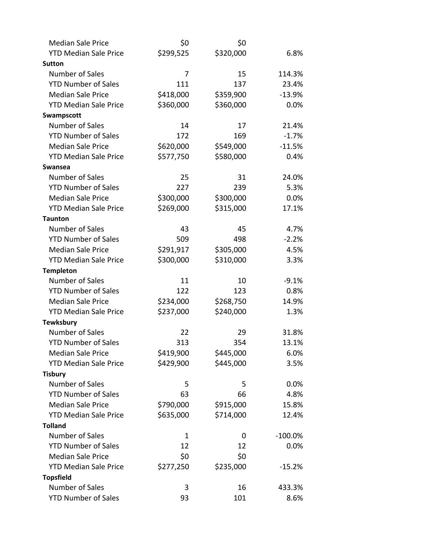| <b>Median Sale Price</b>     | \$0       | \$0       |           |
|------------------------------|-----------|-----------|-----------|
| <b>YTD Median Sale Price</b> | \$299,525 | \$320,000 | 6.8%      |
| <b>Sutton</b>                |           |           |           |
| <b>Number of Sales</b>       | 7         | 15        | 114.3%    |
| <b>YTD Number of Sales</b>   | 111       | 137       | 23.4%     |
| <b>Median Sale Price</b>     | \$418,000 | \$359,900 | $-13.9%$  |
| <b>YTD Median Sale Price</b> | \$360,000 | \$360,000 | 0.0%      |
| Swampscott                   |           |           |           |
| <b>Number of Sales</b>       | 14        | 17        | 21.4%     |
| <b>YTD Number of Sales</b>   | 172       | 169       | $-1.7%$   |
| <b>Median Sale Price</b>     | \$620,000 | \$549,000 | $-11.5%$  |
| <b>YTD Median Sale Price</b> | \$577,750 | \$580,000 | 0.4%      |
| <b>Swansea</b>               |           |           |           |
| <b>Number of Sales</b>       | 25        | 31        | 24.0%     |
| <b>YTD Number of Sales</b>   | 227       | 239       | 5.3%      |
| <b>Median Sale Price</b>     | \$300,000 | \$300,000 | 0.0%      |
| <b>YTD Median Sale Price</b> | \$269,000 | \$315,000 | 17.1%     |
| <b>Taunton</b>               |           |           |           |
| <b>Number of Sales</b>       | 43        | 45        | 4.7%      |
| <b>YTD Number of Sales</b>   | 509       | 498       | $-2.2%$   |
| <b>Median Sale Price</b>     | \$291,917 | \$305,000 | 4.5%      |
| <b>YTD Median Sale Price</b> | \$300,000 | \$310,000 | 3.3%      |
| <b>Templeton</b>             |           |           |           |
| <b>Number of Sales</b>       | 11        | 10        | $-9.1%$   |
| <b>YTD Number of Sales</b>   | 122       | 123       | 0.8%      |
| <b>Median Sale Price</b>     | \$234,000 | \$268,750 | 14.9%     |
| <b>YTD Median Sale Price</b> | \$237,000 | \$240,000 | 1.3%      |
| <b>Tewksbury</b>             |           |           |           |
| <b>Number of Sales</b>       | 22        | 29        | 31.8%     |
| <b>YTD Number of Sales</b>   | 313       | 354       | 13.1%     |
| <b>Median Sale Price</b>     | \$419,900 | \$445,000 | 6.0%      |
| <b>YTD Median Sale Price</b> | \$429,900 | \$445,000 | 3.5%      |
| <b>Tisbury</b>               |           |           |           |
| Number of Sales              | 5         | 5         | 0.0%      |
| <b>YTD Number of Sales</b>   | 63        | 66        | 4.8%      |
| <b>Median Sale Price</b>     | \$790,000 | \$915,000 | 15.8%     |
| <b>YTD Median Sale Price</b> | \$635,000 | \$714,000 | 12.4%     |
| <b>Tolland</b>               |           |           |           |
| Number of Sales              | 1         | 0         | $-100.0%$ |
| <b>YTD Number of Sales</b>   | 12        | 12        | 0.0%      |
| <b>Median Sale Price</b>     | \$0       | \$0       |           |
| <b>YTD Median Sale Price</b> | \$277,250 | \$235,000 | $-15.2%$  |
| <b>Topsfield</b>             |           |           |           |
| Number of Sales              | 3         | 16        | 433.3%    |
| <b>YTD Number of Sales</b>   | 93        | 101       | 8.6%      |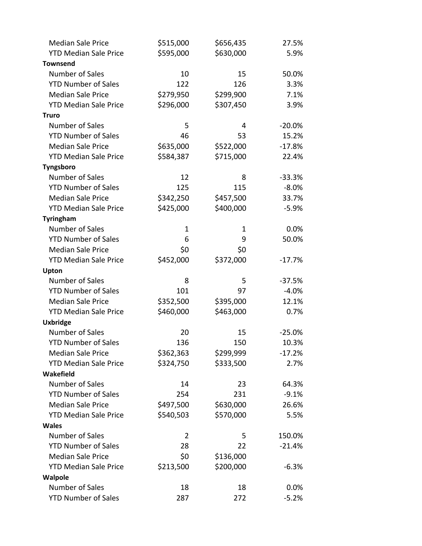| <b>Median Sale Price</b>     | \$515,000      | \$656,435 | 27.5%    |
|------------------------------|----------------|-----------|----------|
| <b>YTD Median Sale Price</b> | \$595,000      | \$630,000 | 5.9%     |
| <b>Townsend</b>              |                |           |          |
| Number of Sales              | 10             | 15        | 50.0%    |
| <b>YTD Number of Sales</b>   | 122            | 126       | 3.3%     |
| <b>Median Sale Price</b>     | \$279,950      | \$299,900 | 7.1%     |
| <b>YTD Median Sale Price</b> | \$296,000      | \$307,450 | 3.9%     |
| <b>Truro</b>                 |                |           |          |
| Number of Sales              | 5              | 4         | $-20.0%$ |
| <b>YTD Number of Sales</b>   | 46             | 53        | 15.2%    |
| <b>Median Sale Price</b>     | \$635,000      | \$522,000 | $-17.8%$ |
| <b>YTD Median Sale Price</b> | \$584,387      | \$715,000 | 22.4%    |
| Tyngsboro                    |                |           |          |
| Number of Sales              | 12             | 8         | $-33.3%$ |
| <b>YTD Number of Sales</b>   | 125            | 115       | $-8.0%$  |
| <b>Median Sale Price</b>     | \$342,250      | \$457,500 | 33.7%    |
| <b>YTD Median Sale Price</b> | \$425,000      | \$400,000 | $-5.9%$  |
| <b>Tyringham</b>             |                |           |          |
| <b>Number of Sales</b>       | 1              | 1         | 0.0%     |
| <b>YTD Number of Sales</b>   | 6              | 9         | 50.0%    |
| <b>Median Sale Price</b>     | \$0            | \$0       |          |
| <b>YTD Median Sale Price</b> | \$452,000      | \$372,000 | $-17.7%$ |
| Upton                        |                |           |          |
| Number of Sales              | 8              | 5         | $-37.5%$ |
| <b>YTD Number of Sales</b>   | 101            | 97        | $-4.0%$  |
| <b>Median Sale Price</b>     | \$352,500      | \$395,000 | 12.1%    |
| <b>YTD Median Sale Price</b> | \$460,000      | \$463,000 | 0.7%     |
| <b>Uxbridge</b>              |                |           |          |
| <b>Number of Sales</b>       | 20             | 15        | $-25.0%$ |
| <b>YTD Number of Sales</b>   | 136            | 150       | 10.3%    |
| <b>Median Sale Price</b>     | \$362,363      | \$299,999 | $-17.2%$ |
| <b>YTD Median Sale Price</b> | \$324,750      | \$333,500 | 2.7%     |
| Wakefield                    |                |           |          |
| <b>Number of Sales</b>       | 14             | 23        | 64.3%    |
| <b>YTD Number of Sales</b>   | 254            | 231       | $-9.1%$  |
| <b>Median Sale Price</b>     | \$497,500      | \$630,000 | 26.6%    |
| <b>YTD Median Sale Price</b> | \$540,503      | \$570,000 | 5.5%     |
| <b>Wales</b>                 |                |           |          |
| Number of Sales              | $\overline{2}$ | 5         | 150.0%   |
| <b>YTD Number of Sales</b>   | 28             | 22        | $-21.4%$ |
| <b>Median Sale Price</b>     | \$0            | \$136,000 |          |
| <b>YTD Median Sale Price</b> | \$213,500      | \$200,000 | $-6.3%$  |
| Walpole                      |                |           |          |
| <b>Number of Sales</b>       | 18             | 18        | 0.0%     |
| <b>YTD Number of Sales</b>   | 287            | 272       | $-5.2%$  |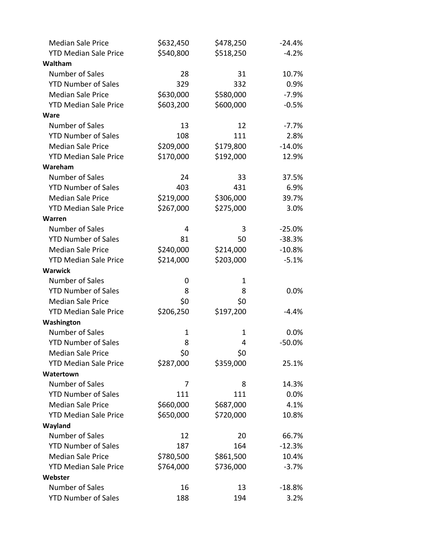| <b>Median Sale Price</b>     | \$632,450 | \$478,250 | $-24.4%$ |
|------------------------------|-----------|-----------|----------|
| <b>YTD Median Sale Price</b> | \$540,800 | \$518,250 | $-4.2%$  |
| Waltham                      |           |           |          |
| Number of Sales              | 28        | 31        | 10.7%    |
| <b>YTD Number of Sales</b>   | 329       | 332       | 0.9%     |
| <b>Median Sale Price</b>     | \$630,000 | \$580,000 | $-7.9%$  |
| <b>YTD Median Sale Price</b> | \$603,200 | \$600,000 | $-0.5%$  |
| <b>Ware</b>                  |           |           |          |
| Number of Sales              | 13        | 12        | $-7.7\%$ |
| <b>YTD Number of Sales</b>   | 108       | 111       | 2.8%     |
| <b>Median Sale Price</b>     | \$209,000 | \$179,800 | $-14.0%$ |
| <b>YTD Median Sale Price</b> | \$170,000 | \$192,000 | 12.9%    |
| Wareham                      |           |           |          |
| Number of Sales              | 24        | 33        | 37.5%    |
| <b>YTD Number of Sales</b>   | 403       | 431       | 6.9%     |
| <b>Median Sale Price</b>     | \$219,000 | \$306,000 | 39.7%    |
| <b>YTD Median Sale Price</b> | \$267,000 | \$275,000 | 3.0%     |
| Warren                       |           |           |          |
| Number of Sales              | 4         | 3         | $-25.0%$ |
| <b>YTD Number of Sales</b>   | 81        | 50        | $-38.3%$ |
| <b>Median Sale Price</b>     | \$240,000 | \$214,000 | $-10.8%$ |
| <b>YTD Median Sale Price</b> | \$214,000 | \$203,000 | $-5.1%$  |
| <b>Warwick</b>               |           |           |          |
| Number of Sales              | 0         | 1         |          |
| <b>YTD Number of Sales</b>   | 8         | 8         | 0.0%     |
| <b>Median Sale Price</b>     | \$0       | \$0       |          |
| <b>YTD Median Sale Price</b> | \$206,250 | \$197,200 | $-4.4%$  |
| Washington                   |           |           |          |
| Number of Sales              | 1         | 1         | 0.0%     |
| <b>YTD Number of Sales</b>   | 8         | 4         | $-50.0%$ |
| <b>Median Sale Price</b>     | \$0       | \$0       |          |
| <b>YTD Median Sale Price</b> | \$287,000 | \$359,000 | 25.1%    |
| Watertown                    |           |           |          |
| Number of Sales              | 7         | 8         | 14.3%    |
| <b>YTD Number of Sales</b>   | 111       | 111       | 0.0%     |
| <b>Median Sale Price</b>     | \$660,000 | \$687,000 | 4.1%     |
| <b>YTD Median Sale Price</b> | \$650,000 | \$720,000 | 10.8%    |
| Wayland                      |           |           |          |
| Number of Sales              | 12        | 20        | 66.7%    |
| <b>YTD Number of Sales</b>   | 187       | 164       | $-12.3%$ |
| <b>Median Sale Price</b>     | \$780,500 | \$861,500 | 10.4%    |
| <b>YTD Median Sale Price</b> | \$764,000 | \$736,000 | $-3.7%$  |
| Webster                      |           |           |          |
| Number of Sales              | 16        | 13        | $-18.8%$ |
| <b>YTD Number of Sales</b>   | 188       | 194       | 3.2%     |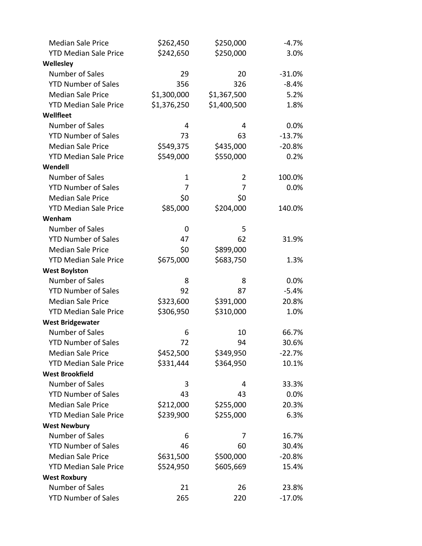| <b>Median Sale Price</b>     | \$262,450   | \$250,000   | $-4.7\%$ |
|------------------------------|-------------|-------------|----------|
| <b>YTD Median Sale Price</b> | \$242,650   | \$250,000   | 3.0%     |
| Wellesley                    |             |             |          |
| Number of Sales              | 29          | 20          | $-31.0%$ |
| <b>YTD Number of Sales</b>   | 356         | 326         | $-8.4%$  |
| <b>Median Sale Price</b>     | \$1,300,000 | \$1,367,500 | 5.2%     |
| <b>YTD Median Sale Price</b> | \$1,376,250 | \$1,400,500 | 1.8%     |
| Wellfleet                    |             |             |          |
| Number of Sales              | 4           | 4           | 0.0%     |
| <b>YTD Number of Sales</b>   | 73          | 63          | $-13.7%$ |
| <b>Median Sale Price</b>     | \$549,375   | \$435,000   | $-20.8%$ |
| <b>YTD Median Sale Price</b> | \$549,000   | \$550,000   | 0.2%     |
| Wendell                      |             |             |          |
| Number of Sales              | 1           | 2           | 100.0%   |
| <b>YTD Number of Sales</b>   | 7           | 7           | 0.0%     |
| <b>Median Sale Price</b>     | \$0         | \$0         |          |
| <b>YTD Median Sale Price</b> | \$85,000    | \$204,000   | 140.0%   |
| Wenham                       |             |             |          |
| Number of Sales              | 0           | 5           |          |
| <b>YTD Number of Sales</b>   | 47          | 62          | 31.9%    |
| <b>Median Sale Price</b>     | \$0         | \$899,000   |          |
| <b>YTD Median Sale Price</b> | \$675,000   | \$683,750   | 1.3%     |
| <b>West Boylston</b>         |             |             |          |
| Number of Sales              | 8           | 8           | 0.0%     |
| <b>YTD Number of Sales</b>   | 92          | 87          | $-5.4%$  |
| <b>Median Sale Price</b>     | \$323,600   | \$391,000   | 20.8%    |
| <b>YTD Median Sale Price</b> | \$306,950   | \$310,000   | 1.0%     |
| <b>West Bridgewater</b>      |             |             |          |
| <b>Number of Sales</b>       | 6           | 10          | 66.7%    |
| <b>YTD Number of Sales</b>   | 72          | 94          | 30.6%    |
| <b>Median Sale Price</b>     | \$452,500   | \$349,950   | $-22.7%$ |
| <b>YTD Median Sale Price</b> | \$331,444   | \$364,950   | 10.1%    |
| <b>West Brookfield</b>       |             |             |          |
| Number of Sales              | 3           | 4           | 33.3%    |
| <b>YTD Number of Sales</b>   | 43          | 43          | 0.0%     |
| <b>Median Sale Price</b>     | \$212,000   | \$255,000   | 20.3%    |
| <b>YTD Median Sale Price</b> | \$239,900   | \$255,000   | 6.3%     |
| <b>West Newbury</b>          |             |             |          |
| Number of Sales              | 6           | 7           | 16.7%    |
| <b>YTD Number of Sales</b>   | 46          | 60          | 30.4%    |
| <b>Median Sale Price</b>     | \$631,500   | \$500,000   | $-20.8%$ |
| <b>YTD Median Sale Price</b> | \$524,950   | \$605,669   | 15.4%    |
| <b>West Roxbury</b>          |             |             |          |
| Number of Sales              | 21          | 26          | 23.8%    |
| <b>YTD Number of Sales</b>   | 265         | 220         | $-17.0%$ |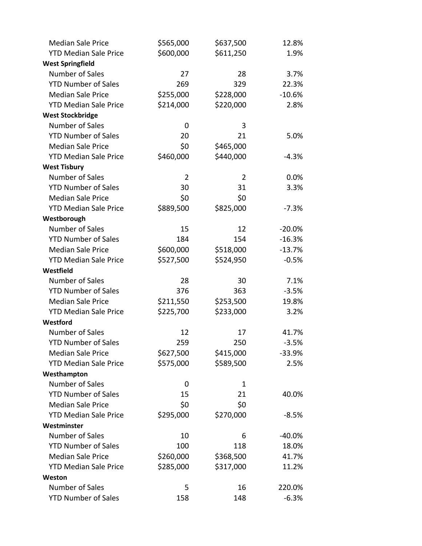| <b>Median Sale Price</b>     | \$565,000      | \$637,500 | 12.8%    |
|------------------------------|----------------|-----------|----------|
| <b>YTD Median Sale Price</b> | \$600,000      | \$611,250 | 1.9%     |
| <b>West Springfield</b>      |                |           |          |
| Number of Sales              | 27             | 28        | 3.7%     |
| <b>YTD Number of Sales</b>   | 269            | 329       | 22.3%    |
| <b>Median Sale Price</b>     | \$255,000      | \$228,000 | $-10.6%$ |
| <b>YTD Median Sale Price</b> | \$214,000      | \$220,000 | 2.8%     |
| <b>West Stockbridge</b>      |                |           |          |
| Number of Sales              | 0              | 3         |          |
| <b>YTD Number of Sales</b>   | 20             | 21        | 5.0%     |
| <b>Median Sale Price</b>     | \$0            | \$465,000 |          |
| <b>YTD Median Sale Price</b> | \$460,000      | \$440,000 | $-4.3%$  |
| <b>West Tisbury</b>          |                |           |          |
| Number of Sales              | $\overline{2}$ | 2         | 0.0%     |
| <b>YTD Number of Sales</b>   | 30             | 31        | 3.3%     |
| <b>Median Sale Price</b>     | \$0            | \$0       |          |
| <b>YTD Median Sale Price</b> | \$889,500      | \$825,000 | $-7.3%$  |
| Westborough                  |                |           |          |
| Number of Sales              | 15             | 12        | $-20.0%$ |
| <b>YTD Number of Sales</b>   | 184            | 154       | $-16.3%$ |
| <b>Median Sale Price</b>     | \$600,000      | \$518,000 | $-13.7%$ |
| <b>YTD Median Sale Price</b> | \$527,500      | \$524,950 | $-0.5%$  |
| Westfield                    |                |           |          |
| Number of Sales              | 28             | 30        | 7.1%     |
| <b>YTD Number of Sales</b>   | 376            | 363       | $-3.5%$  |
| <b>Median Sale Price</b>     | \$211,550      | \$253,500 | 19.8%    |
| <b>YTD Median Sale Price</b> | \$225,700      | \$233,000 | 3.2%     |
| Westford                     |                |           |          |
| Number of Sales              | 12             | 17        | 41.7%    |
| <b>YTD Number of Sales</b>   | 259            | 250       | $-3.5%$  |
| <b>Median Sale Price</b>     | \$627,500      | \$415,000 | $-33.9%$ |
| <b>YTD Median Sale Price</b> | \$575,000      | \$589,500 | 2.5%     |
| Westhampton                  |                |           |          |
| Number of Sales              | 0              | 1         |          |
| <b>YTD Number of Sales</b>   | 15             | 21        | 40.0%    |
| <b>Median Sale Price</b>     | \$0            | \$0       |          |
| <b>YTD Median Sale Price</b> | \$295,000      | \$270,000 | $-8.5%$  |
| Westminster                  |                |           |          |
| Number of Sales              | 10             | 6         | $-40.0%$ |
| <b>YTD Number of Sales</b>   | 100            | 118       | 18.0%    |
| <b>Median Sale Price</b>     | \$260,000      | \$368,500 | 41.7%    |
| <b>YTD Median Sale Price</b> | \$285,000      | \$317,000 | 11.2%    |
| Weston                       |                |           |          |
| Number of Sales              | 5              | 16        | 220.0%   |
| <b>YTD Number of Sales</b>   | 158            | 148       | $-6.3%$  |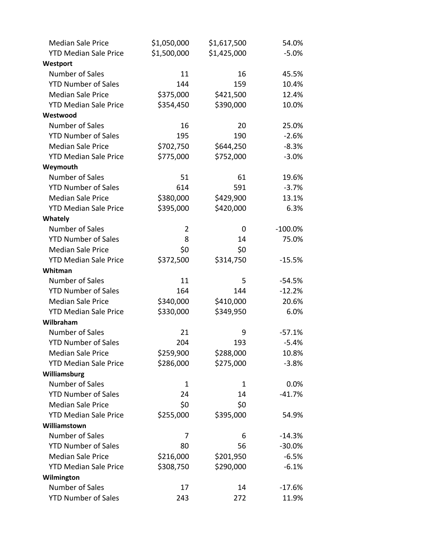| <b>Median Sale Price</b>     | \$1,050,000  | \$1,617,500 | 54.0%      |
|------------------------------|--------------|-------------|------------|
| <b>YTD Median Sale Price</b> | \$1,500,000  | \$1,425,000 | $-5.0%$    |
| Westport                     |              |             |            |
| Number of Sales              | 11           | 16          | 45.5%      |
| <b>YTD Number of Sales</b>   | 144          | 159         | 10.4%      |
| <b>Median Sale Price</b>     | \$375,000    | \$421,500   | 12.4%      |
| <b>YTD Median Sale Price</b> | \$354,450    | \$390,000   | 10.0%      |
| Westwood                     |              |             |            |
| Number of Sales              | 16           | 20          | 25.0%      |
| <b>YTD Number of Sales</b>   | 195          | 190         | $-2.6%$    |
| <b>Median Sale Price</b>     | \$702,750    | \$644,250   | $-8.3%$    |
| <b>YTD Median Sale Price</b> | \$775,000    | \$752,000   | $-3.0%$    |
| Weymouth                     |              |             |            |
| Number of Sales              | 51           | 61          | 19.6%      |
| <b>YTD Number of Sales</b>   | 614          | 591         | $-3.7%$    |
| <b>Median Sale Price</b>     | \$380,000    | \$429,900   | 13.1%      |
| <b>YTD Median Sale Price</b> | \$395,000    | \$420,000   | 6.3%       |
| Whately                      |              |             |            |
| Number of Sales              | 2            | 0           | $-100.0\%$ |
| <b>YTD Number of Sales</b>   | 8            | 14          | 75.0%      |
| <b>Median Sale Price</b>     | \$0          | \$0         |            |
| <b>YTD Median Sale Price</b> | \$372,500    | \$314,750   | $-15.5%$   |
| Whitman                      |              |             |            |
| Number of Sales              | 11           | 5           | $-54.5%$   |
| <b>YTD Number of Sales</b>   | 164          | 144         | $-12.2%$   |
| <b>Median Sale Price</b>     | \$340,000    | \$410,000   | 20.6%      |
| <b>YTD Median Sale Price</b> | \$330,000    | \$349,950   | 6.0%       |
| Wilbraham                    |              |             |            |
| Number of Sales              | 21           | 9           | $-57.1%$   |
| <b>YTD Number of Sales</b>   | 204          | 193         | $-5.4%$    |
| <b>Median Sale Price</b>     | \$259,900    | \$288,000   | 10.8%      |
| <b>YTD Median Sale Price</b> | \$286,000    | \$275,000   | $-3.8%$    |
| Williamsburg                 |              |             |            |
| Number of Sales              | $\mathbf{1}$ | 1           | 0.0%       |
| <b>YTD Number of Sales</b>   | 24           | 14          | $-41.7%$   |
| <b>Median Sale Price</b>     | \$0          | \$0         |            |
| <b>YTD Median Sale Price</b> | \$255,000    | \$395,000   | 54.9%      |
| Williamstown                 |              |             |            |
| Number of Sales              | 7            | 6           | $-14.3%$   |
| <b>YTD Number of Sales</b>   | 80           | 56          | $-30.0%$   |
| <b>Median Sale Price</b>     | \$216,000    | \$201,950   | $-6.5%$    |
| <b>YTD Median Sale Price</b> | \$308,750    | \$290,000   | $-6.1%$    |
| Wilmington                   |              |             |            |
| Number of Sales              | 17           | 14          | $-17.6%$   |
| <b>YTD Number of Sales</b>   | 243          | 272         | 11.9%      |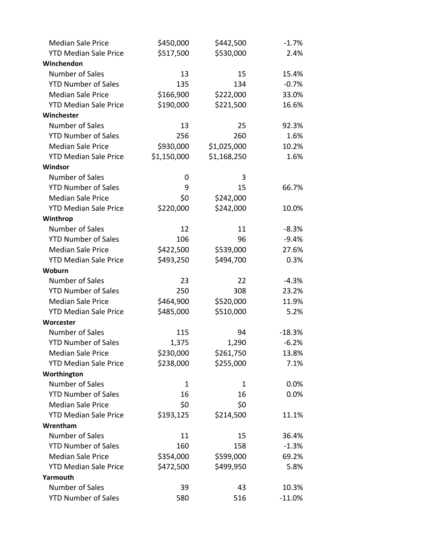| <b>Median Sale Price</b>     | \$450,000   | \$442,500   | $-1.7%$  |
|------------------------------|-------------|-------------|----------|
| <b>YTD Median Sale Price</b> | \$517,500   | \$530,000   | 2.4%     |
| Winchendon                   |             |             |          |
| Number of Sales              | 13          | 15          | 15.4%    |
| <b>YTD Number of Sales</b>   | 135         | 134         | $-0.7%$  |
| <b>Median Sale Price</b>     | \$166,900   | \$222,000   | 33.0%    |
| <b>YTD Median Sale Price</b> | \$190,000   | \$221,500   | 16.6%    |
| Winchester                   |             |             |          |
| Number of Sales              | 13          | 25          | 92.3%    |
| <b>YTD Number of Sales</b>   | 256         | 260         | 1.6%     |
| <b>Median Sale Price</b>     | \$930,000   | \$1,025,000 | 10.2%    |
| <b>YTD Median Sale Price</b> | \$1,150,000 | \$1,168,250 | 1.6%     |
| Windsor                      |             |             |          |
| Number of Sales              | 0           | 3           |          |
| <b>YTD Number of Sales</b>   | 9           | 15          | 66.7%    |
| <b>Median Sale Price</b>     | \$0         | \$242,000   |          |
| <b>YTD Median Sale Price</b> | \$220,000   | \$242,000   | 10.0%    |
| Winthrop                     |             |             |          |
| Number of Sales              | 12          | 11          | $-8.3%$  |
| <b>YTD Number of Sales</b>   | 106         | 96          | $-9.4%$  |
| <b>Median Sale Price</b>     | \$422,500   | \$539,000   | 27.6%    |
| <b>YTD Median Sale Price</b> | \$493,250   | \$494,700   | 0.3%     |
| Woburn                       |             |             |          |
| Number of Sales              | 23          | 22          | $-4.3%$  |
| <b>YTD Number of Sales</b>   | 250         | 308         | 23.2%    |
| <b>Median Sale Price</b>     | \$464,900   | \$520,000   | 11.9%    |
| <b>YTD Median Sale Price</b> | \$485,000   | \$510,000   | 5.2%     |
| Worcester                    |             |             |          |
| Number of Sales              | 115         | 94          | $-18.3%$ |
| <b>YTD Number of Sales</b>   | 1,375       | 1,290       | $-6.2%$  |
| <b>Median Sale Price</b>     | \$230,000   | \$261,750   | 13.8%    |
| <b>YTD Median Sale Price</b> | \$238,000   | \$255,000   | 7.1%     |
| Worthington                  |             |             |          |
| Number of Sales              | 1           | 1           | 0.0%     |
| <b>YTD Number of Sales</b>   | 16          | 16          | 0.0%     |
| <b>Median Sale Price</b>     | \$0         | \$0         |          |
| <b>YTD Median Sale Price</b> | \$193,125   | \$214,500   | 11.1%    |
| Wrentham                     |             |             |          |
| Number of Sales              | 11          | 15          | 36.4%    |
| <b>YTD Number of Sales</b>   | 160         | 158         | $-1.3%$  |
| <b>Median Sale Price</b>     | \$354,000   | \$599,000   | 69.2%    |
| <b>YTD Median Sale Price</b> | \$472,500   | \$499,950   | 5.8%     |
| Yarmouth                     |             |             |          |
| Number of Sales              | 39          | 43          | 10.3%    |
| <b>YTD Number of Sales</b>   | 580         | 516         | $-11.0%$ |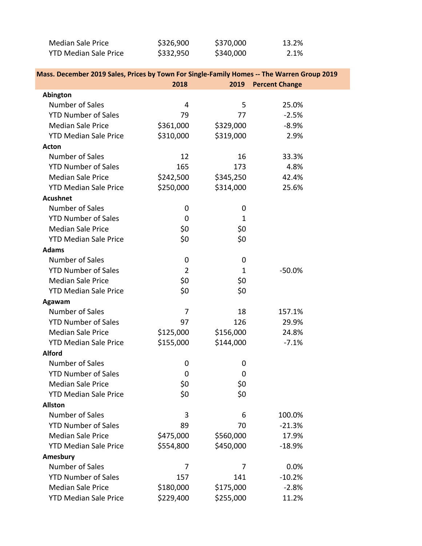| Median Sale Price            | \$326,900 | \$370,000 | 13.2% |
|------------------------------|-----------|-----------|-------|
| <b>YTD Median Sale Price</b> | \$332,950 | \$340,000 | 2.1%  |

| Mass. December 2019 Sales, Prices by Town For Single-Family Homes -- The Warren Group 2019 |                |              |                       |  |
|--------------------------------------------------------------------------------------------|----------------|--------------|-----------------------|--|
|                                                                                            | 2018           | 2019         | <b>Percent Change</b> |  |
| Abington                                                                                   |                |              |                       |  |
| Number of Sales                                                                            | 4              | 5            | 25.0%                 |  |
| <b>YTD Number of Sales</b>                                                                 | 79             | 77           | $-2.5%$               |  |
| <b>Median Sale Price</b>                                                                   | \$361,000      | \$329,000    | $-8.9%$               |  |
| <b>YTD Median Sale Price</b>                                                               | \$310,000      | \$319,000    | 2.9%                  |  |
| <b>Acton</b>                                                                               |                |              |                       |  |
| Number of Sales                                                                            | 12             | 16           | 33.3%                 |  |
| <b>YTD Number of Sales</b>                                                                 | 165            | 173          | 4.8%                  |  |
| <b>Median Sale Price</b>                                                                   | \$242,500      | \$345,250    | 42.4%                 |  |
| <b>YTD Median Sale Price</b>                                                               | \$250,000      | \$314,000    | 25.6%                 |  |
| <b>Acushnet</b>                                                                            |                |              |                       |  |
| Number of Sales                                                                            | 0              | 0            |                       |  |
| <b>YTD Number of Sales</b>                                                                 | 0              | $\mathbf 1$  |                       |  |
| <b>Median Sale Price</b>                                                                   | \$0            | \$0          |                       |  |
| <b>YTD Median Sale Price</b>                                                               | \$0            | \$0          |                       |  |
| <b>Adams</b>                                                                               |                |              |                       |  |
| Number of Sales                                                                            | 0              | 0            |                       |  |
| <b>YTD Number of Sales</b>                                                                 | $\overline{2}$ | $\mathbf{1}$ | $-50.0%$              |  |
| <b>Median Sale Price</b>                                                                   | \$0            | \$0          |                       |  |
| <b>YTD Median Sale Price</b>                                                               | \$0            | \$0          |                       |  |
| Agawam                                                                                     |                |              |                       |  |
| Number of Sales                                                                            | $\overline{7}$ | 18           | 157.1%                |  |
| <b>YTD Number of Sales</b>                                                                 | 97             | 126          | 29.9%                 |  |
| <b>Median Sale Price</b>                                                                   | \$125,000      | \$156,000    | 24.8%                 |  |
| <b>YTD Median Sale Price</b>                                                               | \$155,000      | \$144,000    | $-7.1%$               |  |
| <b>Alford</b>                                                                              |                |              |                       |  |
| Number of Sales                                                                            | 0              | 0            |                       |  |
| <b>YTD Number of Sales</b>                                                                 | 0              | 0            |                       |  |
| <b>Median Sale Price</b>                                                                   | \$0            | \$0          |                       |  |
| <b>YTD Median Sale Price</b>                                                               | \$0            | \$0          |                       |  |
| <b>Allston</b>                                                                             |                |              |                       |  |
| Number of Sales                                                                            | 3              | 6            | 100.0%                |  |
| <b>YTD Number of Sales</b>                                                                 | 89             | 70           | $-21.3%$              |  |
| <b>Median Sale Price</b>                                                                   | \$475,000      | \$560,000    | 17.9%                 |  |
| <b>YTD Median Sale Price</b>                                                               | \$554,800      | \$450,000    | $-18.9%$              |  |
| Amesbury                                                                                   |                |              |                       |  |
| Number of Sales                                                                            | 7              | 7            | 0.0%                  |  |
| <b>YTD Number of Sales</b>                                                                 | 157            | 141          | $-10.2%$              |  |
| <b>Median Sale Price</b>                                                                   | \$180,000      | \$175,000    | $-2.8%$               |  |
| <b>YTD Median Sale Price</b>                                                               | \$229,400      | \$255,000    | 11.2%                 |  |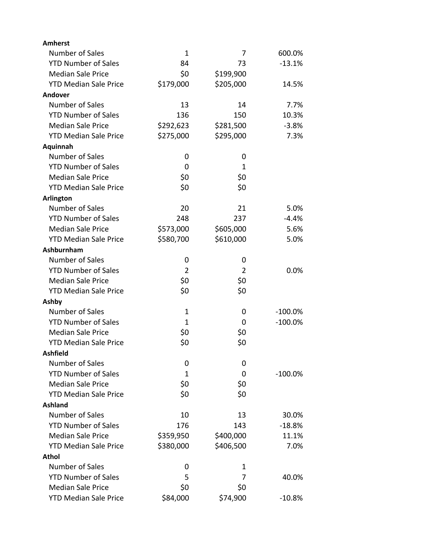| <b>Amherst</b>               |                |                |            |
|------------------------------|----------------|----------------|------------|
| Number of Sales              | $\mathbf 1$    | 7              | 600.0%     |
| <b>YTD Number of Sales</b>   | 84             | 73             | $-13.1%$   |
| <b>Median Sale Price</b>     | \$0            | \$199,900      |            |
| <b>YTD Median Sale Price</b> | \$179,000      | \$205,000      | 14.5%      |
| Andover                      |                |                |            |
| Number of Sales              | 13             | 14             | 7.7%       |
| <b>YTD Number of Sales</b>   | 136            | 150            | 10.3%      |
| <b>Median Sale Price</b>     | \$292,623      | \$281,500      | $-3.8%$    |
| <b>YTD Median Sale Price</b> | \$275,000      | \$295,000      | 7.3%       |
| Aquinnah                     |                |                |            |
| Number of Sales              | 0              | 0              |            |
| <b>YTD Number of Sales</b>   | 0              | 1              |            |
| <b>Median Sale Price</b>     | \$0            | \$0            |            |
| <b>YTD Median Sale Price</b> | \$0            | \$0            |            |
| Arlington                    |                |                |            |
| Number of Sales              | 20             | 21             | 5.0%       |
| <b>YTD Number of Sales</b>   | 248            | 237            | $-4.4%$    |
| <b>Median Sale Price</b>     | \$573,000      | \$605,000      | 5.6%       |
| <b>YTD Median Sale Price</b> | \$580,700      | \$610,000      | 5.0%       |
| Ashburnham                   |                |                |            |
| Number of Sales              | 0              | 0              |            |
| <b>YTD Number of Sales</b>   | $\overline{2}$ | $\overline{2}$ | 0.0%       |
| <b>Median Sale Price</b>     | \$0            | \$0            |            |
| <b>YTD Median Sale Price</b> | \$0            | \$0            |            |
| Ashby                        |                |                |            |
| Number of Sales              | $\mathbf 1$    | 0              | $-100.0\%$ |
| <b>YTD Number of Sales</b>   | 1              | 0              | $-100.0%$  |
| <b>Median Sale Price</b>     | \$0            | \$0            |            |
| <b>YTD Median Sale Price</b> | \$0            | \$0            |            |
| <b>Ashfield</b>              |                |                |            |
| Number of Sales              | 0              | 0              |            |
| <b>YTD Number of Sales</b>   | 1              | 0              | $-100.0%$  |
| <b>Median Sale Price</b>     | \$0            | \$0            |            |
| <b>YTD Median Sale Price</b> | \$0            | \$0            |            |
| <b>Ashland</b>               |                |                |            |
| Number of Sales              | 10             | 13             | 30.0%      |
| <b>YTD Number of Sales</b>   | 176            | 143            | $-18.8%$   |
| <b>Median Sale Price</b>     | \$359,950      | \$400,000      | 11.1%      |
| <b>YTD Median Sale Price</b> | \$380,000      | \$406,500      | 7.0%       |
| Athol                        |                |                |            |
| Number of Sales              | 0              | 1              |            |
| <b>YTD Number of Sales</b>   | 5              | 7              | 40.0%      |
| <b>Median Sale Price</b>     | \$0            | \$0            |            |
| <b>YTD Median Sale Price</b> | \$84,000       | \$74,900       | $-10.8%$   |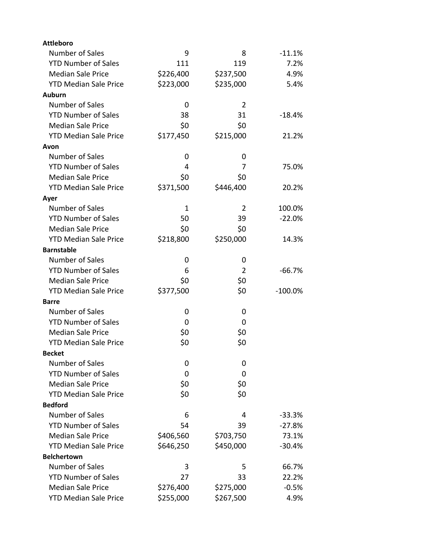| <b>Attleboro</b>             |              |                |           |
|------------------------------|--------------|----------------|-----------|
| Number of Sales              | 9            | 8              | $-11.1%$  |
| <b>YTD Number of Sales</b>   | 111          | 119            | 7.2%      |
| <b>Median Sale Price</b>     | \$226,400    | \$237,500      | 4.9%      |
| <b>YTD Median Sale Price</b> | \$223,000    | \$235,000      | 5.4%      |
| <b>Auburn</b>                |              |                |           |
| Number of Sales              | 0            | $\overline{2}$ |           |
| <b>YTD Number of Sales</b>   | 38           | 31             | $-18.4%$  |
| <b>Median Sale Price</b>     | \$0          | \$0            |           |
| <b>YTD Median Sale Price</b> | \$177,450    | \$215,000      | 21.2%     |
| Avon                         |              |                |           |
| <b>Number of Sales</b>       | 0            | 0              |           |
| <b>YTD Number of Sales</b>   | 4            | 7              | 75.0%     |
| <b>Median Sale Price</b>     | \$0          | \$0            |           |
| <b>YTD Median Sale Price</b> | \$371,500    | \$446,400      | 20.2%     |
| Ayer                         |              |                |           |
| Number of Sales              | $\mathbf{1}$ | $\overline{2}$ | 100.0%    |
| <b>YTD Number of Sales</b>   | 50           | 39             | $-22.0%$  |
| <b>Median Sale Price</b>     | \$0          | \$0            |           |
| <b>YTD Median Sale Price</b> | \$218,800    | \$250,000      | 14.3%     |
| <b>Barnstable</b>            |              |                |           |
| Number of Sales              | 0            | 0              |           |
| <b>YTD Number of Sales</b>   | 6            | $\overline{2}$ | $-66.7%$  |
| <b>Median Sale Price</b>     | \$0          | \$0            |           |
| <b>YTD Median Sale Price</b> | \$377,500    | \$0            | $-100.0%$ |
| <b>Barre</b>                 |              |                |           |
| Number of Sales              | 0            | 0              |           |
| <b>YTD Number of Sales</b>   | 0            | 0              |           |
| <b>Median Sale Price</b>     | \$0          | \$0            |           |
| <b>YTD Median Sale Price</b> | \$0          | \$0            |           |
| <b>Becket</b>                |              |                |           |
| Number of Sales              | 0            | 0              |           |
| <b>YTD Number of Sales</b>   | 0            | 0              |           |
| <b>Median Sale Price</b>     | \$0          | \$0            |           |
| <b>YTD Median Sale Price</b> | \$0          | \$0            |           |
| <b>Bedford</b>               |              |                |           |
| Number of Sales              | 6            | 4              | $-33.3%$  |
| <b>YTD Number of Sales</b>   | 54           | 39             | $-27.8%$  |
| <b>Median Sale Price</b>     | \$406,560    | \$703,750      | 73.1%     |
| <b>YTD Median Sale Price</b> | \$646,250    | \$450,000      | $-30.4%$  |
| <b>Belchertown</b>           |              |                |           |
| Number of Sales              | 3            | 5              | 66.7%     |
| <b>YTD Number of Sales</b>   | 27           | 33             | 22.2%     |
| <b>Median Sale Price</b>     | \$276,400    | \$275,000      | $-0.5%$   |
| <b>YTD Median Sale Price</b> | \$255,000    | \$267,500      | 4.9%      |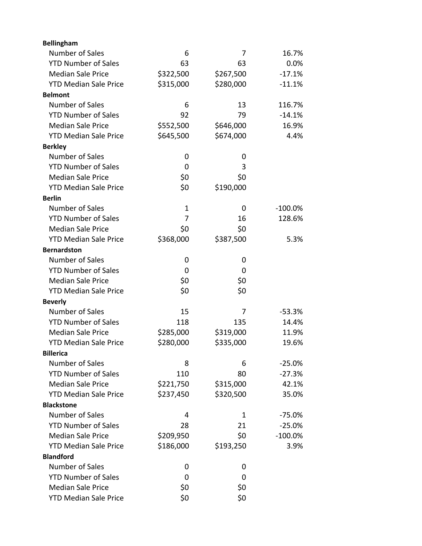| <b>Bellingham</b>            |             |           |           |
|------------------------------|-------------|-----------|-----------|
| Number of Sales              | 6           | 7         | 16.7%     |
| <b>YTD Number of Sales</b>   | 63          | 63        | 0.0%      |
| <b>Median Sale Price</b>     | \$322,500   | \$267,500 | $-17.1%$  |
| <b>YTD Median Sale Price</b> | \$315,000   | \$280,000 | $-11.1%$  |
| <b>Belmont</b>               |             |           |           |
| Number of Sales              | 6           | 13        | 116.7%    |
| <b>YTD Number of Sales</b>   | 92          | 79        | $-14.1%$  |
| <b>Median Sale Price</b>     | \$552,500   | \$646,000 | 16.9%     |
| <b>YTD Median Sale Price</b> | \$645,500   | \$674,000 | 4.4%      |
| <b>Berkley</b>               |             |           |           |
| Number of Sales              | 0           | 0         |           |
| <b>YTD Number of Sales</b>   | 0           | 3         |           |
| <b>Median Sale Price</b>     | \$0         | \$0       |           |
| <b>YTD Median Sale Price</b> | \$0         | \$190,000 |           |
| <b>Berlin</b>                |             |           |           |
| Number of Sales              | $\mathbf 1$ | 0         | $-100.0%$ |
| <b>YTD Number of Sales</b>   | 7           | 16        | 128.6%    |
| <b>Median Sale Price</b>     | \$0         | \$0       |           |
| <b>YTD Median Sale Price</b> | \$368,000   | \$387,500 | 5.3%      |
| <b>Bernardston</b>           |             |           |           |
| Number of Sales              | 0           | 0         |           |
| <b>YTD Number of Sales</b>   | 0           | 0         |           |
| <b>Median Sale Price</b>     | \$0         | \$0       |           |
| <b>YTD Median Sale Price</b> | \$0         | \$0       |           |
| <b>Beverly</b>               |             |           |           |
| Number of Sales              | 15          | 7         | $-53.3%$  |
| <b>YTD Number of Sales</b>   | 118         | 135       | 14.4%     |
| <b>Median Sale Price</b>     | \$285,000   | \$319,000 | 11.9%     |
| <b>YTD Median Sale Price</b> | \$280,000   | \$335,000 | 19.6%     |
| <b>Billerica</b>             |             |           |           |
| Number of Sales              | 8           | 6         | $-25.0%$  |
| <b>YTD Number of Sales</b>   | 110         | 80        | $-27.3%$  |
| <b>Median Sale Price</b>     | \$221,750   | \$315,000 | 42.1%     |
| <b>YTD Median Sale Price</b> | \$237,450   | \$320,500 | 35.0%     |
| <b>Blackstone</b>            |             |           |           |
| Number of Sales              | 4           | 1         | $-75.0%$  |
| <b>YTD Number of Sales</b>   | 28          | 21        | $-25.0%$  |
| <b>Median Sale Price</b>     | \$209,950   | \$0       | $-100.0%$ |
| <b>YTD Median Sale Price</b> | \$186,000   | \$193,250 | 3.9%      |
| <b>Blandford</b>             |             |           |           |
| Number of Sales              | 0           | 0         |           |
| <b>YTD Number of Sales</b>   | 0           | 0         |           |
| <b>Median Sale Price</b>     | \$0         | \$0       |           |
| <b>YTD Median Sale Price</b> | \$0         | \$0       |           |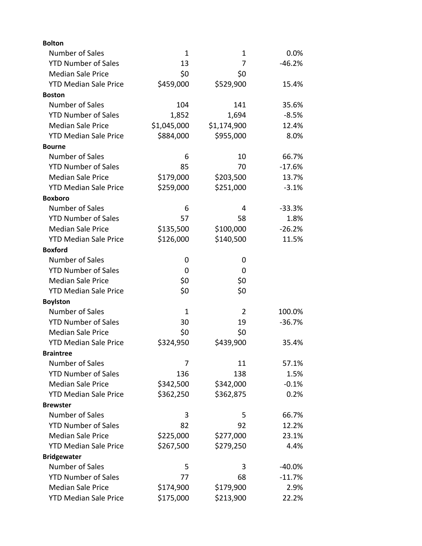| <b>Bolton</b>                |             |             |          |
|------------------------------|-------------|-------------|----------|
| Number of Sales              | $\mathbf 1$ | 1           | $0.0\%$  |
| <b>YTD Number of Sales</b>   | 13          | 7           | $-46.2%$ |
| <b>Median Sale Price</b>     | \$0         | \$0         |          |
| <b>YTD Median Sale Price</b> | \$459,000   | \$529,900   | 15.4%    |
| <b>Boston</b>                |             |             |          |
| Number of Sales              | 104         | 141         | 35.6%    |
| <b>YTD Number of Sales</b>   | 1,852       | 1,694       | $-8.5%$  |
| <b>Median Sale Price</b>     | \$1,045,000 | \$1,174,900 | 12.4%    |
| <b>YTD Median Sale Price</b> | \$884,000   | \$955,000   | 8.0%     |
| <b>Bourne</b>                |             |             |          |
| Number of Sales              | 6           | 10          | 66.7%    |
| <b>YTD Number of Sales</b>   | 85          | 70          | $-17.6%$ |
| <b>Median Sale Price</b>     | \$179,000   | \$203,500   | 13.7%    |
| <b>YTD Median Sale Price</b> | \$259,000   | \$251,000   | $-3.1%$  |
| <b>Boxboro</b>               |             |             |          |
| Number of Sales              | 6           | 4           | $-33.3%$ |
| <b>YTD Number of Sales</b>   | 57          | 58          | 1.8%     |
| <b>Median Sale Price</b>     | \$135,500   | \$100,000   | $-26.2%$ |
| <b>YTD Median Sale Price</b> | \$126,000   | \$140,500   | 11.5%    |
| <b>Boxford</b>               |             |             |          |
| Number of Sales              | 0           | 0           |          |
| <b>YTD Number of Sales</b>   | 0           | 0           |          |
| <b>Median Sale Price</b>     | \$0         | \$0         |          |
| <b>YTD Median Sale Price</b> | \$0         | \$0         |          |
| <b>Boylston</b>              |             |             |          |
| Number of Sales              | 1           | 2           | 100.0%   |
| <b>YTD Number of Sales</b>   | 30          | 19          | $-36.7%$ |
| <b>Median Sale Price</b>     | \$0         | \$0         |          |
| <b>YTD Median Sale Price</b> | \$324,950   | \$439,900   | 35.4%    |
| <b>Braintree</b>             |             |             |          |
| Number of Sales              | 7           | 11          | 57.1%    |
| <b>YTD Number of Sales</b>   | 136         | 138         | 1.5%     |
| <b>Median Sale Price</b>     | \$342,500   | \$342,000   | $-0.1%$  |
| <b>YTD Median Sale Price</b> | \$362,250   | \$362,875   | 0.2%     |
| <b>Brewster</b>              |             |             |          |
| Number of Sales              | 3           | 5           | 66.7%    |
| <b>YTD Number of Sales</b>   | 82          | 92          | 12.2%    |
| <b>Median Sale Price</b>     | \$225,000   | \$277,000   | 23.1%    |
| <b>YTD Median Sale Price</b> | \$267,500   | \$279,250   | 4.4%     |
| <b>Bridgewater</b>           |             |             |          |
| Number of Sales              | 5           | 3           | $-40.0%$ |
| <b>YTD Number of Sales</b>   | 77          | 68          | $-11.7%$ |
| <b>Median Sale Price</b>     | \$174,900   | \$179,900   | 2.9%     |
| <b>YTD Median Sale Price</b> | \$175,000   | \$213,900   | 22.2%    |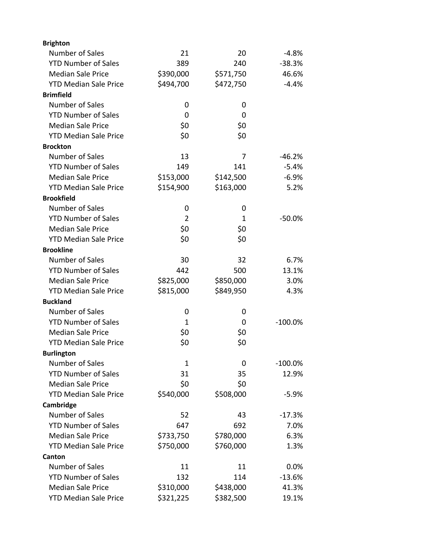| <b>Brighton</b>              |             |           |            |
|------------------------------|-------------|-----------|------------|
| Number of Sales              | 21          | 20        | $-4.8%$    |
| <b>YTD Number of Sales</b>   | 389         | 240       | $-38.3%$   |
| <b>Median Sale Price</b>     | \$390,000   | \$571,750 | 46.6%      |
| <b>YTD Median Sale Price</b> | \$494,700   | \$472,750 | $-4.4%$    |
| <b>Brimfield</b>             |             |           |            |
| Number of Sales              | 0           | 0         |            |
| <b>YTD Number of Sales</b>   | 0           | 0         |            |
| <b>Median Sale Price</b>     | \$0         | \$0       |            |
| <b>YTD Median Sale Price</b> | \$0         | \$0       |            |
| <b>Brockton</b>              |             |           |            |
| Number of Sales              | 13          | 7         | $-46.2%$   |
| <b>YTD Number of Sales</b>   | 149         | 141       | $-5.4%$    |
| <b>Median Sale Price</b>     | \$153,000   | \$142,500 | $-6.9%$    |
| <b>YTD Median Sale Price</b> | \$154,900   | \$163,000 | 5.2%       |
| <b>Brookfield</b>            |             |           |            |
| Number of Sales              | 0           | 0         |            |
| <b>YTD Number of Sales</b>   | 2           | 1         | -50.0%     |
| <b>Median Sale Price</b>     | \$0         | \$0       |            |
| <b>YTD Median Sale Price</b> | \$0         | \$0       |            |
| <b>Brookline</b>             |             |           |            |
| Number of Sales              | 30          | 32        | 6.7%       |
| <b>YTD Number of Sales</b>   | 442         | 500       | 13.1%      |
| <b>Median Sale Price</b>     | \$825,000   | \$850,000 | 3.0%       |
| <b>YTD Median Sale Price</b> | \$815,000   | \$849,950 | 4.3%       |
| <b>Buckland</b>              |             |           |            |
| Number of Sales              | 0           | 0         |            |
| <b>YTD Number of Sales</b>   | 1           | 0         | $-100.0%$  |
| <b>Median Sale Price</b>     | \$0         | \$0       |            |
| <b>YTD Median Sale Price</b> | \$0         | \$0       |            |
| <b>Burlington</b>            |             |           |            |
| Number of Sales              | $\mathbf 1$ | 0         | $-100.0\%$ |
| <b>YTD Number of Sales</b>   | 31          | 35        | 12.9%      |
| <b>Median Sale Price</b>     | \$0         | \$0       |            |
| <b>YTD Median Sale Price</b> | \$540,000   | \$508,000 | $-5.9%$    |
| Cambridge                    |             |           |            |
| Number of Sales              | 52          | 43        | $-17.3%$   |
| <b>YTD Number of Sales</b>   | 647         | 692       | 7.0%       |
| <b>Median Sale Price</b>     | \$733,750   | \$780,000 | 6.3%       |
| <b>YTD Median Sale Price</b> | \$750,000   | \$760,000 | 1.3%       |
| Canton                       |             |           |            |
| Number of Sales              | 11          | 11        | 0.0%       |
| <b>YTD Number of Sales</b>   | 132         | 114       | $-13.6%$   |
| <b>Median Sale Price</b>     | \$310,000   | \$438,000 | 41.3%      |
| <b>YTD Median Sale Price</b> | \$321,225   | \$382,500 | 19.1%      |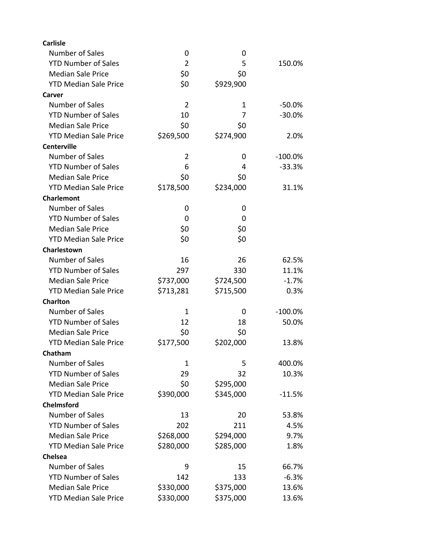| <b>Carlisle</b>              |                |           |            |
|------------------------------|----------------|-----------|------------|
| Number of Sales              | 0              | 0         |            |
| <b>YTD Number of Sales</b>   | $\overline{2}$ | 5         | 150.0%     |
| <b>Median Sale Price</b>     | \$0            | \$0       |            |
| <b>YTD Median Sale Price</b> | \$0            | \$929,900 |            |
| Carver                       |                |           |            |
| <b>Number of Sales</b>       | $\overline{2}$ | 1         | -50.0%     |
| <b>YTD Number of Sales</b>   | 10             | 7         | $-30.0%$   |
| <b>Median Sale Price</b>     | \$0            | \$0       |            |
| <b>YTD Median Sale Price</b> | \$269,500      | \$274,900 | 2.0%       |
| <b>Centerville</b>           |                |           |            |
| Number of Sales              | 2              | 0         | $-100.0%$  |
| <b>YTD Number of Sales</b>   | 6              | 4         | $-33.3%$   |
| <b>Median Sale Price</b>     | \$0            | \$0       |            |
| <b>YTD Median Sale Price</b> | \$178,500      | \$234,000 | 31.1%      |
| <b>Charlemont</b>            |                |           |            |
| Number of Sales              | 0              | 0         |            |
| <b>YTD Number of Sales</b>   | 0              | 0         |            |
| <b>Median Sale Price</b>     | \$0            | \$0       |            |
| <b>YTD Median Sale Price</b> | \$0            | \$0       |            |
| Charlestown                  |                |           |            |
| Number of Sales              | 16             | 26        | 62.5%      |
| <b>YTD Number of Sales</b>   | 297            | 330       | 11.1%      |
| <b>Median Sale Price</b>     | \$737,000      | \$724,500 | $-1.7%$    |
| <b>YTD Median Sale Price</b> | \$713,281      | \$715,500 | 0.3%       |
| <b>Charlton</b>              |                |           |            |
| Number of Sales              | 1              | 0         | $-100.0\%$ |
| <b>YTD Number of Sales</b>   | 12             | 18        | 50.0%      |
| <b>Median Sale Price</b>     | \$0            | \$0       |            |
| <b>YTD Median Sale Price</b> | \$177,500      | \$202,000 | 13.8%      |
| Chatham                      |                |           |            |
| <b>Number of Sales</b>       | 1              | 5         | 400.0%     |
| <b>YTD Number of Sales</b>   | 29             | 32        | 10.3%      |
| <b>Median Sale Price</b>     | \$0            | \$295,000 |            |
| <b>YTD Median Sale Price</b> | \$390,000      | \$345,000 | $-11.5%$   |
| <b>Chelmsford</b>            |                |           |            |
| Number of Sales              | 13             | 20        | 53.8%      |
| <b>YTD Number of Sales</b>   | 202            | 211       | 4.5%       |
| <b>Median Sale Price</b>     | \$268,000      | \$294,000 | 9.7%       |
| <b>YTD Median Sale Price</b> | \$280,000      | \$285,000 | 1.8%       |
| <b>Chelsea</b>               |                |           |            |
| Number of Sales              | 9              | 15        | 66.7%      |
| <b>YTD Number of Sales</b>   | 142            | 133       | $-6.3%$    |
| <b>Median Sale Price</b>     | \$330,000      | \$375,000 | 13.6%      |
| <b>YTD Median Sale Price</b> | \$330,000      | \$375,000 | 13.6%      |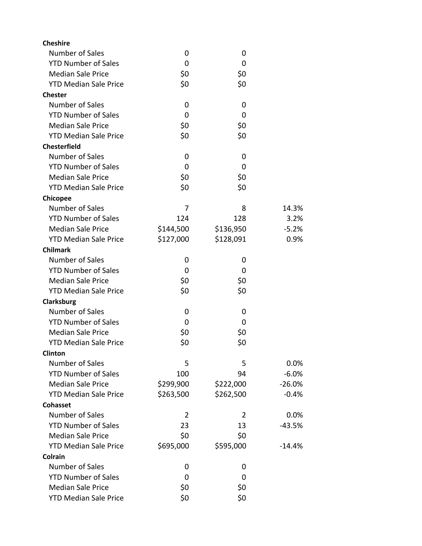| Number of Sales<br>0<br>0<br><b>YTD Number of Sales</b><br>0<br>0<br>\$0<br>\$0<br><b>Median Sale Price</b><br><b>YTD Median Sale Price</b><br>\$0<br>\$0<br><b>Chester</b><br>Number of Sales<br>0<br>0<br><b>YTD Number of Sales</b><br>0<br>0<br>\$0<br><b>Median Sale Price</b><br>\$0<br>\$0<br>\$0<br><b>YTD Median Sale Price</b><br><b>Chesterfield</b><br>Number of Sales<br>0<br>0<br><b>YTD Number of Sales</b><br>0<br>0<br>\$0<br>\$0<br><b>Median Sale Price</b><br><b>YTD Median Sale Price</b><br>\$0<br>\$0 |
|------------------------------------------------------------------------------------------------------------------------------------------------------------------------------------------------------------------------------------------------------------------------------------------------------------------------------------------------------------------------------------------------------------------------------------------------------------------------------------------------------------------------------|
|                                                                                                                                                                                                                                                                                                                                                                                                                                                                                                                              |
|                                                                                                                                                                                                                                                                                                                                                                                                                                                                                                                              |
|                                                                                                                                                                                                                                                                                                                                                                                                                                                                                                                              |
|                                                                                                                                                                                                                                                                                                                                                                                                                                                                                                                              |
|                                                                                                                                                                                                                                                                                                                                                                                                                                                                                                                              |
|                                                                                                                                                                                                                                                                                                                                                                                                                                                                                                                              |
|                                                                                                                                                                                                                                                                                                                                                                                                                                                                                                                              |
|                                                                                                                                                                                                                                                                                                                                                                                                                                                                                                                              |
|                                                                                                                                                                                                                                                                                                                                                                                                                                                                                                                              |
|                                                                                                                                                                                                                                                                                                                                                                                                                                                                                                                              |
|                                                                                                                                                                                                                                                                                                                                                                                                                                                                                                                              |
|                                                                                                                                                                                                                                                                                                                                                                                                                                                                                                                              |
|                                                                                                                                                                                                                                                                                                                                                                                                                                                                                                                              |
|                                                                                                                                                                                                                                                                                                                                                                                                                                                                                                                              |
| <b>Chicopee</b>                                                                                                                                                                                                                                                                                                                                                                                                                                                                                                              |
| Number of Sales<br>8<br>14.3%<br>7                                                                                                                                                                                                                                                                                                                                                                                                                                                                                           |
| <b>YTD Number of Sales</b><br>124<br>128<br>3.2%                                                                                                                                                                                                                                                                                                                                                                                                                                                                             |
| <b>Median Sale Price</b><br>\$144,500<br>\$136,950<br>$-5.2%$                                                                                                                                                                                                                                                                                                                                                                                                                                                                |
| <b>YTD Median Sale Price</b><br>\$127,000<br>\$128,091<br>0.9%                                                                                                                                                                                                                                                                                                                                                                                                                                                               |
| <b>Chilmark</b>                                                                                                                                                                                                                                                                                                                                                                                                                                                                                                              |
| Number of Sales<br>0<br>0                                                                                                                                                                                                                                                                                                                                                                                                                                                                                                    |
| <b>YTD Number of Sales</b><br>0<br>0                                                                                                                                                                                                                                                                                                                                                                                                                                                                                         |
| <b>Median Sale Price</b><br>\$0<br>\$0                                                                                                                                                                                                                                                                                                                                                                                                                                                                                       |
| <b>YTD Median Sale Price</b><br>\$0<br>\$0                                                                                                                                                                                                                                                                                                                                                                                                                                                                                   |
| Clarksburg                                                                                                                                                                                                                                                                                                                                                                                                                                                                                                                   |
| Number of Sales<br>0<br>0                                                                                                                                                                                                                                                                                                                                                                                                                                                                                                    |
| <b>YTD Number of Sales</b><br>0<br>0                                                                                                                                                                                                                                                                                                                                                                                                                                                                                         |
| <b>Median Sale Price</b><br>\$0<br>\$0                                                                                                                                                                                                                                                                                                                                                                                                                                                                                       |
| \$0<br>\$0<br><b>YTD Median Sale Price</b>                                                                                                                                                                                                                                                                                                                                                                                                                                                                                   |
| <b>Clinton</b>                                                                                                                                                                                                                                                                                                                                                                                                                                                                                                               |
| Number of Sales<br>5<br>5<br>0.0%                                                                                                                                                                                                                                                                                                                                                                                                                                                                                            |
| <b>YTD Number of Sales</b><br>100<br>$-6.0%$<br>94                                                                                                                                                                                                                                                                                                                                                                                                                                                                           |
| <b>Median Sale Price</b><br>\$299,900<br>\$222,000<br>$-26.0%$                                                                                                                                                                                                                                                                                                                                                                                                                                                               |
| <b>YTD Median Sale Price</b><br>\$263,500<br>\$262,500<br>$-0.4%$                                                                                                                                                                                                                                                                                                                                                                                                                                                            |
| <b>Cohasset</b>                                                                                                                                                                                                                                                                                                                                                                                                                                                                                                              |
| Number of Sales<br>$\overline{2}$<br>0.0%<br>2                                                                                                                                                                                                                                                                                                                                                                                                                                                                               |
| <b>YTD Number of Sales</b><br>23<br>13<br>$-43.5%$                                                                                                                                                                                                                                                                                                                                                                                                                                                                           |
| \$0<br><b>Median Sale Price</b><br>\$0                                                                                                                                                                                                                                                                                                                                                                                                                                                                                       |
| <b>YTD Median Sale Price</b><br>\$695,000<br>\$595,000<br>$-14.4%$                                                                                                                                                                                                                                                                                                                                                                                                                                                           |
| Colrain                                                                                                                                                                                                                                                                                                                                                                                                                                                                                                                      |
| Number of Sales<br>0<br>0                                                                                                                                                                                                                                                                                                                                                                                                                                                                                                    |
| <b>YTD Number of Sales</b><br>0<br>0                                                                                                                                                                                                                                                                                                                                                                                                                                                                                         |
| <b>Median Sale Price</b><br>\$0<br>\$0                                                                                                                                                                                                                                                                                                                                                                                                                                                                                       |
| \$0<br><b>YTD Median Sale Price</b><br>\$0                                                                                                                                                                                                                                                                                                                                                                                                                                                                                   |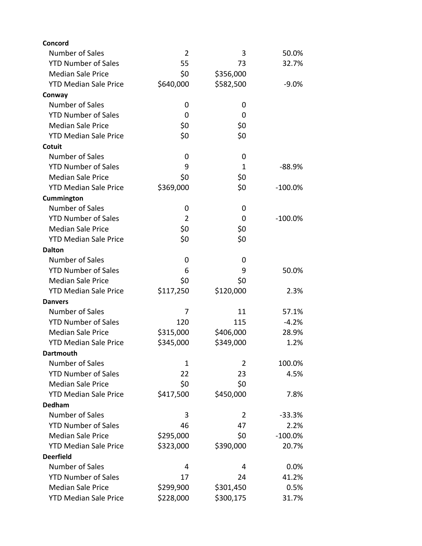| Concord                      |                |                |           |
|------------------------------|----------------|----------------|-----------|
| Number of Sales              | $\overline{2}$ | 3              | 50.0%     |
| <b>YTD Number of Sales</b>   | 55             | 73             | 32.7%     |
| <b>Median Sale Price</b>     | \$0            | \$356,000      |           |
| <b>YTD Median Sale Price</b> | \$640,000      | \$582,500      | $-9.0%$   |
| Conway                       |                |                |           |
| Number of Sales              | 0              | 0              |           |
| <b>YTD Number of Sales</b>   | 0              | 0              |           |
| <b>Median Sale Price</b>     | \$0            | \$0            |           |
| <b>YTD Median Sale Price</b> | \$0            | \$0            |           |
| Cotuit                       |                |                |           |
| Number of Sales              | 0              | 0              |           |
| <b>YTD Number of Sales</b>   | 9              | $\mathbf{1}$   | $-88.9%$  |
| <b>Median Sale Price</b>     | \$0            | \$0            |           |
| <b>YTD Median Sale Price</b> | \$369,000      | \$0            | $-100.0%$ |
| Cummington                   |                |                |           |
| Number of Sales              | 0              | 0              |           |
| <b>YTD Number of Sales</b>   | $\overline{2}$ | 0              | $-100.0%$ |
| <b>Median Sale Price</b>     | \$0            | \$0            |           |
| <b>YTD Median Sale Price</b> | \$0            | \$0            |           |
| <b>Dalton</b>                |                |                |           |
| Number of Sales              | 0              | 0              |           |
| <b>YTD Number of Sales</b>   | 6              | 9              | 50.0%     |
| <b>Median Sale Price</b>     | \$0            | \$0            |           |
| <b>YTD Median Sale Price</b> | \$117,250      | \$120,000      | 2.3%      |
| <b>Danvers</b>               |                |                |           |
| Number of Sales              | 7              | 11             | 57.1%     |
| <b>YTD Number of Sales</b>   | 120            | 115            | $-4.2%$   |
| <b>Median Sale Price</b>     | \$315,000      | \$406,000      | 28.9%     |
| <b>YTD Median Sale Price</b> | \$345,000      | \$349,000      | 1.2%      |
| Dartmouth                    |                |                |           |
| Number of Sales              | $\mathbf 1$    | $\overline{2}$ | 100.0%    |
| <b>YTD Number of Sales</b>   | 22             | 23             | 4.5%      |
| <b>Median Sale Price</b>     | \$0            | \$0            |           |
| <b>YTD Median Sale Price</b> | \$417,500      | \$450,000      | 7.8%      |
| <b>Dedham</b>                |                |                |           |
| Number of Sales              | 3              | 2              | $-33.3%$  |
| <b>YTD Number of Sales</b>   | 46             | 47             | 2.2%      |
| <b>Median Sale Price</b>     | \$295,000      | \$0            | $-100.0%$ |
| <b>YTD Median Sale Price</b> | \$323,000      | \$390,000      | 20.7%     |
| <b>Deerfield</b>             |                |                |           |
| Number of Sales              | 4              | 4              | 0.0%      |
| <b>YTD Number of Sales</b>   | 17             | 24             | 41.2%     |
| <b>Median Sale Price</b>     | \$299,900      | \$301,450      | 0.5%      |
| <b>YTD Median Sale Price</b> | \$228,000      | \$300,175      | 31.7%     |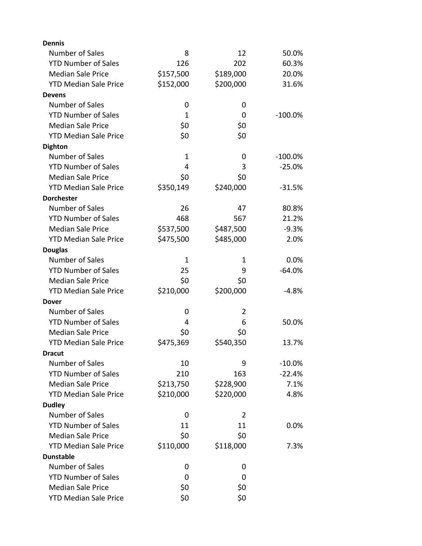| <b>Dennis</b>                |             |           |            |
|------------------------------|-------------|-----------|------------|
| Number of Sales              | 8           | 12        | 50.0%      |
| <b>YTD Number of Sales</b>   | 126         | 202       | 60.3%      |
| <b>Median Sale Price</b>     | \$157,500   | \$189,000 | 20.0%      |
| <b>YTD Median Sale Price</b> | \$152,000   | \$200,000 | 31.6%      |
| <b>Devens</b>                |             |           |            |
| Number of Sales              | 0           | 0         |            |
| <b>YTD Number of Sales</b>   | 1           | 0         | $-100.0%$  |
| <b>Median Sale Price</b>     | \$0         | \$0       |            |
| <b>YTD Median Sale Price</b> | \$0         | \$0       |            |
| <b>Dighton</b>               |             |           |            |
| Number of Sales              | $\mathbf 1$ | 0         | $-100.0\%$ |
| <b>YTD Number of Sales</b>   | 4           | 3         | $-25.0%$   |
| <b>Median Sale Price</b>     | \$0         | \$0       |            |
| <b>YTD Median Sale Price</b> | \$350,149   | \$240,000 | $-31.5%$   |
| <b>Dorchester</b>            |             |           |            |
| Number of Sales              | 26          | 47        | 80.8%      |
| <b>YTD Number of Sales</b>   | 468         | 567       | 21.2%      |
| <b>Median Sale Price</b>     | \$537,500   | \$487,500 | $-9.3%$    |
| <b>YTD Median Sale Price</b> | \$475,500   | \$485,000 | 2.0%       |
| <b>Douglas</b>               |             |           |            |
| Number of Sales              | 1           | 1         | 0.0%       |
| <b>YTD Number of Sales</b>   | 25          | 9         | $-64.0%$   |
| <b>Median Sale Price</b>     | \$0         | \$0       |            |
| <b>YTD Median Sale Price</b> | \$210,000   | \$200,000 | $-4.8%$    |
| Dover                        |             |           |            |
| Number of Sales              | 0           | 2         |            |
| <b>YTD Number of Sales</b>   | 4           | 6         | 50.0%      |
| <b>Median Sale Price</b>     | \$0         | \$0       |            |
| <b>YTD Median Sale Price</b> | \$475,369   | \$540,350 | 13.7%      |
| <b>Dracut</b>                |             |           |            |
| Number of Sales              | 10          | 9         | $-10.0\%$  |
| <b>YTD Number of Sales</b>   | 210         | 163       | $-22.4%$   |
| <b>Median Sale Price</b>     | \$213,750   | \$228,900 | 7.1%       |
| <b>YTD Median Sale Price</b> | \$210,000   | \$220,000 | 4.8%       |
| <b>Dudley</b>                |             |           |            |
| Number of Sales              | 0           | 2         |            |
| <b>YTD Number of Sales</b>   | 11          | 11        | 0.0%       |
| <b>Median Sale Price</b>     | \$0         | \$0       |            |
| <b>YTD Median Sale Price</b> | \$110,000   | \$118,000 | 7.3%       |
| <b>Dunstable</b>             |             |           |            |
| Number of Sales              | 0           | 0         |            |
| <b>YTD Number of Sales</b>   | 0           | 0         |            |
| <b>Median Sale Price</b>     | \$0         | \$0       |            |
| <b>YTD Median Sale Price</b> | \$0         | \$0       |            |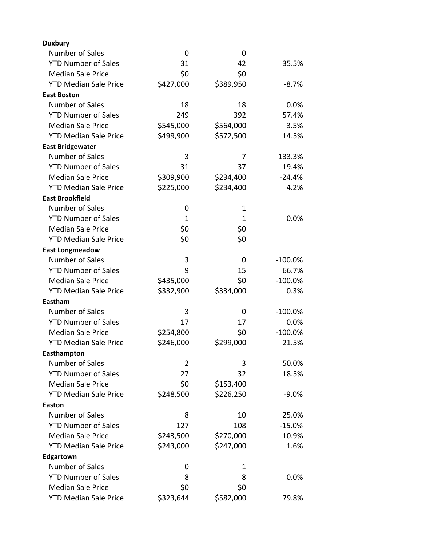| <b>Duxbury</b>               |              |              |           |
|------------------------------|--------------|--------------|-----------|
| <b>Number of Sales</b>       | 0            | 0            |           |
| <b>YTD Number of Sales</b>   | 31           | 42           | 35.5%     |
| <b>Median Sale Price</b>     | \$0          | \$0          |           |
| <b>YTD Median Sale Price</b> | \$427,000    | \$389,950    | $-8.7%$   |
| <b>East Boston</b>           |              |              |           |
| Number of Sales              | 18           | 18           | 0.0%      |
| <b>YTD Number of Sales</b>   | 249          | 392          | 57.4%     |
| <b>Median Sale Price</b>     | \$545,000    | \$564,000    | 3.5%      |
| <b>YTD Median Sale Price</b> | \$499,900    | \$572,500    | 14.5%     |
| <b>East Bridgewater</b>      |              |              |           |
| Number of Sales              | 3            | 7            | 133.3%    |
| <b>YTD Number of Sales</b>   | 31           | 37           | 19.4%     |
| <b>Median Sale Price</b>     | \$309,900    | \$234,400    | $-24.4%$  |
| <b>YTD Median Sale Price</b> | \$225,000    | \$234,400    | 4.2%      |
| <b>East Brookfield</b>       |              |              |           |
| Number of Sales              | 0            | 1            |           |
| <b>YTD Number of Sales</b>   | $\mathbf{1}$ | $\mathbf{1}$ | 0.0%      |
| <b>Median Sale Price</b>     | \$0          | \$0          |           |
| <b>YTD Median Sale Price</b> | \$0          | \$0          |           |
| <b>East Longmeadow</b>       |              |              |           |
| Number of Sales              | 3            | 0            | $-100.0%$ |
| <b>YTD Number of Sales</b>   | 9            | 15           | 66.7%     |
| <b>Median Sale Price</b>     | \$435,000    | \$0          | $-100.0%$ |
| <b>YTD Median Sale Price</b> | \$332,900    | \$334,000    | 0.3%      |
| Eastham                      |              |              |           |
| Number of Sales              | 3            | 0            | $-100.0%$ |
| <b>YTD Number of Sales</b>   | 17           | 17           | 0.0%      |
| <b>Median Sale Price</b>     | \$254,800    | \$0          | $-100.0%$ |
| <b>YTD Median Sale Price</b> | \$246,000    | \$299,000    | 21.5%     |
| Easthampton                  |              |              |           |
| Number of Sales              | 2            | 3            | 50.0%     |
| <b>YTD Number of Sales</b>   | 27           | 32           | 18.5%     |
| <b>Median Sale Price</b>     | \$0          | \$153,400    |           |
| <b>YTD Median Sale Price</b> | \$248,500    | \$226,250    | $-9.0%$   |
| Easton                       |              |              |           |
| Number of Sales              | 8            | 10           | 25.0%     |
| <b>YTD Number of Sales</b>   | 127          | 108          | $-15.0%$  |
| <b>Median Sale Price</b>     | \$243,500    | \$270,000    | 10.9%     |
| <b>YTD Median Sale Price</b> | \$243,000    | \$247,000    | 1.6%      |
| Edgartown                    |              |              |           |
| <b>Number of Sales</b>       | 0            | 1            |           |
| <b>YTD Number of Sales</b>   | 8            | 8            | 0.0%      |
| <b>Median Sale Price</b>     | \$0          | \$0          |           |
| <b>YTD Median Sale Price</b> | \$323,644    | \$582,000    | 79.8%     |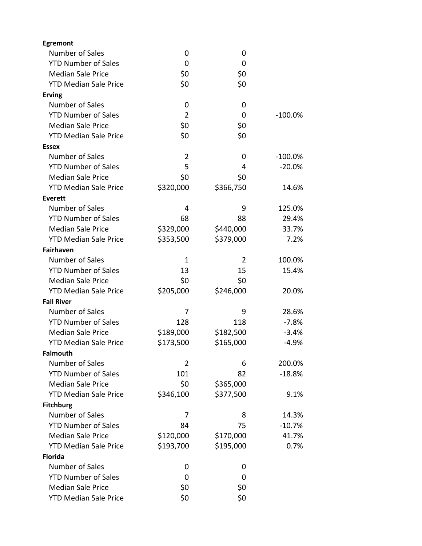| <b>Egremont</b>              |                |           |            |
|------------------------------|----------------|-----------|------------|
| Number of Sales              | 0              | 0         |            |
| <b>YTD Number of Sales</b>   | 0              | 0         |            |
| <b>Median Sale Price</b>     | \$0            | \$0       |            |
| <b>YTD Median Sale Price</b> | \$0            | \$0       |            |
| <b>Erving</b>                |                |           |            |
| <b>Number of Sales</b>       | 0              | 0         |            |
| <b>YTD Number of Sales</b>   | $\overline{2}$ | 0         | $-100.0\%$ |
| <b>Median Sale Price</b>     | \$0            | \$0       |            |
| <b>YTD Median Sale Price</b> | \$0            | \$0       |            |
| <b>Essex</b>                 |                |           |            |
| Number of Sales              | $\overline{2}$ | 0         | $-100.0\%$ |
| <b>YTD Number of Sales</b>   | 5              | 4         | $-20.0%$   |
| <b>Median Sale Price</b>     | \$0            | \$0       |            |
| <b>YTD Median Sale Price</b> | \$320,000      | \$366,750 | 14.6%      |
| <b>Everett</b>               |                |           |            |
| Number of Sales              | 4              | 9         | 125.0%     |
| <b>YTD Number of Sales</b>   | 68             | 88        | 29.4%      |
| <b>Median Sale Price</b>     | \$329,000      | \$440,000 | 33.7%      |
| <b>YTD Median Sale Price</b> | \$353,500      | \$379,000 | 7.2%       |
| <b>Fairhaven</b>             |                |           |            |
| Number of Sales              | 1              | 2         | 100.0%     |
| <b>YTD Number of Sales</b>   | 13             | 15        | 15.4%      |
| <b>Median Sale Price</b>     | \$0            | \$0       |            |
| <b>YTD Median Sale Price</b> | \$205,000      | \$246,000 | 20.0%      |
| <b>Fall River</b>            |                |           |            |
| <b>Number of Sales</b>       | 7              | 9         | 28.6%      |
| <b>YTD Number of Sales</b>   | 128            | 118       | $-7.8%$    |
| <b>Median Sale Price</b>     | \$189,000      | \$182,500 | $-3.4%$    |
| <b>YTD Median Sale Price</b> | \$173,500      | \$165,000 | $-4.9%$    |
| <b>Falmouth</b>              |                |           |            |
| Number of Sales              | 2              | 6         | 200.0%     |
| <b>YTD Number of Sales</b>   | 101            | 82        | $-18.8%$   |
| <b>Median Sale Price</b>     | \$0            | \$365,000 |            |
| <b>YTD Median Sale Price</b> | \$346,100      | \$377,500 | 9.1%       |
| <b>Fitchburg</b>             |                |           |            |
| Number of Sales              | 7              | 8         | 14.3%      |
| <b>YTD Number of Sales</b>   | 84             | 75        | $-10.7%$   |
| <b>Median Sale Price</b>     | \$120,000      | \$170,000 | 41.7%      |
| <b>YTD Median Sale Price</b> | \$193,700      | \$195,000 | 0.7%       |
| <b>Florida</b>               |                |           |            |
| Number of Sales              | 0              | 0         |            |
| <b>YTD Number of Sales</b>   | 0              | 0         |            |
| <b>Median Sale Price</b>     | \$0            | \$0       |            |
| <b>YTD Median Sale Price</b> | \$0            | \$0       |            |
|                              |                |           |            |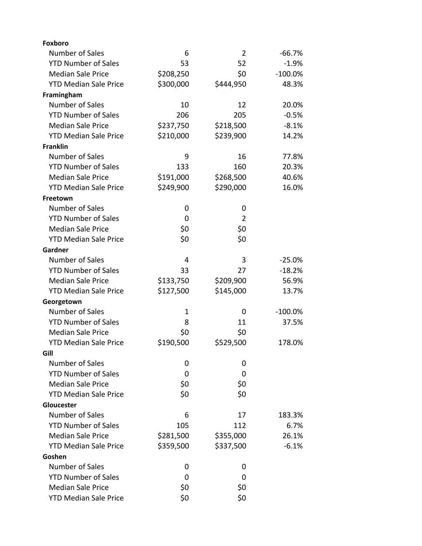| <b>Foxboro</b>               |             |                |            |
|------------------------------|-------------|----------------|------------|
| Number of Sales              | 6           | $\overline{2}$ | $-66.7%$   |
| <b>YTD Number of Sales</b>   | 53          | 52             | $-1.9%$    |
| <b>Median Sale Price</b>     | \$208,250   | \$0            | $-100.0%$  |
| <b>YTD Median Sale Price</b> | \$300,000   | \$444,950      | 48.3%      |
| Framingham                   |             |                |            |
| Number of Sales              | 10          | 12             | 20.0%      |
| <b>YTD Number of Sales</b>   | 206         | 205            | $-0.5%$    |
| <b>Median Sale Price</b>     | \$237,750   | \$218,500      | $-8.1%$    |
| <b>YTD Median Sale Price</b> | \$210,000   | \$239,900      | 14.2%      |
| <b>Franklin</b>              |             |                |            |
| Number of Sales              | 9           | 16             | 77.8%      |
| <b>YTD Number of Sales</b>   | 133         | 160            | 20.3%      |
| <b>Median Sale Price</b>     | \$191,000   | \$268,500      | 40.6%      |
| <b>YTD Median Sale Price</b> | \$249,900   | \$290,000      | 16.0%      |
| Freetown                     |             |                |            |
| Number of Sales              | 0           | 0              |            |
| <b>YTD Number of Sales</b>   | 0           | $\overline{2}$ |            |
| <b>Median Sale Price</b>     | \$0         | \$0            |            |
| <b>YTD Median Sale Price</b> | \$0         | \$0            |            |
| Gardner                      |             |                |            |
| Number of Sales              | 4           | 3              | $-25.0%$   |
| <b>YTD Number of Sales</b>   | 33          | 27             | $-18.2%$   |
| <b>Median Sale Price</b>     | \$133,750   | \$209,900      | 56.9%      |
| <b>YTD Median Sale Price</b> | \$127,500   | \$145,000      | 13.7%      |
| Georgetown                   |             |                |            |
| Number of Sales              | $\mathbf 1$ | 0              | $-100.0\%$ |
| <b>YTD Number of Sales</b>   | 8           | 11             | 37.5%      |
| <b>Median Sale Price</b>     | \$0         | \$0            |            |
| <b>YTD Median Sale Price</b> | \$190,500   | \$529,500      | 178.0%     |
| Gill                         |             |                |            |
| Number of Sales              | 0           | 0              |            |
| <b>YTD Number of Sales</b>   | 0           | 0              |            |
| <b>Median Sale Price</b>     | \$0         | \$0            |            |
| <b>YTD Median Sale Price</b> | \$0         | \$0            |            |
| Gloucester                   |             |                |            |
| Number of Sales              | 6           | 17             | 183.3%     |
| <b>YTD Number of Sales</b>   | 105         | 112            | 6.7%       |
| <b>Median Sale Price</b>     | \$281,500   | \$355,000      | 26.1%      |
| <b>YTD Median Sale Price</b> | \$359,500   | \$337,500      | $-6.1%$    |
| Goshen                       |             |                |            |
| Number of Sales              | 0           | 0              |            |
| <b>YTD Number of Sales</b>   | 0           | 0              |            |
| <b>Median Sale Price</b>     | \$0         | \$0            |            |
| <b>YTD Median Sale Price</b> | \$0         | \$0            |            |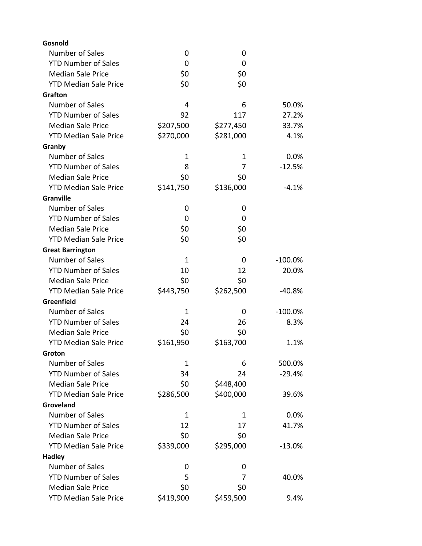| Gosnold                      |             |           |           |
|------------------------------|-------------|-----------|-----------|
| <b>Number of Sales</b>       | 0           | 0         |           |
| <b>YTD Number of Sales</b>   | 0           | 0         |           |
| <b>Median Sale Price</b>     | \$0         | \$0       |           |
| <b>YTD Median Sale Price</b> | \$0         | \$0       |           |
| <b>Grafton</b>               |             |           |           |
| Number of Sales              | 4           | 6         | 50.0%     |
| <b>YTD Number of Sales</b>   | 92          | 117       | 27.2%     |
| <b>Median Sale Price</b>     | \$207,500   | \$277,450 | 33.7%     |
| <b>YTD Median Sale Price</b> | \$270,000   | \$281,000 | 4.1%      |
| Granby                       |             |           |           |
| Number of Sales              | 1           | 1         | 0.0%      |
| <b>YTD Number of Sales</b>   | 8           | 7         | $-12.5%$  |
| <b>Median Sale Price</b>     | \$0         | \$0       |           |
| <b>YTD Median Sale Price</b> | \$141,750   | \$136,000 | $-4.1%$   |
| Granville                    |             |           |           |
| Number of Sales              | 0           | 0         |           |
| <b>YTD Number of Sales</b>   | 0           | 0         |           |
| <b>Median Sale Price</b>     | \$0         | \$0       |           |
| <b>YTD Median Sale Price</b> | \$0         | \$0       |           |
| <b>Great Barrington</b>      |             |           |           |
| <b>Number of Sales</b>       | 1           | 0         | $-100.0%$ |
| <b>YTD Number of Sales</b>   | 10          | 12        | 20.0%     |
| <b>Median Sale Price</b>     | \$0         | \$0       |           |
| <b>YTD Median Sale Price</b> | \$443,750   | \$262,500 | $-40.8%$  |
| Greenfield                   |             |           |           |
| Number of Sales              | $\mathbf 1$ | 0         | $-100.0%$ |
| <b>YTD Number of Sales</b>   | 24          | 26        | 8.3%      |
| <b>Median Sale Price</b>     | \$0         | \$0       |           |
| <b>YTD Median Sale Price</b> | \$161,950   | \$163,700 | 1.1%      |
| Groton                       |             |           |           |
| Number of Sales              | 1           | 6         | 500.0%    |
| <b>YTD Number of Sales</b>   | 34          | 24        | $-29.4%$  |
| <b>Median Sale Price</b>     | \$0         | \$448,400 |           |
| <b>YTD Median Sale Price</b> | \$286,500   | \$400,000 | 39.6%     |
| Groveland                    |             |           |           |
| Number of Sales              | 1           | 1         | 0.0%      |
| <b>YTD Number of Sales</b>   | 12          | 17        | 41.7%     |
| <b>Median Sale Price</b>     | \$0         | \$0       |           |
| <b>YTD Median Sale Price</b> | \$339,000   | \$295,000 | $-13.0%$  |
| <b>Hadley</b>                |             |           |           |
| Number of Sales              | 0           | 0         |           |
| <b>YTD Number of Sales</b>   | 5           | 7         | 40.0%     |
| <b>Median Sale Price</b>     | \$0         | \$0       |           |
| <b>YTD Median Sale Price</b> | \$419,900   | \$459,500 | 9.4%      |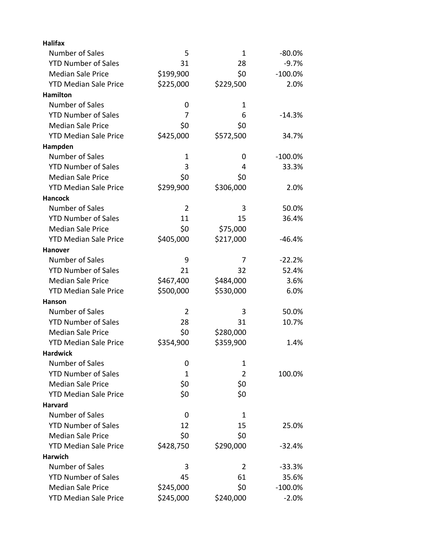| <b>Halifax</b>               |                |                |            |
|------------------------------|----------------|----------------|------------|
| Number of Sales              | 5              | 1              | $-80.0%$   |
| <b>YTD Number of Sales</b>   | 31             | 28             | $-9.7%$    |
| <b>Median Sale Price</b>     | \$199,900      | \$0            | $-100.0%$  |
| <b>YTD Median Sale Price</b> | \$225,000      | \$229,500      | 2.0%       |
| <b>Hamilton</b>              |                |                |            |
| Number of Sales              | 0              | 1              |            |
| <b>YTD Number of Sales</b>   | 7              | 6              | $-14.3%$   |
| <b>Median Sale Price</b>     | \$0            | \$0            |            |
| <b>YTD Median Sale Price</b> | \$425,000      | \$572,500      | 34.7%      |
| Hampden                      |                |                |            |
| Number of Sales              | $\mathbf 1$    | 0              | $-100.0\%$ |
| <b>YTD Number of Sales</b>   | 3              | 4              | 33.3%      |
| <b>Median Sale Price</b>     | \$0            | \$0            |            |
| <b>YTD Median Sale Price</b> | \$299,900      | \$306,000      | 2.0%       |
| <b>Hancock</b>               |                |                |            |
| Number of Sales              | $\overline{2}$ | 3              | 50.0%      |
| <b>YTD Number of Sales</b>   | 11             | 15             | 36.4%      |
| <b>Median Sale Price</b>     | \$0            | \$75,000       |            |
| <b>YTD Median Sale Price</b> | \$405,000      | \$217,000      | $-46.4%$   |
| <b>Hanover</b>               |                |                |            |
| Number of Sales              | 9              | 7              | $-22.2%$   |
| <b>YTD Number of Sales</b>   | 21             | 32             | 52.4%      |
| <b>Median Sale Price</b>     | \$467,400      | \$484,000      | 3.6%       |
| <b>YTD Median Sale Price</b> | \$500,000      | \$530,000      | 6.0%       |
| <b>Hanson</b>                |                |                |            |
| Number of Sales              | $\overline{2}$ | 3              | 50.0%      |
| <b>YTD Number of Sales</b>   | 28             | 31             | 10.7%      |
| <b>Median Sale Price</b>     | \$0            | \$280,000      |            |
| <b>YTD Median Sale Price</b> | \$354,900      | \$359,900      | 1.4%       |
| <b>Hardwick</b>              |                |                |            |
| Number of Sales              | 0              | 1              |            |
| <b>YTD Number of Sales</b>   | 1              | $\overline{2}$ | 100.0%     |
| <b>Median Sale Price</b>     | \$0            | \$0            |            |
| <b>YTD Median Sale Price</b> | \$0            | \$0            |            |
| <b>Harvard</b>               |                |                |            |
| Number of Sales              | 0              | 1              |            |
| <b>YTD Number of Sales</b>   | 12             | 15             | 25.0%      |
| <b>Median Sale Price</b>     | \$0            | \$0            |            |
| <b>YTD Median Sale Price</b> | \$428,750      | \$290,000      | $-32.4%$   |
| <b>Harwich</b>               |                |                |            |
| Number of Sales              | 3              | $\overline{2}$ | $-33.3%$   |
| <b>YTD Number of Sales</b>   | 45             | 61             | 35.6%      |
| <b>Median Sale Price</b>     | \$245,000      | \$0            | $-100.0%$  |
| <b>YTD Median Sale Price</b> | \$245,000      | \$240,000      | $-2.0%$    |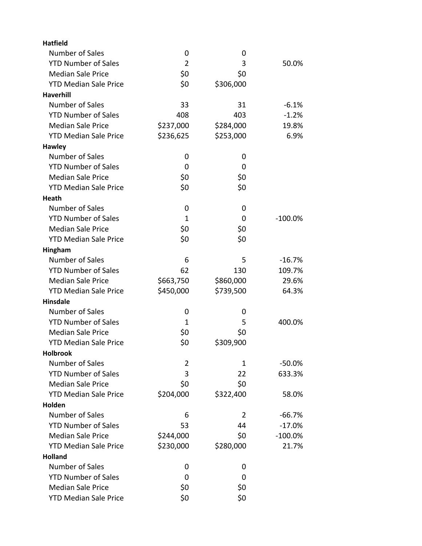| <b>Hatfield</b>              |                |           |           |
|------------------------------|----------------|-----------|-----------|
| Number of Sales              | 0              | 0         |           |
| <b>YTD Number of Sales</b>   | $\overline{2}$ | 3         | 50.0%     |
| <b>Median Sale Price</b>     | \$0            | \$0       |           |
| <b>YTD Median Sale Price</b> | \$0            | \$306,000 |           |
| <b>Haverhill</b>             |                |           |           |
| Number of Sales              | 33             | 31        | $-6.1%$   |
| <b>YTD Number of Sales</b>   | 408            | 403       | $-1.2%$   |
| <b>Median Sale Price</b>     | \$237,000      | \$284,000 | 19.8%     |
| <b>YTD Median Sale Price</b> | \$236,625      | \$253,000 | 6.9%      |
| <b>Hawley</b>                |                |           |           |
| Number of Sales              | 0              | 0         |           |
| <b>YTD Number of Sales</b>   | 0              | 0         |           |
| <b>Median Sale Price</b>     | \$0            | \$0       |           |
| <b>YTD Median Sale Price</b> | \$0            | \$0       |           |
| <b>Heath</b>                 |                |           |           |
| Number of Sales              | 0              | 0         |           |
| <b>YTD Number of Sales</b>   | 1              | 0         | $-100.0%$ |
| <b>Median Sale Price</b>     | \$0            | \$0       |           |
| <b>YTD Median Sale Price</b> | \$0            | \$0       |           |
| Hingham                      |                |           |           |
| Number of Sales              | 6              | 5         | $-16.7%$  |
| <b>YTD Number of Sales</b>   | 62             | 130       | 109.7%    |
| <b>Median Sale Price</b>     | \$663,750      | \$860,000 | 29.6%     |
| <b>YTD Median Sale Price</b> | \$450,000      | \$739,500 | 64.3%     |
| <b>Hinsdale</b>              |                |           |           |
| Number of Sales              | 0              | 0         |           |
| <b>YTD Number of Sales</b>   | 1              | 5         | 400.0%    |
| <b>Median Sale Price</b>     | \$0            | \$0       |           |
| <b>YTD Median Sale Price</b> | \$0            | \$309,900 |           |
| <b>Holbrook</b>              |                |           |           |
| <b>Number of Sales</b>       | 2              | 1         | $-50.0\%$ |
| <b>YTD Number of Sales</b>   | 3              | 22        | 633.3%    |
| <b>Median Sale Price</b>     | \$0            | \$0       |           |
| <b>YTD Median Sale Price</b> | \$204,000      | \$322,400 | 58.0%     |
| Holden                       |                |           |           |
| <b>Number of Sales</b>       | 6              | 2         | $-66.7%$  |
| <b>YTD Number of Sales</b>   | 53             | 44        | $-17.0%$  |
| <b>Median Sale Price</b>     | \$244,000      | \$0       | $-100.0%$ |
| <b>YTD Median Sale Price</b> | \$230,000      | \$280,000 | 21.7%     |
| <b>Holland</b>               |                |           |           |
| Number of Sales              | 0              | 0         |           |
| <b>YTD Number of Sales</b>   | 0              | 0         |           |
| <b>Median Sale Price</b>     | \$0            | \$0       |           |
| <b>YTD Median Sale Price</b> | \$0            | \$0       |           |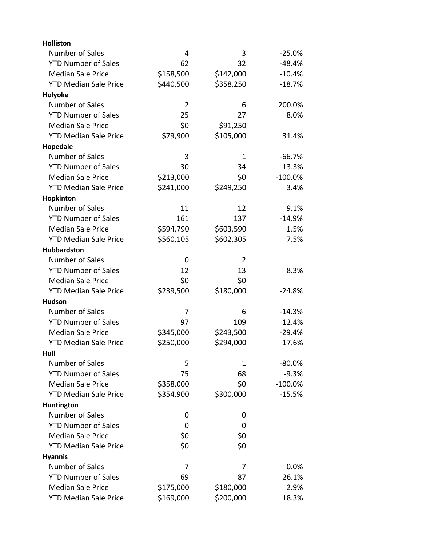| <b>Holliston</b>             |                |              |            |
|------------------------------|----------------|--------------|------------|
| Number of Sales              | $\overline{4}$ | 3            | $-25.0%$   |
| <b>YTD Number of Sales</b>   | 62             | 32           | $-48.4%$   |
| <b>Median Sale Price</b>     | \$158,500      | \$142,000    | $-10.4%$   |
| <b>YTD Median Sale Price</b> | \$440,500      | \$358,250    | $-18.7%$   |
| Holyoke                      |                |              |            |
| Number of Sales              | $\overline{2}$ | 6            | 200.0%     |
| <b>YTD Number of Sales</b>   | 25             | 27           | 8.0%       |
| <b>Median Sale Price</b>     | \$0            | \$91,250     |            |
| <b>YTD Median Sale Price</b> | \$79,900       | \$105,000    | 31.4%      |
| Hopedale                     |                |              |            |
| Number of Sales              | 3              | $\mathbf{1}$ | $-66.7%$   |
| <b>YTD Number of Sales</b>   | 30             | 34           | 13.3%      |
| <b>Median Sale Price</b>     | \$213,000      | \$0          | $-100.0\%$ |
| <b>YTD Median Sale Price</b> | \$241,000      | \$249,250    | 3.4%       |
| Hopkinton                    |                |              |            |
| Number of Sales              | 11             | 12           | 9.1%       |
| <b>YTD Number of Sales</b>   | 161            | 137          | $-14.9%$   |
| <b>Median Sale Price</b>     | \$594,790      | \$603,590    | 1.5%       |
| <b>YTD Median Sale Price</b> | \$560,105      | \$602,305    | 7.5%       |
| <b>Hubbardston</b>           |                |              |            |
| Number of Sales              | 0              | 2            |            |
| <b>YTD Number of Sales</b>   | 12             | 13           | 8.3%       |
| <b>Median Sale Price</b>     | \$0            | \$0          |            |
| <b>YTD Median Sale Price</b> | \$239,500      | \$180,000    | $-24.8%$   |
| <b>Hudson</b>                |                |              |            |
| Number of Sales              | 7              | 6            | $-14.3%$   |
| <b>YTD Number of Sales</b>   | 97             | 109          | 12.4%      |
| <b>Median Sale Price</b>     | \$345,000      | \$243,500    | $-29.4%$   |
| <b>YTD Median Sale Price</b> | \$250,000      | \$294,000    | 17.6%      |
| Hull                         |                |              |            |
| Number of Sales              | 5              | 1            | -80.0%     |
| <b>YTD Number of Sales</b>   | 75             | 68           | $-9.3%$    |
| <b>Median Sale Price</b>     | \$358,000      | \$0          | $-100.0%$  |
| <b>YTD Median Sale Price</b> | \$354,900      | \$300,000    | $-15.5%$   |
| Huntington                   |                |              |            |
| Number of Sales              | 0              | 0            |            |
| <b>YTD Number of Sales</b>   | 0              | 0            |            |
| <b>Median Sale Price</b>     | \$0            | \$0          |            |
| <b>YTD Median Sale Price</b> | \$0            | \$0          |            |
| <b>Hyannis</b>               |                |              |            |
| Number of Sales              | 7              | 7            | 0.0%       |
| <b>YTD Number of Sales</b>   | 69             | 87           | 26.1%      |
| <b>Median Sale Price</b>     | \$175,000      | \$180,000    | 2.9%       |
| <b>YTD Median Sale Price</b> | \$169,000      | \$200,000    | 18.3%      |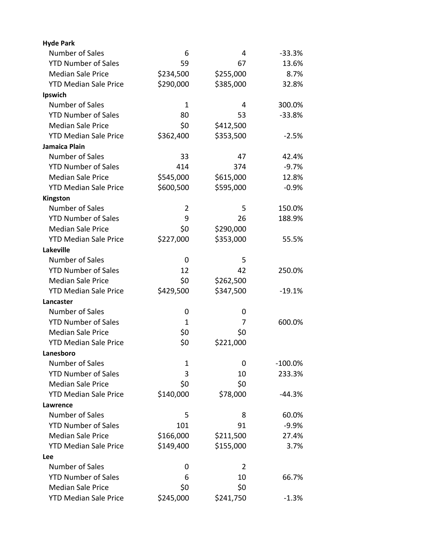| <b>Hyde Park</b>             |              |                |            |
|------------------------------|--------------|----------------|------------|
| Number of Sales              | 6            | 4              | $-33.3%$   |
| <b>YTD Number of Sales</b>   | 59           | 67             | 13.6%      |
| <b>Median Sale Price</b>     | \$234,500    | \$255,000      | 8.7%       |
| <b>YTD Median Sale Price</b> | \$290,000    | \$385,000      | 32.8%      |
| Ipswich                      |              |                |            |
| Number of Sales              | $\mathbf{1}$ | 4              | 300.0%     |
| <b>YTD Number of Sales</b>   | 80           | 53             | $-33.8%$   |
| <b>Median Sale Price</b>     | \$0          | \$412,500      |            |
| <b>YTD Median Sale Price</b> | \$362,400    | \$353,500      | $-2.5%$    |
| Jamaica Plain                |              |                |            |
| Number of Sales              | 33           | 47             | 42.4%      |
| <b>YTD Number of Sales</b>   | 414          | 374            | $-9.7%$    |
| <b>Median Sale Price</b>     | \$545,000    | \$615,000      | 12.8%      |
| <b>YTD Median Sale Price</b> | \$600,500    | \$595,000      | $-0.9%$    |
| Kingston                     |              |                |            |
| Number of Sales              | 2            | 5              | 150.0%     |
| <b>YTD Number of Sales</b>   | 9            | 26             | 188.9%     |
| <b>Median Sale Price</b>     | \$0          | \$290,000      |            |
| <b>YTD Median Sale Price</b> | \$227,000    | \$353,000      | 55.5%      |
| <b>Lakeville</b>             |              |                |            |
| Number of Sales              | 0            | 5              |            |
| <b>YTD Number of Sales</b>   | 12           | 42             | 250.0%     |
| <b>Median Sale Price</b>     | \$0          | \$262,500      |            |
| <b>YTD Median Sale Price</b> | \$429,500    | \$347,500      | $-19.1%$   |
| Lancaster                    |              |                |            |
| Number of Sales              | 0            | 0              |            |
| <b>YTD Number of Sales</b>   | 1            | 7              | 600.0%     |
| <b>Median Sale Price</b>     | \$0          | \$0            |            |
| <b>YTD Median Sale Price</b> | \$0          | \$221,000      |            |
| Lanesboro                    |              |                |            |
| <b>Number of Sales</b>       | 1            | 0              | $-100.0\%$ |
| <b>YTD Number of Sales</b>   | 3            | 10             | 233.3%     |
| <b>Median Sale Price</b>     | \$0          | \$0            |            |
| <b>YTD Median Sale Price</b> | \$140,000    | \$78,000       | $-44.3%$   |
| Lawrence                     |              |                |            |
| Number of Sales              | 5            | 8              | 60.0%      |
| <b>YTD Number of Sales</b>   | 101          | 91             | $-9.9%$    |
| <b>Median Sale Price</b>     | \$166,000    | \$211,500      | 27.4%      |
| <b>YTD Median Sale Price</b> | \$149,400    | \$155,000      | 3.7%       |
| Lee                          |              |                |            |
| <b>Number of Sales</b>       | 0            | $\overline{2}$ |            |
| <b>YTD Number of Sales</b>   | 6            | 10             | 66.7%      |
| <b>Median Sale Price</b>     | \$0          | \$0            |            |
| <b>YTD Median Sale Price</b> | \$245,000    | \$241,750      | $-1.3%$    |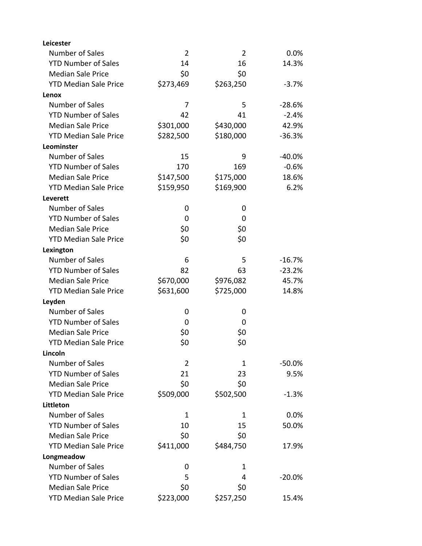| Leicester                    |           |                |           |
|------------------------------|-----------|----------------|-----------|
| Number of Sales              | 2         | $\overline{2}$ | 0.0%      |
| <b>YTD Number of Sales</b>   | 14        | 16             | 14.3%     |
| <b>Median Sale Price</b>     | \$0       | \$0            |           |
| <b>YTD Median Sale Price</b> | \$273,469 | \$263,250      | $-3.7%$   |
| Lenox                        |           |                |           |
| Number of Sales              | 7         | 5              | $-28.6%$  |
| <b>YTD Number of Sales</b>   | 42        | 41             | $-2.4%$   |
| <b>Median Sale Price</b>     | \$301,000 | \$430,000      | 42.9%     |
| <b>YTD Median Sale Price</b> | \$282,500 | \$180,000      | $-36.3%$  |
| Leominster                   |           |                |           |
| Number of Sales              | 15        | 9              | $-40.0%$  |
| <b>YTD Number of Sales</b>   | 170       | 169            | $-0.6%$   |
| <b>Median Sale Price</b>     | \$147,500 | \$175,000      | 18.6%     |
| <b>YTD Median Sale Price</b> | \$159,950 | \$169,900      | 6.2%      |
| Leverett                     |           |                |           |
| Number of Sales              | 0         | 0              |           |
| <b>YTD Number of Sales</b>   | 0         | 0              |           |
| <b>Median Sale Price</b>     | \$0       | \$0            |           |
| <b>YTD Median Sale Price</b> | \$0       | \$0            |           |
| Lexington                    |           |                |           |
| Number of Sales              | 6         | 5              | $-16.7%$  |
| <b>YTD Number of Sales</b>   | 82        | 63             | $-23.2%$  |
| <b>Median Sale Price</b>     | \$670,000 | \$976,082      | 45.7%     |
| <b>YTD Median Sale Price</b> | \$631,600 | \$725,000      | 14.8%     |
| Leyden                       |           |                |           |
| Number of Sales              | 0         | 0              |           |
| <b>YTD Number of Sales</b>   | 0         | 0              |           |
| <b>Median Sale Price</b>     | \$0       | \$0            |           |
| <b>YTD Median Sale Price</b> | \$0       | \$0            |           |
| Lincoln                      |           |                |           |
| Number of Sales              | 2         | 1              | $-50.0\%$ |
| <b>YTD Number of Sales</b>   | 21        | 23             | 9.5%      |
| <b>Median Sale Price</b>     | \$0       | \$0            |           |
| <b>YTD Median Sale Price</b> | \$509,000 | \$502,500      | $-1.3%$   |
| Littleton                    |           |                |           |
| <b>Number of Sales</b>       | 1         | 1              | 0.0%      |
| <b>YTD Number of Sales</b>   | 10        | 15             | 50.0%     |
| <b>Median Sale Price</b>     | \$0       | \$0            |           |
| <b>YTD Median Sale Price</b> | \$411,000 | \$484,750      | 17.9%     |
| Longmeadow                   |           |                |           |
| Number of Sales              | 0         | 1              |           |
| <b>YTD Number of Sales</b>   | 5         | 4              | $-20.0%$  |
| <b>Median Sale Price</b>     | \$0       | \$0            |           |
| <b>YTD Median Sale Price</b> | \$223,000 | \$257,250      | 15.4%     |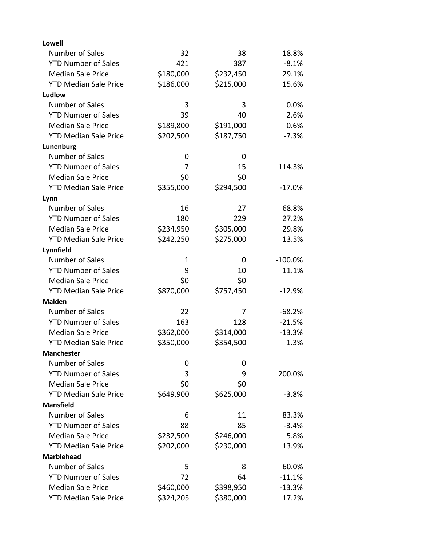| <b>Lowell</b>                |           |           |            |
|------------------------------|-----------|-----------|------------|
| Number of Sales              | 32        | 38        | 18.8%      |
| <b>YTD Number of Sales</b>   | 421       | 387       | $-8.1%$    |
| <b>Median Sale Price</b>     | \$180,000 | \$232,450 | 29.1%      |
| <b>YTD Median Sale Price</b> | \$186,000 | \$215,000 | 15.6%      |
| Ludlow                       |           |           |            |
| Number of Sales              | 3         | 3         | 0.0%       |
| <b>YTD Number of Sales</b>   | 39        | 40        | 2.6%       |
| <b>Median Sale Price</b>     | \$189,800 | \$191,000 | 0.6%       |
| <b>YTD Median Sale Price</b> | \$202,500 | \$187,750 | $-7.3%$    |
| Lunenburg                    |           |           |            |
| Number of Sales              | 0         | 0         |            |
| <b>YTD Number of Sales</b>   | 7         | 15        | 114.3%     |
| <b>Median Sale Price</b>     | \$0       | \$0       |            |
| <b>YTD Median Sale Price</b> | \$355,000 | \$294,500 | $-17.0%$   |
| Lynn                         |           |           |            |
| Number of Sales              | 16        | 27        | 68.8%      |
| <b>YTD Number of Sales</b>   | 180       | 229       | 27.2%      |
| <b>Median Sale Price</b>     | \$234,950 | \$305,000 | 29.8%      |
| <b>YTD Median Sale Price</b> | \$242,250 | \$275,000 | 13.5%      |
| Lynnfield                    |           |           |            |
| Number of Sales              | 1         | 0         | $-100.0\%$ |
| <b>YTD Number of Sales</b>   | 9         | 10        | 11.1%      |
| <b>Median Sale Price</b>     | \$0       | \$0       |            |
| <b>YTD Median Sale Price</b> | \$870,000 | \$757,450 | $-12.9%$   |
| <b>Malden</b>                |           |           |            |
| Number of Sales              | 22        | 7         | $-68.2%$   |
| <b>YTD Number of Sales</b>   | 163       | 128       | $-21.5%$   |
| <b>Median Sale Price</b>     | \$362,000 | \$314,000 | $-13.3%$   |
| <b>YTD Median Sale Price</b> | \$350,000 | \$354,500 | 1.3%       |
| <b>Manchester</b>            |           |           |            |
| Number of Sales              | 0         | 0         |            |
| <b>YTD Number of Sales</b>   | 3         | 9         | 200.0%     |
| <b>Median Sale Price</b>     | \$0       | \$0       |            |
| <b>YTD Median Sale Price</b> | \$649,900 | \$625,000 | $-3.8%$    |
| <b>Mansfield</b>             |           |           |            |
| Number of Sales              | 6         | 11        | 83.3%      |
| <b>YTD Number of Sales</b>   | 88        | 85        | $-3.4%$    |
| <b>Median Sale Price</b>     | \$232,500 | \$246,000 | 5.8%       |
| <b>YTD Median Sale Price</b> | \$202,000 | \$230,000 | 13.9%      |
| <b>Marblehead</b>            |           |           |            |
| Number of Sales              | 5         | 8         | 60.0%      |
| <b>YTD Number of Sales</b>   | 72        | 64        | $-11.1%$   |
| <b>Median Sale Price</b>     | \$460,000 | \$398,950 | $-13.3%$   |
| <b>YTD Median Sale Price</b> | \$324,205 | \$380,000 | 17.2%      |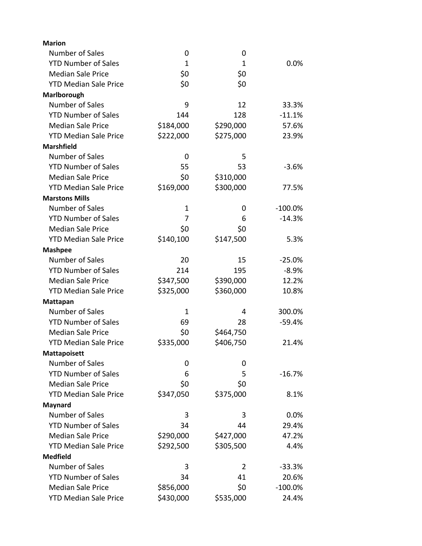| <b>Marion</b>                |              |                |           |
|------------------------------|--------------|----------------|-----------|
| Number of Sales              | 0            | 0              |           |
| <b>YTD Number of Sales</b>   | $\mathbf{1}$ | 1              | 0.0%      |
| <b>Median Sale Price</b>     | \$0          | \$0            |           |
| <b>YTD Median Sale Price</b> | \$0          | \$0            |           |
| Marlborough                  |              |                |           |
| Number of Sales              | 9            | 12             | 33.3%     |
| <b>YTD Number of Sales</b>   | 144          | 128            | $-11.1%$  |
| <b>Median Sale Price</b>     | \$184,000    | \$290,000      | 57.6%     |
| <b>YTD Median Sale Price</b> | \$222,000    | \$275,000      | 23.9%     |
| <b>Marshfield</b>            |              |                |           |
| Number of Sales              | 0            | 5              |           |
| <b>YTD Number of Sales</b>   | 55           | 53             | $-3.6%$   |
| <b>Median Sale Price</b>     | \$0          | \$310,000      |           |
| <b>YTD Median Sale Price</b> | \$169,000    | \$300,000      | 77.5%     |
| <b>Marstons Mills</b>        |              |                |           |
| Number of Sales              | $\mathbf 1$  | 0              | $-100.0%$ |
| <b>YTD Number of Sales</b>   | 7            | 6              | $-14.3%$  |
| <b>Median Sale Price</b>     | \$0          | \$0            |           |
| <b>YTD Median Sale Price</b> | \$140,100    | \$147,500      | 5.3%      |
| <b>Mashpee</b>               |              |                |           |
| Number of Sales              | 20           | 15             | $-25.0%$  |
| <b>YTD Number of Sales</b>   | 214          | 195            | $-8.9%$   |
| <b>Median Sale Price</b>     | \$347,500    | \$390,000      | 12.2%     |
| <b>YTD Median Sale Price</b> | \$325,000    | \$360,000      | 10.8%     |
| Mattapan                     |              |                |           |
| Number of Sales              | 1            | 4              | 300.0%    |
| <b>YTD Number of Sales</b>   | 69           | 28             | $-59.4%$  |
| <b>Median Sale Price</b>     | \$0          | \$464,750      |           |
| <b>YTD Median Sale Price</b> | \$335,000    | \$406,750      | 21.4%     |
| <b>Mattapoisett</b>          |              |                |           |
| Number of Sales              | 0            | 0              |           |
| <b>YTD Number of Sales</b>   | 6            | 5              | $-16.7%$  |
| <b>Median Sale Price</b>     | \$0          | \$0            |           |
| <b>YTD Median Sale Price</b> | \$347,050    | \$375,000      | 8.1%      |
| Maynard                      |              |                |           |
| Number of Sales              | 3            | 3              | 0.0%      |
| <b>YTD Number of Sales</b>   | 34           | 44             | 29.4%     |
| <b>Median Sale Price</b>     | \$290,000    | \$427,000      | 47.2%     |
| <b>YTD Median Sale Price</b> | \$292,500    | \$305,500      | 4.4%      |
| <b>Medfield</b>              |              |                |           |
| Number of Sales              | 3            | $\overline{2}$ | $-33.3%$  |
| <b>YTD Number of Sales</b>   | 34           | 41             | 20.6%     |
| <b>Median Sale Price</b>     | \$856,000    | \$0            | $-100.0%$ |
| <b>YTD Median Sale Price</b> | \$430,000    | \$535,000      | 24.4%     |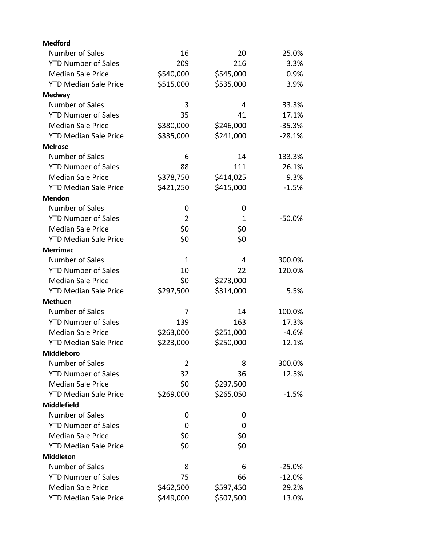| <b>Medford</b>               |                |           |          |
|------------------------------|----------------|-----------|----------|
| Number of Sales              | 16             | 20        | 25.0%    |
| <b>YTD Number of Sales</b>   | 209            | 216       | 3.3%     |
| <b>Median Sale Price</b>     | \$540,000      | \$545,000 | 0.9%     |
| <b>YTD Median Sale Price</b> | \$515,000      | \$535,000 | 3.9%     |
| <b>Medway</b>                |                |           |          |
| Number of Sales              | 3              | 4         | 33.3%    |
| <b>YTD Number of Sales</b>   | 35             | 41        | 17.1%    |
| <b>Median Sale Price</b>     | \$380,000      | \$246,000 | $-35.3%$ |
| <b>YTD Median Sale Price</b> | \$335,000      | \$241,000 | $-28.1%$ |
| <b>Melrose</b>               |                |           |          |
| Number of Sales              | 6              | 14        | 133.3%   |
| <b>YTD Number of Sales</b>   | 88             | 111       | 26.1%    |
| <b>Median Sale Price</b>     | \$378,750      | \$414,025 | 9.3%     |
| <b>YTD Median Sale Price</b> | \$421,250      | \$415,000 | $-1.5%$  |
| <b>Mendon</b>                |                |           |          |
| Number of Sales              | 0              | 0         |          |
| <b>YTD Number of Sales</b>   | $\overline{2}$ | 1         | $-50.0%$ |
| <b>Median Sale Price</b>     | \$0            | \$0       |          |
| <b>YTD Median Sale Price</b> | \$0            | \$0       |          |
| <b>Merrimac</b>              |                |           |          |
| Number of Sales              | 1              | 4         | 300.0%   |
| <b>YTD Number of Sales</b>   | 10             | 22        | 120.0%   |
| <b>Median Sale Price</b>     | \$0            | \$273,000 |          |
| <b>YTD Median Sale Price</b> | \$297,500      | \$314,000 | 5.5%     |
| <b>Methuen</b>               |                |           |          |
| Number of Sales              | 7              | 14        | 100.0%   |
| <b>YTD Number of Sales</b>   | 139            | 163       | 17.3%    |
| <b>Median Sale Price</b>     | \$263,000      | \$251,000 | $-4.6%$  |
| <b>YTD Median Sale Price</b> | \$223,000      | \$250,000 | 12.1%    |
| Middleboro                   |                |           |          |
| Number of Sales              | 2              | 8         | 300.0%   |
| <b>YTD Number of Sales</b>   | 32             | 36        | 12.5%    |
| <b>Median Sale Price</b>     | \$0            | \$297,500 |          |
| <b>YTD Median Sale Price</b> | \$269,000      | \$265,050 | $-1.5%$  |
| <b>Middlefield</b>           |                |           |          |
| Number of Sales              | 0              | 0         |          |
| <b>YTD Number of Sales</b>   | 0              | 0         |          |
| <b>Median Sale Price</b>     | \$0            | \$0       |          |
| <b>YTD Median Sale Price</b> | \$0            | \$0       |          |
| <b>Middleton</b>             |                |           |          |
| Number of Sales              | 8              | 6         | $-25.0%$ |
| <b>YTD Number of Sales</b>   | 75             | 66        | $-12.0%$ |
| <b>Median Sale Price</b>     | \$462,500      | \$597,450 | 29.2%    |
| <b>YTD Median Sale Price</b> | \$449,000      | \$507,500 | 13.0%    |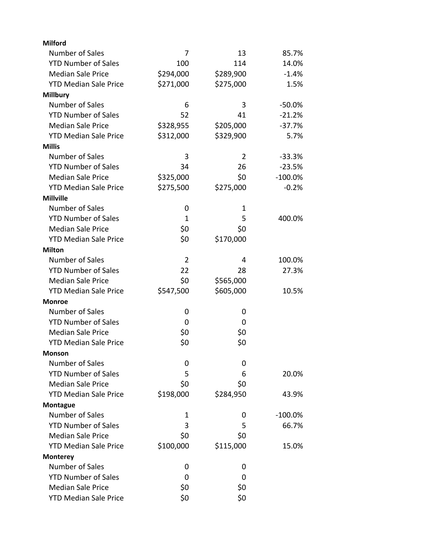| <b>Milford</b>               |                |                |            |
|------------------------------|----------------|----------------|------------|
| Number of Sales              | 7              | 13             | 85.7%      |
| <b>YTD Number of Sales</b>   | 100            | 114            | 14.0%      |
| <b>Median Sale Price</b>     | \$294,000      | \$289,900      | $-1.4%$    |
| <b>YTD Median Sale Price</b> | \$271,000      | \$275,000      | 1.5%       |
| <b>Millbury</b>              |                |                |            |
| Number of Sales              | 6              | 3              | $-50.0%$   |
| <b>YTD Number of Sales</b>   | 52             | 41             | $-21.2%$   |
| <b>Median Sale Price</b>     | \$328,955      | \$205,000      | $-37.7%$   |
| <b>YTD Median Sale Price</b> | \$312,000      | \$329,900      | 5.7%       |
| <b>Millis</b>                |                |                |            |
| <b>Number of Sales</b>       | 3              | $\overline{2}$ | $-33.3%$   |
| <b>YTD Number of Sales</b>   | 34             | 26             | $-23.5%$   |
| <b>Median Sale Price</b>     | \$325,000      | \$0            | $-100.0\%$ |
| <b>YTD Median Sale Price</b> | \$275,500      | \$275,000      | $-0.2%$    |
| <b>Millville</b>             |                |                |            |
| Number of Sales              | 0              | 1              |            |
| <b>YTD Number of Sales</b>   | 1              | 5              | 400.0%     |
| <b>Median Sale Price</b>     | \$0            | \$0            |            |
| <b>YTD Median Sale Price</b> | \$0            | \$170,000      |            |
| <b>Milton</b>                |                |                |            |
| Number of Sales              | $\overline{2}$ | 4              | 100.0%     |
| <b>YTD Number of Sales</b>   | 22             | 28             | 27.3%      |
| <b>Median Sale Price</b>     | \$0            | \$565,000      |            |
| <b>YTD Median Sale Price</b> | \$547,500      | \$605,000      | 10.5%      |
| <b>Monroe</b>                |                |                |            |
| Number of Sales              | 0              | 0              |            |
| <b>YTD Number of Sales</b>   | 0              | 0              |            |
| <b>Median Sale Price</b>     | \$0            | \$0            |            |
| <b>YTD Median Sale Price</b> | \$0            | \$0            |            |
| <b>Monson</b>                |                |                |            |
| Number of Sales              | 0              | 0              |            |
| <b>YTD Number of Sales</b>   | 5              | 6              | 20.0%      |
| <b>Median Sale Price</b>     | \$0            | \$0            |            |
| <b>YTD Median Sale Price</b> | \$198,000      | \$284,950      | 43.9%      |
| <b>Montague</b>              |                |                |            |
| Number of Sales              | 1              | 0              | $-100.0\%$ |
| <b>YTD Number of Sales</b>   | 3              | 5              | 66.7%      |
| <b>Median Sale Price</b>     | \$0            | \$0            |            |
| <b>YTD Median Sale Price</b> | \$100,000      | \$115,000      | 15.0%      |
| <b>Monterey</b>              |                |                |            |
| Number of Sales              | 0              | 0              |            |
| <b>YTD Number of Sales</b>   | 0              | 0              |            |
| <b>Median Sale Price</b>     | \$0            | \$0            |            |
| <b>YTD Median Sale Price</b> | \$0            | \$0            |            |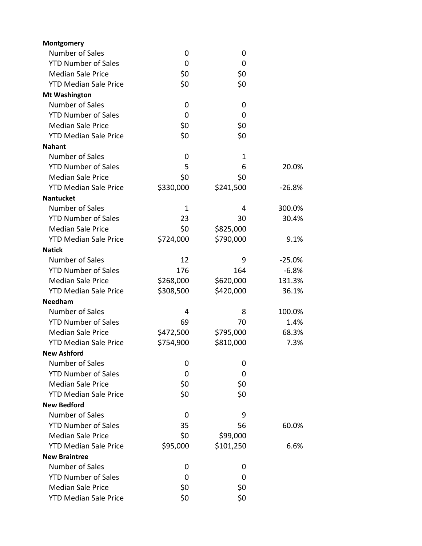| Montgomery                   |           |             |          |
|------------------------------|-----------|-------------|----------|
| Number of Sales              | 0         | 0           |          |
| <b>YTD Number of Sales</b>   | 0         | 0           |          |
| <b>Median Sale Price</b>     | \$0       | \$0         |          |
| <b>YTD Median Sale Price</b> | \$0       | \$0         |          |
| <b>Mt Washington</b>         |           |             |          |
| Number of Sales              | 0         | 0           |          |
| <b>YTD Number of Sales</b>   | 0         | 0           |          |
| <b>Median Sale Price</b>     | \$0       | \$0         |          |
| <b>YTD Median Sale Price</b> | \$0       | \$0         |          |
| <b>Nahant</b>                |           |             |          |
| Number of Sales              | 0         | $\mathbf 1$ |          |
| <b>YTD Number of Sales</b>   | 5         | 6           | 20.0%    |
| <b>Median Sale Price</b>     | \$0       | \$0         |          |
| <b>YTD Median Sale Price</b> | \$330,000 | \$241,500   | $-26.8%$ |
| <b>Nantucket</b>             |           |             |          |
| Number of Sales              | 1         | 4           | 300.0%   |
| <b>YTD Number of Sales</b>   | 23        | 30          | 30.4%    |
| <b>Median Sale Price</b>     | \$0       | \$825,000   |          |
| <b>YTD Median Sale Price</b> | \$724,000 | \$790,000   | 9.1%     |
| <b>Natick</b>                |           |             |          |
| Number of Sales              | 12        | 9           | $-25.0%$ |
| <b>YTD Number of Sales</b>   | 176       | 164         | $-6.8%$  |
| <b>Median Sale Price</b>     | \$268,000 | \$620,000   | 131.3%   |
| <b>YTD Median Sale Price</b> | \$308,500 | \$420,000   | 36.1%    |
| <b>Needham</b>               |           |             |          |
| Number of Sales              | 4         | 8           | 100.0%   |
| <b>YTD Number of Sales</b>   | 69        | 70          | 1.4%     |
| <b>Median Sale Price</b>     | \$472,500 | \$795,000   | 68.3%    |
| <b>YTD Median Sale Price</b> | \$754,900 | \$810,000   | 7.3%     |
| <b>New Ashford</b>           |           |             |          |
| Number of Sales              | 0         | 0           |          |
| <b>YTD Number of Sales</b>   | 0         | 0           |          |
| <b>Median Sale Price</b>     | \$0       | \$0         |          |
| <b>YTD Median Sale Price</b> | \$0       | \$0         |          |
| <b>New Bedford</b>           |           |             |          |
| Number of Sales              | 0         | 9           |          |
| <b>YTD Number of Sales</b>   | 35        | 56          | 60.0%    |
| <b>Median Sale Price</b>     | \$0       | \$99,000    |          |
| <b>YTD Median Sale Price</b> | \$95,000  | \$101,250   | 6.6%     |
| <b>New Braintree</b>         |           |             |          |
| Number of Sales              | 0         | 0           |          |
| <b>YTD Number of Sales</b>   | 0         | 0           |          |
| <b>Median Sale Price</b>     | \$0       | \$0         |          |
| <b>YTD Median Sale Price</b> | \$0       | \$0         |          |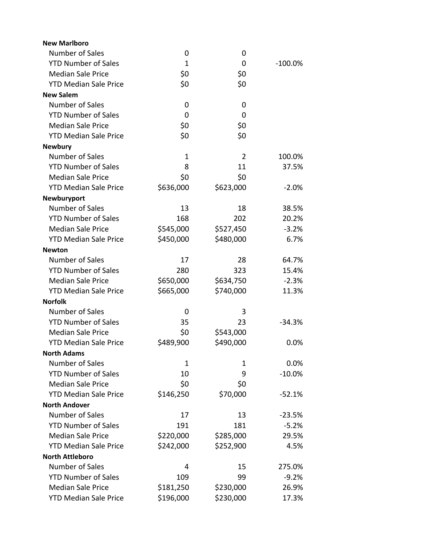| <b>New Marlboro</b>          |           |                |           |
|------------------------------|-----------|----------------|-----------|
| Number of Sales              | 0         | 0              |           |
| <b>YTD Number of Sales</b>   | 1         | 0              | $-100.0%$ |
| <b>Median Sale Price</b>     | \$0       | \$0            |           |
| <b>YTD Median Sale Price</b> | \$0       | \$0            |           |
| <b>New Salem</b>             |           |                |           |
| Number of Sales              | 0         | 0              |           |
| <b>YTD Number of Sales</b>   | 0         | 0              |           |
| <b>Median Sale Price</b>     | \$0       | \$0            |           |
| <b>YTD Median Sale Price</b> | \$0       | \$0            |           |
| <b>Newbury</b>               |           |                |           |
| Number of Sales              | 1         | $\overline{2}$ | 100.0%    |
| <b>YTD Number of Sales</b>   | 8         | 11             | 37.5%     |
| <b>Median Sale Price</b>     | \$0       | \$0            |           |
| <b>YTD Median Sale Price</b> | \$636,000 | \$623,000      | $-2.0%$   |
| Newburyport                  |           |                |           |
| Number of Sales              | 13        | 18             | 38.5%     |
| <b>YTD Number of Sales</b>   | 168       | 202            | 20.2%     |
| <b>Median Sale Price</b>     | \$545,000 | \$527,450      | $-3.2%$   |
| <b>YTD Median Sale Price</b> | \$450,000 | \$480,000      | 6.7%      |
| <b>Newton</b>                |           |                |           |
| Number of Sales              | 17        | 28             | 64.7%     |
| <b>YTD Number of Sales</b>   | 280       | 323            | 15.4%     |
| <b>Median Sale Price</b>     | \$650,000 | \$634,750      | $-2.3%$   |
| <b>YTD Median Sale Price</b> | \$665,000 | \$740,000      | 11.3%     |
| <b>Norfolk</b>               |           |                |           |
| Number of Sales              | 0         | 3              |           |
| <b>YTD Number of Sales</b>   | 35        | 23             | $-34.3%$  |
| <b>Median Sale Price</b>     | \$0       | \$543,000      |           |
| <b>YTD Median Sale Price</b> | \$489,900 | \$490,000      | 0.0%      |
| <b>North Adams</b>           |           |                |           |
| Number of Sales              | 1         | 1              | 0.0%      |
| <b>YTD Number of Sales</b>   | 10        | 9              | $-10.0%$  |
| <b>Median Sale Price</b>     | \$0       | \$0            |           |
| <b>YTD Median Sale Price</b> | \$146,250 | \$70,000       | $-52.1%$  |
| <b>North Andover</b>         |           |                |           |
| Number of Sales              | 17        | 13             | $-23.5%$  |
| <b>YTD Number of Sales</b>   | 191       | 181            | $-5.2%$   |
| <b>Median Sale Price</b>     | \$220,000 | \$285,000      | 29.5%     |
| <b>YTD Median Sale Price</b> | \$242,000 | \$252,900      | 4.5%      |
| <b>North Attleboro</b>       |           |                |           |
| Number of Sales              | 4         | 15             | 275.0%    |
| <b>YTD Number of Sales</b>   | 109       | 99             | $-9.2%$   |
| <b>Median Sale Price</b>     | \$181,250 | \$230,000      | 26.9%     |
| <b>YTD Median Sale Price</b> | \$196,000 | \$230,000      | 17.3%     |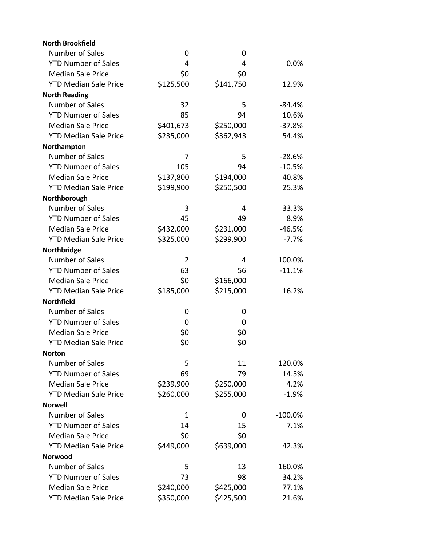| <b>North Brookfield</b>      |           |           |           |
|------------------------------|-----------|-----------|-----------|
| Number of Sales              | 0         | 0         |           |
| <b>YTD Number of Sales</b>   | 4         | 4         | 0.0%      |
| <b>Median Sale Price</b>     | \$0       | \$0       |           |
| <b>YTD Median Sale Price</b> | \$125,500 | \$141,750 | 12.9%     |
| <b>North Reading</b>         |           |           |           |
| Number of Sales              | 32        | 5         | $-84.4%$  |
| <b>YTD Number of Sales</b>   | 85        | 94        | 10.6%     |
| <b>Median Sale Price</b>     | \$401,673 | \$250,000 | $-37.8%$  |
| <b>YTD Median Sale Price</b> | \$235,000 | \$362,943 | 54.4%     |
| Northampton                  |           |           |           |
| Number of Sales              | 7         | 5         | $-28.6%$  |
| <b>YTD Number of Sales</b>   | 105       | 94        | $-10.5%$  |
| <b>Median Sale Price</b>     | \$137,800 | \$194,000 | 40.8%     |
| <b>YTD Median Sale Price</b> | \$199,900 | \$250,500 | 25.3%     |
| Northborough                 |           |           |           |
| Number of Sales              | 3         | 4         | 33.3%     |
| <b>YTD Number of Sales</b>   | 45        | 49        | 8.9%      |
| <b>Median Sale Price</b>     | \$432,000 | \$231,000 | $-46.5%$  |
| <b>YTD Median Sale Price</b> | \$325,000 | \$299,900 | $-7.7%$   |
| Northbridge                  |           |           |           |
| Number of Sales              | 2         | 4         | 100.0%    |
| <b>YTD Number of Sales</b>   | 63        | 56        | $-11.1%$  |
| <b>Median Sale Price</b>     | \$0       | \$166,000 |           |
| <b>YTD Median Sale Price</b> | \$185,000 | \$215,000 | 16.2%     |
| <b>Northfield</b>            |           |           |           |
| Number of Sales              | 0         | 0         |           |
| <b>YTD Number of Sales</b>   | 0         | 0         |           |
| <b>Median Sale Price</b>     | \$0       | \$0       |           |
| <b>YTD Median Sale Price</b> | \$0       | \$0       |           |
| <b>Norton</b>                |           |           |           |
| Number of Sales              | 5         | 11        | 120.0%    |
| <b>YTD Number of Sales</b>   | 69        | 79        | 14.5%     |
| <b>Median Sale Price</b>     | \$239,900 | \$250,000 | 4.2%      |
| <b>YTD Median Sale Price</b> | \$260,000 | \$255,000 | $-1.9%$   |
| <b>Norwell</b>               |           |           |           |
| <b>Number of Sales</b>       | 1         | 0         | $-100.0%$ |
| <b>YTD Number of Sales</b>   | 14        | 15        | 7.1%      |
| <b>Median Sale Price</b>     | \$0       | \$0       |           |
| <b>YTD Median Sale Price</b> | \$449,000 | \$639,000 | 42.3%     |
| Norwood                      |           |           |           |
| Number of Sales              | 5         | 13        | 160.0%    |
| <b>YTD Number of Sales</b>   | 73        | 98        | 34.2%     |
| <b>Median Sale Price</b>     | \$240,000 | \$425,000 | 77.1%     |
| <b>YTD Median Sale Price</b> | \$350,000 | \$425,500 | 21.6%     |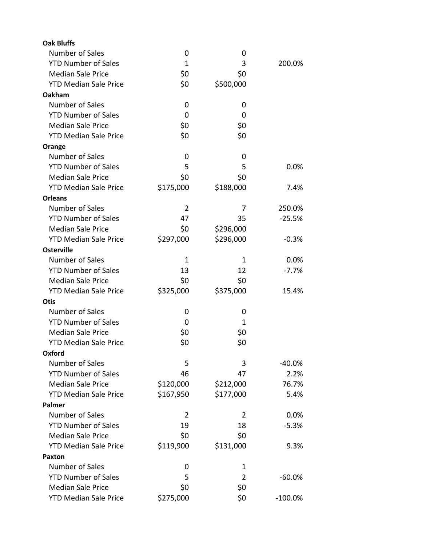| <b>Oak Bluffs</b>            |                |           |            |
|------------------------------|----------------|-----------|------------|
| Number of Sales              | 0              | 0         |            |
| <b>YTD Number of Sales</b>   | 1              | 3         | 200.0%     |
| <b>Median Sale Price</b>     | \$0            | \$0       |            |
| <b>YTD Median Sale Price</b> | \$0            | \$500,000 |            |
| Oakham                       |                |           |            |
| Number of Sales              | 0              | 0         |            |
| <b>YTD Number of Sales</b>   | 0              | 0         |            |
| <b>Median Sale Price</b>     | \$0            | \$0       |            |
| <b>YTD Median Sale Price</b> | \$0            | \$0       |            |
| Orange                       |                |           |            |
| Number of Sales              | 0              | 0         |            |
| <b>YTD Number of Sales</b>   | 5              | 5         | 0.0%       |
| <b>Median Sale Price</b>     | \$0            | \$0       |            |
| <b>YTD Median Sale Price</b> | \$175,000      | \$188,000 | 7.4%       |
| <b>Orleans</b>               |                |           |            |
| Number of Sales              | $\overline{2}$ | 7         | 250.0%     |
| <b>YTD Number of Sales</b>   | 47             | 35        | $-25.5%$   |
| <b>Median Sale Price</b>     | \$0            | \$296,000 |            |
| <b>YTD Median Sale Price</b> | \$297,000      | \$296,000 | $-0.3%$    |
| <b>Osterville</b>            |                |           |            |
| Number of Sales              | 1              | 1         | 0.0%       |
| <b>YTD Number of Sales</b>   | 13             | 12        | $-7.7%$    |
| <b>Median Sale Price</b>     | \$0            | \$0       |            |
| <b>YTD Median Sale Price</b> | \$325,000      | \$375,000 | 15.4%      |
| <b>Otis</b>                  |                |           |            |
| <b>Number of Sales</b>       | 0              | 0         |            |
| <b>YTD Number of Sales</b>   | 0              | 1         |            |
| <b>Median Sale Price</b>     | \$0            | \$0       |            |
| <b>YTD Median Sale Price</b> | \$0            | \$0       |            |
| Oxford                       |                |           |            |
| Number of Sales              | 5              | 3         | -40.0%     |
| <b>YTD Number of Sales</b>   | 46             | 47        | 2.2%       |
| <b>Median Sale Price</b>     | \$120,000      | \$212,000 | 76.7%      |
| <b>YTD Median Sale Price</b> | \$167,950      | \$177,000 | 5.4%       |
| Palmer                       |                |           |            |
| Number of Sales              | 2              | 2         | 0.0%       |
| <b>YTD Number of Sales</b>   | 19             | 18        | $-5.3%$    |
| <b>Median Sale Price</b>     | \$0            | \$0       |            |
| <b>YTD Median Sale Price</b> | \$119,900      | \$131,000 | 9.3%       |
| Paxton                       |                |           |            |
| <b>Number of Sales</b>       | 0              | 1         |            |
| <b>YTD Number of Sales</b>   | 5              | 2         | $-60.0%$   |
| <b>Median Sale Price</b>     | \$0            | \$0       |            |
| <b>YTD Median Sale Price</b> | \$275,000      | \$0       | $-100.0\%$ |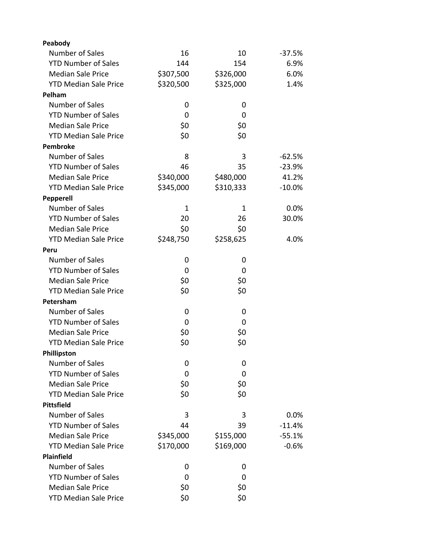| Peabody                      |           |           |          |
|------------------------------|-----------|-----------|----------|
| Number of Sales              | 16        | 10        | $-37.5%$ |
| <b>YTD Number of Sales</b>   | 144       | 154       | 6.9%     |
| <b>Median Sale Price</b>     | \$307,500 | \$326,000 | 6.0%     |
| <b>YTD Median Sale Price</b> | \$320,500 | \$325,000 | 1.4%     |
| Pelham                       |           |           |          |
| Number of Sales              | 0         | 0         |          |
| <b>YTD Number of Sales</b>   | 0         | 0         |          |
| <b>Median Sale Price</b>     | \$0       | \$0       |          |
| <b>YTD Median Sale Price</b> | \$0       | \$0       |          |
| <b>Pembroke</b>              |           |           |          |
| Number of Sales              | 8         | 3         | $-62.5%$ |
| <b>YTD Number of Sales</b>   | 46        | 35        | $-23.9%$ |
| <b>Median Sale Price</b>     | \$340,000 | \$480,000 | 41.2%    |
| <b>YTD Median Sale Price</b> | \$345,000 | \$310,333 | $-10.0%$ |
| <b>Pepperell</b>             |           |           |          |
| Number of Sales              | 1         | 1         | 0.0%     |
| <b>YTD Number of Sales</b>   | 20        | 26        | 30.0%    |
| <b>Median Sale Price</b>     | \$0       | \$0       |          |
| <b>YTD Median Sale Price</b> | \$248,750 | \$258,625 | 4.0%     |
| Peru                         |           |           |          |
| Number of Sales              | 0         | 0         |          |
| <b>YTD Number of Sales</b>   | 0         | 0         |          |
| <b>Median Sale Price</b>     | \$0       | \$0       |          |
| <b>YTD Median Sale Price</b> | \$0       | \$0       |          |
| Petersham                    |           |           |          |
| Number of Sales              | 0         | 0         |          |
| <b>YTD Number of Sales</b>   | 0         | 0         |          |
| <b>Median Sale Price</b>     | \$0       | \$0       |          |
| <b>YTD Median Sale Price</b> | \$0       | \$0       |          |
| Phillipston                  |           |           |          |
| Number of Sales              | 0         | 0         |          |
| <b>YTD Number of Sales</b>   | 0         | 0         |          |
| <b>Median Sale Price</b>     | \$0       | \$0       |          |
| <b>YTD Median Sale Price</b> | \$0       | \$0       |          |
| <b>Pittsfield</b>            |           |           |          |
| Number of Sales              | 3         | 3         | 0.0%     |
| <b>YTD Number of Sales</b>   | 44        | 39        | $-11.4%$ |
| <b>Median Sale Price</b>     | \$345,000 | \$155,000 | $-55.1%$ |
| <b>YTD Median Sale Price</b> | \$170,000 | \$169,000 | $-0.6%$  |
| <b>Plainfield</b>            |           |           |          |
| Number of Sales              | 0         | 0         |          |
| <b>YTD Number of Sales</b>   | 0         | 0         |          |
| <b>Median Sale Price</b>     | \$0       | \$0       |          |
| <b>YTD Median Sale Price</b> | \$0       | \$0       |          |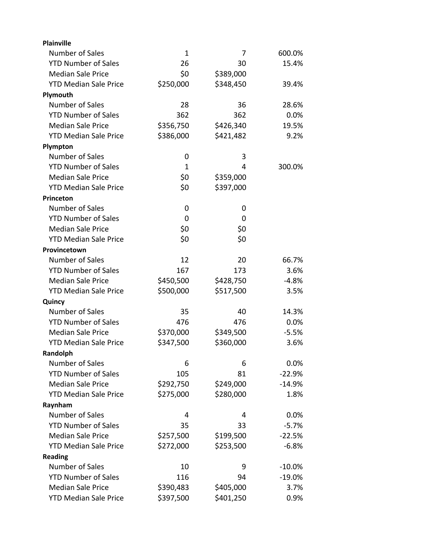| <b>Plainville</b>            |              |           |          |
|------------------------------|--------------|-----------|----------|
| Number of Sales              | $\mathbf 1$  | 7         | 600.0%   |
| <b>YTD Number of Sales</b>   | 26           | 30        | 15.4%    |
| <b>Median Sale Price</b>     | \$0          | \$389,000 |          |
| <b>YTD Median Sale Price</b> | \$250,000    | \$348,450 | 39.4%    |
| Plymouth                     |              |           |          |
| Number of Sales              | 28           | 36        | 28.6%    |
| <b>YTD Number of Sales</b>   | 362          | 362       | 0.0%     |
| <b>Median Sale Price</b>     | \$356,750    | \$426,340 | 19.5%    |
| <b>YTD Median Sale Price</b> | \$386,000    | \$421,482 | 9.2%     |
| Plympton                     |              |           |          |
| Number of Sales              | 0            | 3         |          |
| <b>YTD Number of Sales</b>   | $\mathbf{1}$ | 4         | 300.0%   |
| <b>Median Sale Price</b>     | \$0          | \$359,000 |          |
| <b>YTD Median Sale Price</b> | \$0          | \$397,000 |          |
| Princeton                    |              |           |          |
| Number of Sales              | 0            | 0         |          |
| <b>YTD Number of Sales</b>   | 0            | 0         |          |
| <b>Median Sale Price</b>     | \$0          | \$0       |          |
| <b>YTD Median Sale Price</b> | \$0          | \$0       |          |
| Provincetown                 |              |           |          |
| Number of Sales              | 12           | 20        | 66.7%    |
| <b>YTD Number of Sales</b>   | 167          | 173       | 3.6%     |
| <b>Median Sale Price</b>     | \$450,500    | \$428,750 | $-4.8%$  |
| <b>YTD Median Sale Price</b> | \$500,000    | \$517,500 | 3.5%     |
| Quincy                       |              |           |          |
| Number of Sales              | 35           | 40        | 14.3%    |
| <b>YTD Number of Sales</b>   | 476          | 476       | 0.0%     |
| <b>Median Sale Price</b>     | \$370,000    | \$349,500 | $-5.5%$  |
| <b>YTD Median Sale Price</b> | \$347,500    | \$360,000 | 3.6%     |
| Randolph                     |              |           |          |
| Number of Sales              | 6            | 6         | 0.0%     |
| <b>YTD Number of Sales</b>   | 105          | 81        | $-22.9%$ |
| <b>Median Sale Price</b>     | \$292,750    | \$249,000 | $-14.9%$ |
| <b>YTD Median Sale Price</b> | \$275,000    | \$280,000 | 1.8%     |
| Raynham                      |              |           |          |
| Number of Sales              | 4            | 4         | 0.0%     |
| <b>YTD Number of Sales</b>   | 35           | 33        | $-5.7%$  |
| <b>Median Sale Price</b>     | \$257,500    | \$199,500 | $-22.5%$ |
| <b>YTD Median Sale Price</b> | \$272,000    | \$253,500 | $-6.8%$  |
| <b>Reading</b>               |              |           |          |
| Number of Sales              | 10           | 9         | $-10.0%$ |
| <b>YTD Number of Sales</b>   | 116          | 94        | $-19.0%$ |
| <b>Median Sale Price</b>     | \$390,483    | \$405,000 | 3.7%     |
| <b>YTD Median Sale Price</b> | \$397,500    | \$401,250 | 0.9%     |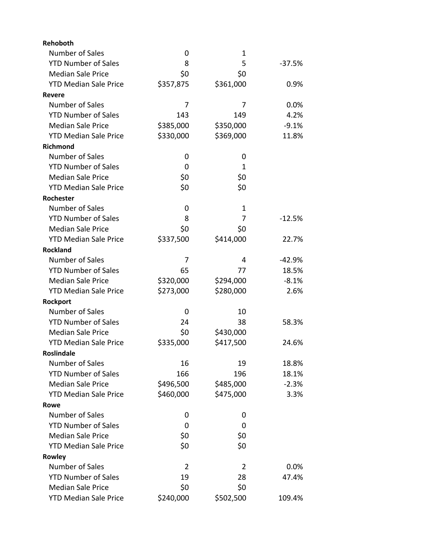| <b>Rehoboth</b>              |           |           |          |
|------------------------------|-----------|-----------|----------|
| Number of Sales              | 0         | 1         |          |
| <b>YTD Number of Sales</b>   | 8         | 5         | $-37.5%$ |
| <b>Median Sale Price</b>     | \$0       | \$0       |          |
| <b>YTD Median Sale Price</b> | \$357,875 | \$361,000 | 0.9%     |
| <b>Revere</b>                |           |           |          |
| Number of Sales              | 7         | 7         | 0.0%     |
| <b>YTD Number of Sales</b>   | 143       | 149       | 4.2%     |
| <b>Median Sale Price</b>     | \$385,000 | \$350,000 | $-9.1%$  |
| <b>YTD Median Sale Price</b> | \$330,000 | \$369,000 | 11.8%    |
| <b>Richmond</b>              |           |           |          |
| Number of Sales              | 0         | 0         |          |
| <b>YTD Number of Sales</b>   | 0         | 1         |          |
| <b>Median Sale Price</b>     | \$0       | \$0       |          |
| <b>YTD Median Sale Price</b> | \$0       | \$0       |          |
| Rochester                    |           |           |          |
| Number of Sales              | 0         | 1         |          |
| <b>YTD Number of Sales</b>   | 8         | 7         | $-12.5%$ |
| <b>Median Sale Price</b>     | \$0       | \$0       |          |
| <b>YTD Median Sale Price</b> | \$337,500 | \$414,000 | 22.7%    |
| <b>Rockland</b>              |           |           |          |
| Number of Sales              | 7         | 4         | $-42.9%$ |
| <b>YTD Number of Sales</b>   | 65        | 77        | 18.5%    |
| <b>Median Sale Price</b>     | \$320,000 | \$294,000 | $-8.1%$  |
| <b>YTD Median Sale Price</b> | \$273,000 | \$280,000 | 2.6%     |
| <b>Rockport</b>              |           |           |          |
| Number of Sales              | 0         | 10        |          |
| <b>YTD Number of Sales</b>   | 24        | 38        | 58.3%    |
| <b>Median Sale Price</b>     | \$0       | \$430,000 |          |
| <b>YTD Median Sale Price</b> | \$335,000 | \$417,500 | 24.6%    |
| <b>Roslindale</b>            |           |           |          |
| <b>Number of Sales</b>       | 16        | 19        | 18.8%    |
| <b>YTD Number of Sales</b>   | 166       | 196       | 18.1%    |
| <b>Median Sale Price</b>     | \$496,500 | \$485,000 | $-2.3%$  |
| <b>YTD Median Sale Price</b> | \$460,000 | \$475,000 | 3.3%     |
| Rowe                         |           |           |          |
| Number of Sales              | 0         | 0         |          |
| <b>YTD Number of Sales</b>   | 0         | 0         |          |
| <b>Median Sale Price</b>     | \$0       | \$0       |          |
| <b>YTD Median Sale Price</b> | \$0       | \$0       |          |
| Rowley                       |           |           |          |
| Number of Sales              | 2         | 2         | 0.0%     |
| <b>YTD Number of Sales</b>   | 19        | 28        | 47.4%    |
| <b>Median Sale Price</b>     | \$0       | \$0       |          |
| <b>YTD Median Sale Price</b> | \$240,000 | \$502,500 | 109.4%   |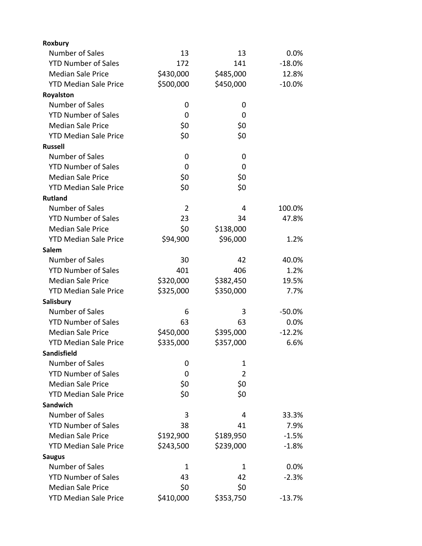| Roxbury                      |                |                |          |
|------------------------------|----------------|----------------|----------|
| <b>Number of Sales</b>       | 13             | 13             | 0.0%     |
| <b>YTD Number of Sales</b>   | 172            | 141            | $-18.0%$ |
| <b>Median Sale Price</b>     | \$430,000      | \$485,000      | 12.8%    |
| <b>YTD Median Sale Price</b> | \$500,000      | \$450,000      | $-10.0%$ |
| Royalston                    |                |                |          |
| Number of Sales              | 0              | 0              |          |
| <b>YTD Number of Sales</b>   | 0              | 0              |          |
| <b>Median Sale Price</b>     | \$0            | \$0            |          |
| <b>YTD Median Sale Price</b> | \$0            | \$0            |          |
| <b>Russell</b>               |                |                |          |
| Number of Sales              | 0              | 0              |          |
| <b>YTD Number of Sales</b>   | 0              | 0              |          |
| <b>Median Sale Price</b>     | \$0            | \$0            |          |
| <b>YTD Median Sale Price</b> | \$0            | \$0            |          |
| <b>Rutland</b>               |                |                |          |
| Number of Sales              | $\overline{2}$ | 4              | 100.0%   |
| <b>YTD Number of Sales</b>   | 23             | 34             | 47.8%    |
| <b>Median Sale Price</b>     | \$0            | \$138,000      |          |
| <b>YTD Median Sale Price</b> | \$94,900       | \$96,000       | 1.2%     |
| Salem                        |                |                |          |
| Number of Sales              | 30             | 42             | 40.0%    |
| <b>YTD Number of Sales</b>   | 401            | 406            | 1.2%     |
| <b>Median Sale Price</b>     | \$320,000      | \$382,450      | 19.5%    |
| <b>YTD Median Sale Price</b> | \$325,000      | \$350,000      | 7.7%     |
| Salisbury                    |                |                |          |
| Number of Sales              | 6              | 3              | $-50.0%$ |
| <b>YTD Number of Sales</b>   | 63             | 63             | 0.0%     |
| <b>Median Sale Price</b>     | \$450,000      | \$395,000      | $-12.2%$ |
| <b>YTD Median Sale Price</b> | \$335,000      | \$357,000      | 6.6%     |
| Sandisfield                  |                |                |          |
| Number of Sales              | 0              | 1              |          |
| <b>YTD Number of Sales</b>   | 0              | $\overline{2}$ |          |
| <b>Median Sale Price</b>     | \$0            | \$0            |          |
| <b>YTD Median Sale Price</b> | \$0            | \$0            |          |
| Sandwich                     |                |                |          |
| Number of Sales              | 3              | 4              | 33.3%    |
| <b>YTD Number of Sales</b>   | 38             | 41             | 7.9%     |
| <b>Median Sale Price</b>     | \$192,900      | \$189,950      | $-1.5%$  |
| <b>YTD Median Sale Price</b> | \$243,500      | \$239,000      | $-1.8%$  |
| <b>Saugus</b>                |                |                |          |
| Number of Sales              | 1              | 1              | 0.0%     |
| <b>YTD Number of Sales</b>   | 43             | 42             | $-2.3%$  |
| <b>Median Sale Price</b>     | \$0            | \$0            |          |
| <b>YTD Median Sale Price</b> | \$410,000      | \$353,750      | $-13.7%$ |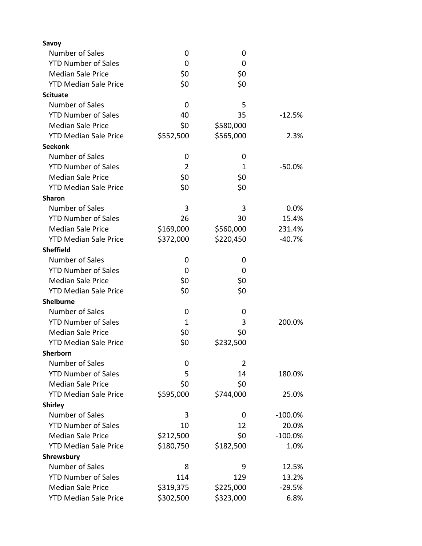| Savoy                        |                |                |            |
|------------------------------|----------------|----------------|------------|
| Number of Sales              | 0              | 0              |            |
| <b>YTD Number of Sales</b>   | 0              | 0              |            |
| <b>Median Sale Price</b>     | \$0            | \$0            |            |
| <b>YTD Median Sale Price</b> | \$0            | \$0            |            |
| <b>Scituate</b>              |                |                |            |
| Number of Sales              | 0              | 5              |            |
| <b>YTD Number of Sales</b>   | 40             | 35             | $-12.5%$   |
| <b>Median Sale Price</b>     | \$0            | \$580,000      |            |
| <b>YTD Median Sale Price</b> | \$552,500      | \$565,000      | 2.3%       |
| <b>Seekonk</b>               |                |                |            |
| Number of Sales              | 0              | 0              |            |
| <b>YTD Number of Sales</b>   | $\overline{2}$ | 1              | $-50.0%$   |
| <b>Median Sale Price</b>     | \$0            | \$0            |            |
| <b>YTD Median Sale Price</b> | \$0            | \$0            |            |
| <b>Sharon</b>                |                |                |            |
| Number of Sales              | 3              | 3              | 0.0%       |
| <b>YTD Number of Sales</b>   | 26             | 30             | 15.4%      |
| <b>Median Sale Price</b>     | \$169,000      | \$560,000      | 231.4%     |
| <b>YTD Median Sale Price</b> | \$372,000      | \$220,450      | $-40.7%$   |
| <b>Sheffield</b>             |                |                |            |
| Number of Sales              | 0              | 0              |            |
| <b>YTD Number of Sales</b>   | 0              | 0              |            |
| <b>Median Sale Price</b>     | \$0            | \$0            |            |
| <b>YTD Median Sale Price</b> | \$0            | \$0            |            |
| <b>Shelburne</b>             |                |                |            |
| Number of Sales              | 0              | 0              |            |
| <b>YTD Number of Sales</b>   | 1              | 3              | 200.0%     |
| <b>Median Sale Price</b>     | \$0            | \$0            |            |
| <b>YTD Median Sale Price</b> | \$0            | \$232,500      |            |
| Sherborn                     |                |                |            |
| Number of Sales              | 0              | $\overline{2}$ |            |
| <b>YTD Number of Sales</b>   | 5              | 14             | 180.0%     |
| <b>Median Sale Price</b>     | \$0            | \$0            |            |
| <b>YTD Median Sale Price</b> | \$595,000      | \$744,000      | 25.0%      |
| <b>Shirley</b>               |                |                |            |
| Number of Sales              | 3              | 0              | $-100.0\%$ |
| <b>YTD Number of Sales</b>   | 10             | 12             | 20.0%      |
| <b>Median Sale Price</b>     | \$212,500      | \$0            | $-100.0%$  |
| <b>YTD Median Sale Price</b> | \$180,750      | \$182,500      | 1.0%       |
| Shrewsbury                   |                |                |            |
| Number of Sales              | 8              | 9              | 12.5%      |
| <b>YTD Number of Sales</b>   | 114            | 129            | 13.2%      |
| <b>Median Sale Price</b>     | \$319,375      | \$225,000      | $-29.5%$   |
| <b>YTD Median Sale Price</b> | \$302,500      | \$323,000      | 6.8%       |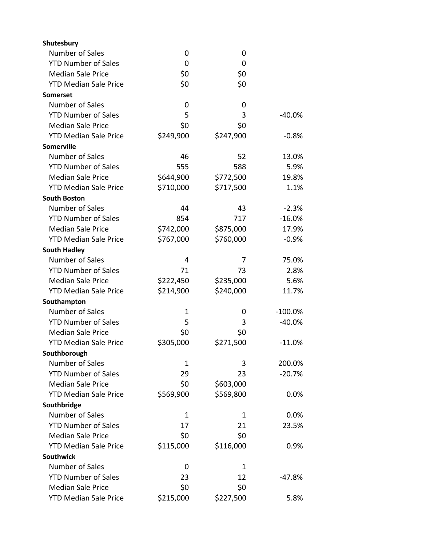| Shutesbury                   |             |           |            |
|------------------------------|-------------|-----------|------------|
| Number of Sales              | 0           | 0         |            |
| <b>YTD Number of Sales</b>   | 0           | 0         |            |
| <b>Median Sale Price</b>     | \$0         | \$0       |            |
| <b>YTD Median Sale Price</b> | \$0         | \$0       |            |
| <b>Somerset</b>              |             |           |            |
| Number of Sales              | 0           | 0         |            |
| <b>YTD Number of Sales</b>   | 5           | 3         | $-40.0%$   |
| <b>Median Sale Price</b>     | \$0         | \$0       |            |
| <b>YTD Median Sale Price</b> | \$249,900   | \$247,900 | $-0.8%$    |
| Somerville                   |             |           |            |
| Number of Sales              | 46          | 52        | 13.0%      |
| <b>YTD Number of Sales</b>   | 555         | 588       | 5.9%       |
| <b>Median Sale Price</b>     | \$644,900   | \$772,500 | 19.8%      |
| <b>YTD Median Sale Price</b> | \$710,000   | \$717,500 | 1.1%       |
| <b>South Boston</b>          |             |           |            |
| Number of Sales              | 44          | 43        | $-2.3%$    |
| <b>YTD Number of Sales</b>   | 854         | 717       | $-16.0%$   |
| <b>Median Sale Price</b>     | \$742,000   | \$875,000 | 17.9%      |
| <b>YTD Median Sale Price</b> | \$767,000   | \$760,000 | $-0.9%$    |
| <b>South Hadley</b>          |             |           |            |
| Number of Sales              | 4           | 7         | 75.0%      |
| <b>YTD Number of Sales</b>   | 71          | 73        | 2.8%       |
| <b>Median Sale Price</b>     | \$222,450   | \$235,000 | 5.6%       |
| <b>YTD Median Sale Price</b> | \$214,900   | \$240,000 | 11.7%      |
| Southampton                  |             |           |            |
| Number of Sales              | $\mathbf 1$ | 0         | $-100.0\%$ |
| <b>YTD Number of Sales</b>   | 5           | 3         | $-40.0%$   |
| <b>Median Sale Price</b>     | \$0         | \$0       |            |
| <b>YTD Median Sale Price</b> | \$305,000   | \$271,500 | $-11.0%$   |
| Southborough                 |             |           |            |
| <b>Number of Sales</b>       | 1           | 3         | 200.0%     |
| <b>YTD Number of Sales</b>   | 29          | 23        | $-20.7%$   |
| <b>Median Sale Price</b>     | \$0         | \$603,000 |            |
| <b>YTD Median Sale Price</b> | \$569,900   | \$569,800 | 0.0%       |
| Southbridge                  |             |           |            |
| Number of Sales              | 1           | 1         | 0.0%       |
| <b>YTD Number of Sales</b>   | 17          | 21        | 23.5%      |
| <b>Median Sale Price</b>     | \$0         | \$0       |            |
| <b>YTD Median Sale Price</b> | \$115,000   | \$116,000 | 0.9%       |
| <b>Southwick</b>             |             |           |            |
| Number of Sales              | 0           | 1         |            |
| <b>YTD Number of Sales</b>   | 23          | 12        | -47.8%     |
| <b>Median Sale Price</b>     | \$0         | \$0       |            |
| <b>YTD Median Sale Price</b> | \$215,000   | \$227,500 | 5.8%       |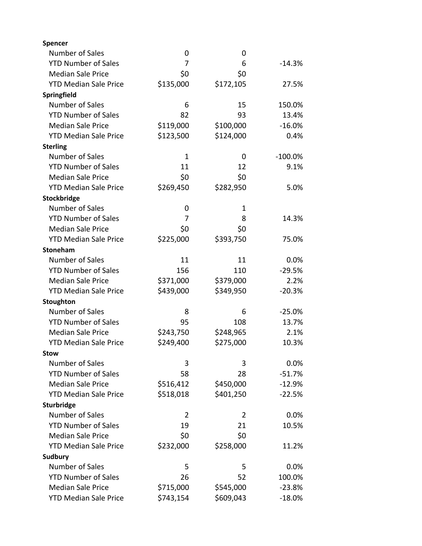| Spencer                      |           |           |           |
|------------------------------|-----------|-----------|-----------|
| Number of Sales              | 0         | 0         |           |
| <b>YTD Number of Sales</b>   | 7         | 6         | $-14.3%$  |
| <b>Median Sale Price</b>     | \$0       | \$0       |           |
| <b>YTD Median Sale Price</b> | \$135,000 | \$172,105 | 27.5%     |
| Springfield                  |           |           |           |
| Number of Sales              | 6         | 15        | 150.0%    |
| <b>YTD Number of Sales</b>   | 82        | 93        | 13.4%     |
| <b>Median Sale Price</b>     | \$119,000 | \$100,000 | $-16.0%$  |
| <b>YTD Median Sale Price</b> | \$123,500 | \$124,000 | 0.4%      |
| <b>Sterling</b>              |           |           |           |
| Number of Sales              | 1         | 0         | $-100.0%$ |
| <b>YTD Number of Sales</b>   | 11        | 12        | 9.1%      |
| <b>Median Sale Price</b>     | \$0       | \$0       |           |
| <b>YTD Median Sale Price</b> | \$269,450 | \$282,950 | 5.0%      |
| Stockbridge                  |           |           |           |
| Number of Sales              | 0         | 1         |           |
| <b>YTD Number of Sales</b>   | 7         | 8         | 14.3%     |
| <b>Median Sale Price</b>     | \$0       | \$0       |           |
| <b>YTD Median Sale Price</b> | \$225,000 | \$393,750 | 75.0%     |
| Stoneham                     |           |           |           |
| Number of Sales              | 11        | 11        | 0.0%      |
| <b>YTD Number of Sales</b>   | 156       | 110       | $-29.5%$  |
| <b>Median Sale Price</b>     | \$371,000 | \$379,000 | 2.2%      |
| <b>YTD Median Sale Price</b> | \$439,000 | \$349,950 | $-20.3%$  |
| Stoughton                    |           |           |           |
| Number of Sales              | 8         | 6         | $-25.0%$  |
| <b>YTD Number of Sales</b>   | 95        | 108       | 13.7%     |
| <b>Median Sale Price</b>     | \$243,750 | \$248,965 | 2.1%      |
| <b>YTD Median Sale Price</b> | \$249,400 | \$275,000 | 10.3%     |
| <b>Stow</b>                  |           |           |           |
| <b>Number of Sales</b>       | 3         | 3         | 0.0%      |
| <b>YTD Number of Sales</b>   | 58        | 28        | $-51.7%$  |
| <b>Median Sale Price</b>     | \$516,412 | \$450,000 | $-12.9%$  |
| <b>YTD Median Sale Price</b> | \$518,018 | \$401,250 | $-22.5%$  |
| Sturbridge                   |           |           |           |
| Number of Sales              | 2         | 2         | 0.0%      |
| <b>YTD Number of Sales</b>   | 19        | 21        | 10.5%     |
| <b>Median Sale Price</b>     | \$0       | \$0       |           |
| <b>YTD Median Sale Price</b> | \$232,000 | \$258,000 | 11.2%     |
| Sudbury                      |           |           |           |
| Number of Sales              | 5         | 5         | 0.0%      |
| <b>YTD Number of Sales</b>   | 26        | 52        | 100.0%    |
| <b>Median Sale Price</b>     | \$715,000 | \$545,000 | $-23.8%$  |
| <b>YTD Median Sale Price</b> | \$743,154 | \$609,043 | $-18.0%$  |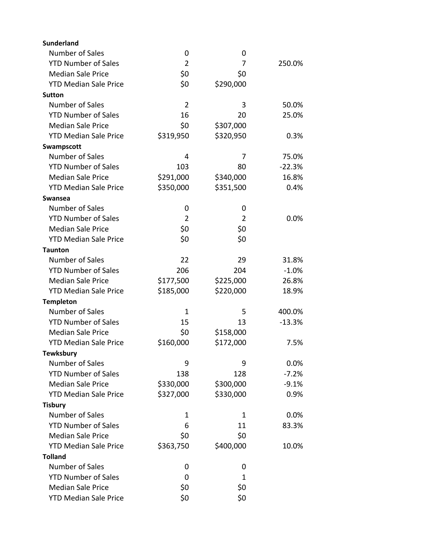| Number of Sales<br>0<br>0<br>$\overline{2}$<br><b>YTD Number of Sales</b><br>7<br>250.0%<br>\$0<br><b>Median Sale Price</b><br>\$0<br>\$0<br><b>YTD Median Sale Price</b><br>\$290,000<br><b>Sutton</b><br>Number of Sales<br>$\overline{2}$<br>3<br>50.0%<br><b>YTD Number of Sales</b><br>16<br>25.0%<br>20<br><b>Median Sale Price</b><br>\$0<br>\$307,000<br><b>YTD Median Sale Price</b><br>\$319,950<br>\$320,950<br>0.3%<br>Swampscott<br>Number of Sales<br>75.0%<br>4<br>7<br><b>YTD Number of Sales</b><br>103<br>$-22.3%$<br>80<br>\$291,000<br><b>Median Sale Price</b><br>\$340,000<br>16.8%<br>\$350,000<br>\$351,500<br><b>YTD Median Sale Price</b><br>0.4%<br>Swansea<br>Number of Sales<br>0<br>0<br><b>YTD Number of Sales</b><br>2<br>2<br>0.0%<br>\$0<br>\$0<br><b>Median Sale Price</b><br><b>YTD Median Sale Price</b><br>\$0<br>\$0 |
|-------------------------------------------------------------------------------------------------------------------------------------------------------------------------------------------------------------------------------------------------------------------------------------------------------------------------------------------------------------------------------------------------------------------------------------------------------------------------------------------------------------------------------------------------------------------------------------------------------------------------------------------------------------------------------------------------------------------------------------------------------------------------------------------------------------------------------------------------------------|
|                                                                                                                                                                                                                                                                                                                                                                                                                                                                                                                                                                                                                                                                                                                                                                                                                                                             |
|                                                                                                                                                                                                                                                                                                                                                                                                                                                                                                                                                                                                                                                                                                                                                                                                                                                             |
|                                                                                                                                                                                                                                                                                                                                                                                                                                                                                                                                                                                                                                                                                                                                                                                                                                                             |
|                                                                                                                                                                                                                                                                                                                                                                                                                                                                                                                                                                                                                                                                                                                                                                                                                                                             |
|                                                                                                                                                                                                                                                                                                                                                                                                                                                                                                                                                                                                                                                                                                                                                                                                                                                             |
|                                                                                                                                                                                                                                                                                                                                                                                                                                                                                                                                                                                                                                                                                                                                                                                                                                                             |
|                                                                                                                                                                                                                                                                                                                                                                                                                                                                                                                                                                                                                                                                                                                                                                                                                                                             |
|                                                                                                                                                                                                                                                                                                                                                                                                                                                                                                                                                                                                                                                                                                                                                                                                                                                             |
|                                                                                                                                                                                                                                                                                                                                                                                                                                                                                                                                                                                                                                                                                                                                                                                                                                                             |
|                                                                                                                                                                                                                                                                                                                                                                                                                                                                                                                                                                                                                                                                                                                                                                                                                                                             |
|                                                                                                                                                                                                                                                                                                                                                                                                                                                                                                                                                                                                                                                                                                                                                                                                                                                             |
|                                                                                                                                                                                                                                                                                                                                                                                                                                                                                                                                                                                                                                                                                                                                                                                                                                                             |
|                                                                                                                                                                                                                                                                                                                                                                                                                                                                                                                                                                                                                                                                                                                                                                                                                                                             |
|                                                                                                                                                                                                                                                                                                                                                                                                                                                                                                                                                                                                                                                                                                                                                                                                                                                             |
|                                                                                                                                                                                                                                                                                                                                                                                                                                                                                                                                                                                                                                                                                                                                                                                                                                                             |
|                                                                                                                                                                                                                                                                                                                                                                                                                                                                                                                                                                                                                                                                                                                                                                                                                                                             |
|                                                                                                                                                                                                                                                                                                                                                                                                                                                                                                                                                                                                                                                                                                                                                                                                                                                             |
|                                                                                                                                                                                                                                                                                                                                                                                                                                                                                                                                                                                                                                                                                                                                                                                                                                                             |
|                                                                                                                                                                                                                                                                                                                                                                                                                                                                                                                                                                                                                                                                                                                                                                                                                                                             |
| <b>Taunton</b>                                                                                                                                                                                                                                                                                                                                                                                                                                                                                                                                                                                                                                                                                                                                                                                                                                              |
| Number of Sales<br>22<br>29<br>31.8%                                                                                                                                                                                                                                                                                                                                                                                                                                                                                                                                                                                                                                                                                                                                                                                                                        |
| 206<br><b>YTD Number of Sales</b><br>204<br>$-1.0%$                                                                                                                                                                                                                                                                                                                                                                                                                                                                                                                                                                                                                                                                                                                                                                                                         |
| <b>Median Sale Price</b><br>\$177,500<br>\$225,000<br>26.8%                                                                                                                                                                                                                                                                                                                                                                                                                                                                                                                                                                                                                                                                                                                                                                                                 |
| \$185,000<br>\$220,000<br><b>YTD Median Sale Price</b><br>18.9%                                                                                                                                                                                                                                                                                                                                                                                                                                                                                                                                                                                                                                                                                                                                                                                             |
| <b>Templeton</b>                                                                                                                                                                                                                                                                                                                                                                                                                                                                                                                                                                                                                                                                                                                                                                                                                                            |
| Number of Sales<br>1<br>5<br>400.0%                                                                                                                                                                                                                                                                                                                                                                                                                                                                                                                                                                                                                                                                                                                                                                                                                         |
| <b>YTD Number of Sales</b><br>15<br>13<br>$-13.3%$                                                                                                                                                                                                                                                                                                                                                                                                                                                                                                                                                                                                                                                                                                                                                                                                          |
| <b>Median Sale Price</b><br>\$0<br>\$158,000                                                                                                                                                                                                                                                                                                                                                                                                                                                                                                                                                                                                                                                                                                                                                                                                                |
| <b>YTD Median Sale Price</b><br>\$160,000<br>\$172,000<br>7.5%                                                                                                                                                                                                                                                                                                                                                                                                                                                                                                                                                                                                                                                                                                                                                                                              |
| <b>Tewksbury</b>                                                                                                                                                                                                                                                                                                                                                                                                                                                                                                                                                                                                                                                                                                                                                                                                                                            |
| Number of Sales<br>9<br>0.0%<br>9                                                                                                                                                                                                                                                                                                                                                                                                                                                                                                                                                                                                                                                                                                                                                                                                                           |
| <b>YTD Number of Sales</b><br>$-7.2%$<br>138<br>128                                                                                                                                                                                                                                                                                                                                                                                                                                                                                                                                                                                                                                                                                                                                                                                                         |
| <b>Median Sale Price</b><br>\$330,000<br>\$300,000<br>$-9.1%$                                                                                                                                                                                                                                                                                                                                                                                                                                                                                                                                                                                                                                                                                                                                                                                               |
| <b>YTD Median Sale Price</b><br>\$327,000<br>\$330,000<br>0.9%                                                                                                                                                                                                                                                                                                                                                                                                                                                                                                                                                                                                                                                                                                                                                                                              |
| <b>Tisbury</b>                                                                                                                                                                                                                                                                                                                                                                                                                                                                                                                                                                                                                                                                                                                                                                                                                                              |
| Number of Sales<br>0.0%<br>1<br>1                                                                                                                                                                                                                                                                                                                                                                                                                                                                                                                                                                                                                                                                                                                                                                                                                           |
| <b>YTD Number of Sales</b><br>6<br>11<br>83.3%                                                                                                                                                                                                                                                                                                                                                                                                                                                                                                                                                                                                                                                                                                                                                                                                              |
| <b>Median Sale Price</b><br>\$0<br>\$0                                                                                                                                                                                                                                                                                                                                                                                                                                                                                                                                                                                                                                                                                                                                                                                                                      |
| <b>YTD Median Sale Price</b><br>\$363,750<br>\$400,000<br>10.0%                                                                                                                                                                                                                                                                                                                                                                                                                                                                                                                                                                                                                                                                                                                                                                                             |
| <b>Tolland</b>                                                                                                                                                                                                                                                                                                                                                                                                                                                                                                                                                                                                                                                                                                                                                                                                                                              |
| Number of Sales<br>0<br>0                                                                                                                                                                                                                                                                                                                                                                                                                                                                                                                                                                                                                                                                                                                                                                                                                                   |
| <b>YTD Number of Sales</b><br>1<br>0                                                                                                                                                                                                                                                                                                                                                                                                                                                                                                                                                                                                                                                                                                                                                                                                                        |
| <b>Median Sale Price</b><br>\$0<br>\$0                                                                                                                                                                                                                                                                                                                                                                                                                                                                                                                                                                                                                                                                                                                                                                                                                      |
| \$0<br>\$0<br><b>YTD Median Sale Price</b>                                                                                                                                                                                                                                                                                                                                                                                                                                                                                                                                                                                                                                                                                                                                                                                                                  |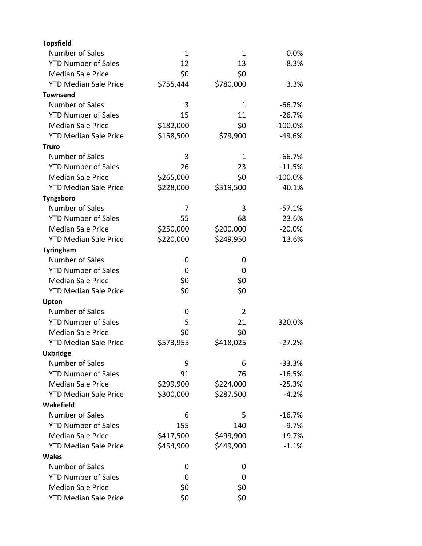| <b>Topsfield</b>             |           |                |           |
|------------------------------|-----------|----------------|-----------|
| <b>Number of Sales</b>       | 1         | 1              | 0.0%      |
| <b>YTD Number of Sales</b>   | 12        | 13             | 8.3%      |
| <b>Median Sale Price</b>     | \$0       | \$0            |           |
| <b>YTD Median Sale Price</b> | \$755,444 | \$780,000      | 3.3%      |
| <b>Townsend</b>              |           |                |           |
| <b>Number of Sales</b>       | 3         | 1              | $-66.7%$  |
| <b>YTD Number of Sales</b>   | 15        | 11             | $-26.7%$  |
| <b>Median Sale Price</b>     | \$182,000 | \$0            | $-100.0%$ |
| <b>YTD Median Sale Price</b> | \$158,500 | \$79,900       | $-49.6%$  |
| <b>Truro</b>                 |           |                |           |
| <b>Number of Sales</b>       | 3         | 1              | $-66.7%$  |
| <b>YTD Number of Sales</b>   | 26        | 23             | $-11.5%$  |
| <b>Median Sale Price</b>     | \$265,000 | \$0            | $-100.0%$ |
| <b>YTD Median Sale Price</b> | \$228,000 | \$319,500      | 40.1%     |
| <b>Tyngsboro</b>             |           |                |           |
| <b>Number of Sales</b>       | 7         | 3              | $-57.1%$  |
| <b>YTD Number of Sales</b>   | 55        | 68             | 23.6%     |
| <b>Median Sale Price</b>     | \$250,000 | \$200,000      | $-20.0%$  |
| <b>YTD Median Sale Price</b> | \$220,000 | \$249,950      | 13.6%     |
| <b>Tyringham</b>             |           |                |           |
| <b>Number of Sales</b>       | 0         | 0              |           |
| <b>YTD Number of Sales</b>   | 0         | 0              |           |
| <b>Median Sale Price</b>     | \$0       | \$0            |           |
| <b>YTD Median Sale Price</b> | \$0       | \$0            |           |
| Upton                        |           |                |           |
| Number of Sales              | 0         | $\overline{2}$ |           |
| <b>YTD Number of Sales</b>   | 5         | 21             | 320.0%    |
| <b>Median Sale Price</b>     | \$0       | \$0            |           |
| <b>YTD Median Sale Price</b> | \$573,955 | \$418,025      | $-27.2%$  |
| <b>Uxbridge</b>              |           |                |           |
| Number of Sales              | 9         | 6              | $-33.3%$  |
| <b>YTD Number of Sales</b>   | 91        | 76             | $-16.5%$  |
| <b>Median Sale Price</b>     | \$299,900 | \$224,000      | $-25.3%$  |
| <b>YTD Median Sale Price</b> | \$300,000 | \$287,500      | $-4.2%$   |
| Wakefield                    |           |                |           |
| <b>Number of Sales</b>       | 6         | 5              | $-16.7%$  |
| <b>YTD Number of Sales</b>   | 155       | 140            | $-9.7%$   |
| <b>Median Sale Price</b>     | \$417,500 | \$499,900      | 19.7%     |
| <b>YTD Median Sale Price</b> | \$454,900 | \$449,900      | $-1.1%$   |
| <b>Wales</b>                 |           |                |           |
| Number of Sales              | 0         | 0              |           |
| <b>YTD Number of Sales</b>   | 0         | 0              |           |
| <b>Median Sale Price</b>     | \$0       | \$0            |           |
| <b>YTD Median Sale Price</b> | \$0       | \$0            |           |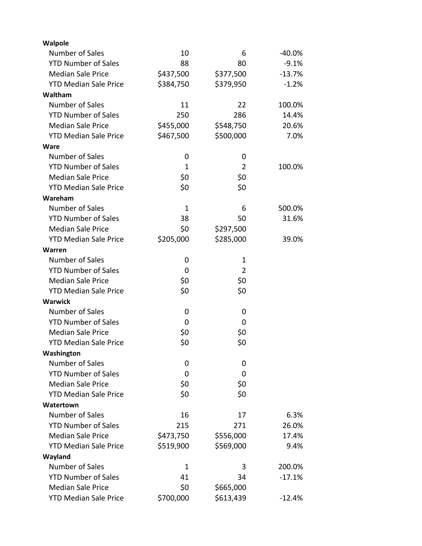| Walpole                      |             |                |           |
|------------------------------|-------------|----------------|-----------|
| Number of Sales              | 10          | 6              | $-40.0\%$ |
| <b>YTD Number of Sales</b>   | 88          | 80             | $-9.1%$   |
| <b>Median Sale Price</b>     | \$437,500   | \$377,500      | $-13.7%$  |
| <b>YTD Median Sale Price</b> | \$384,750   | \$379,950      | $-1.2%$   |
| Waltham                      |             |                |           |
| Number of Sales              | 11          | 22             | 100.0%    |
| <b>YTD Number of Sales</b>   | 250         | 286            | 14.4%     |
| <b>Median Sale Price</b>     | \$455,000   | \$548,750      | 20.6%     |
| <b>YTD Median Sale Price</b> | \$467,500   | \$500,000      | 7.0%      |
| <b>Ware</b>                  |             |                |           |
| <b>Number of Sales</b>       | 0           | 0              |           |
| <b>YTD Number of Sales</b>   | 1           | $\overline{2}$ | 100.0%    |
| <b>Median Sale Price</b>     | \$0         | \$0            |           |
| <b>YTD Median Sale Price</b> | \$0         | \$0            |           |
| Wareham                      |             |                |           |
| Number of Sales              | $\mathbf 1$ | 6              | 500.0%    |
| <b>YTD Number of Sales</b>   | 38          | 50             | 31.6%     |
| <b>Median Sale Price</b>     | \$0         | \$297,500      |           |
| <b>YTD Median Sale Price</b> | \$205,000   | \$285,000      | 39.0%     |
| Warren                       |             |                |           |
| Number of Sales              | 0           | 1              |           |
| <b>YTD Number of Sales</b>   | 0           | $\overline{2}$ |           |
| <b>Median Sale Price</b>     | \$0         | \$0            |           |
| <b>YTD Median Sale Price</b> | \$0         | \$0            |           |
| <b>Warwick</b>               |             |                |           |
| Number of Sales              | 0           | 0              |           |
| <b>YTD Number of Sales</b>   | 0           | 0              |           |
| <b>Median Sale Price</b>     | \$0         | \$0            |           |
| <b>YTD Median Sale Price</b> | \$0         | \$0            |           |
| Washington                   |             |                |           |
| <b>Number of Sales</b>       | 0           | 0              |           |
| <b>YTD Number of Sales</b>   | 0           | 0              |           |
| <b>Median Sale Price</b>     | \$0         | \$0            |           |
| <b>YTD Median Sale Price</b> | \$0         | \$0            |           |
| Watertown                    |             |                |           |
| Number of Sales              | 16          | 17             | 6.3%      |
| <b>YTD Number of Sales</b>   | 215         | 271            | 26.0%     |
| <b>Median Sale Price</b>     | \$473,750   | \$556,000      | 17.4%     |
| <b>YTD Median Sale Price</b> | \$519,900   | \$569,000      | 9.4%      |
| Wayland                      |             |                |           |
| Number of Sales              | 1           | 3              | 200.0%    |
| <b>YTD Number of Sales</b>   | 41          | 34             | $-17.1%$  |
| <b>Median Sale Price</b>     | \$0         | \$665,000      |           |
| <b>YTD Median Sale Price</b> | \$700,000   | \$613,439      | $-12.4%$  |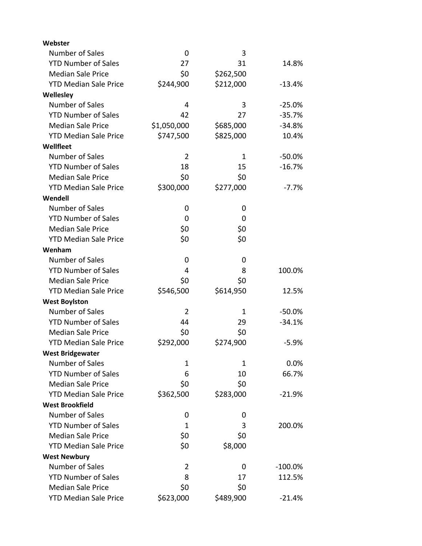| Webster                      |                |           |           |
|------------------------------|----------------|-----------|-----------|
| Number of Sales              | 0              | 3         |           |
| <b>YTD Number of Sales</b>   | 27             | 31        | 14.8%     |
| <b>Median Sale Price</b>     | \$0            | \$262,500 |           |
| <b>YTD Median Sale Price</b> | \$244,900      | \$212,000 | $-13.4%$  |
| Wellesley                    |                |           |           |
| Number of Sales              | 4              | 3         | $-25.0%$  |
| <b>YTD Number of Sales</b>   | 42             | 27        | $-35.7%$  |
| <b>Median Sale Price</b>     | \$1,050,000    | \$685,000 | $-34.8%$  |
| <b>YTD Median Sale Price</b> | \$747,500      | \$825,000 | 10.4%     |
| Wellfleet                    |                |           |           |
| Number of Sales              | $\overline{2}$ | 1         | $-50.0%$  |
| <b>YTD Number of Sales</b>   | 18             | 15        | $-16.7%$  |
| <b>Median Sale Price</b>     | \$0            | \$0       |           |
| <b>YTD Median Sale Price</b> | \$300,000      | \$277,000 | $-7.7\%$  |
| Wendell                      |                |           |           |
| Number of Sales              | 0              | 0         |           |
| <b>YTD Number of Sales</b>   | 0              | 0         |           |
| <b>Median Sale Price</b>     | \$0            | \$0       |           |
| <b>YTD Median Sale Price</b> | \$0            | \$0       |           |
| Wenham                       |                |           |           |
| Number of Sales              | 0              | 0         |           |
| <b>YTD Number of Sales</b>   | 4              | 8         | 100.0%    |
| <b>Median Sale Price</b>     | \$0            | \$0       |           |
| <b>YTD Median Sale Price</b> | \$546,500      | \$614,950 | 12.5%     |
| <b>West Boylston</b>         |                |           |           |
| Number of Sales              | $\overline{2}$ | 1         | $-50.0%$  |
| <b>YTD Number of Sales</b>   | 44             | 29        | $-34.1%$  |
| <b>Median Sale Price</b>     | \$0            | \$0       |           |
| <b>YTD Median Sale Price</b> | \$292,000      | \$274,900 | $-5.9%$   |
| <b>West Bridgewater</b>      |                |           |           |
| <b>Number of Sales</b>       | 1              | 1         | 0.0%      |
| <b>YTD Number of Sales</b>   | 6              | 10        | 66.7%     |
| <b>Median Sale Price</b>     | \$0            | \$0       |           |
| <b>YTD Median Sale Price</b> | \$362,500      | \$283,000 | $-21.9%$  |
| <b>West Brookfield</b>       |                |           |           |
| Number of Sales              | 0              | 0         |           |
| <b>YTD Number of Sales</b>   | 1              | 3         | 200.0%    |
| <b>Median Sale Price</b>     | \$0            | \$0       |           |
| <b>YTD Median Sale Price</b> | \$0            | \$8,000   |           |
| <b>West Newbury</b>          |                |           |           |
| Number of Sales              | $\overline{2}$ | 0         | $-100.0%$ |
| <b>YTD Number of Sales</b>   | 8              | 17        | 112.5%    |
| <b>Median Sale Price</b>     | \$0            | \$0       |           |
| <b>YTD Median Sale Price</b> | \$623,000      | \$489,900 | $-21.4%$  |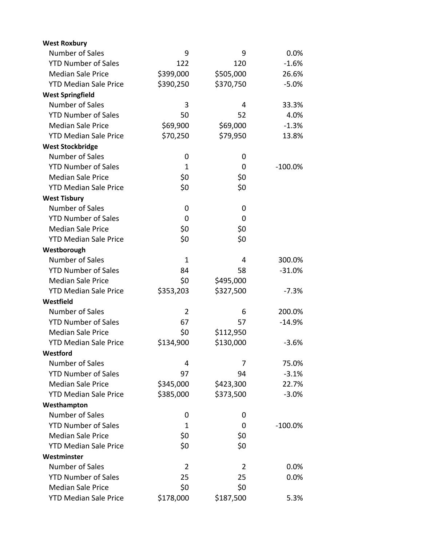| <b>West Roxbury</b>          |                |           |           |
|------------------------------|----------------|-----------|-----------|
| Number of Sales              | 9              | 9         | 0.0%      |
| <b>YTD Number of Sales</b>   | 122            | 120       | $-1.6%$   |
| <b>Median Sale Price</b>     | \$399,000      | \$505,000 | 26.6%     |
| <b>YTD Median Sale Price</b> | \$390,250      | \$370,750 | $-5.0%$   |
| <b>West Springfield</b>      |                |           |           |
| <b>Number of Sales</b>       | 3              | 4         | 33.3%     |
| <b>YTD Number of Sales</b>   | 50             | 52        | 4.0%      |
| <b>Median Sale Price</b>     | \$69,900       | \$69,000  | $-1.3%$   |
| <b>YTD Median Sale Price</b> | \$70,250       | \$79,950  | 13.8%     |
| <b>West Stockbridge</b>      |                |           |           |
| <b>Number of Sales</b>       | 0              | 0         |           |
| <b>YTD Number of Sales</b>   | $\mathbf{1}$   | 0         | $-100.0%$ |
| <b>Median Sale Price</b>     | \$0            | \$0       |           |
| <b>YTD Median Sale Price</b> | \$0            | \$0       |           |
| <b>West Tisbury</b>          |                |           |           |
| Number of Sales              | 0              | 0         |           |
| <b>YTD Number of Sales</b>   | 0              | 0         |           |
| <b>Median Sale Price</b>     | \$0            | \$0       |           |
| <b>YTD Median Sale Price</b> | \$0            | \$0       |           |
| Westborough                  |                |           |           |
| <b>Number of Sales</b>       | $\mathbf{1}$   | 4         | 300.0%    |
| <b>YTD Number of Sales</b>   | 84             | 58        | $-31.0%$  |
| <b>Median Sale Price</b>     | \$0            | \$495,000 |           |
| <b>YTD Median Sale Price</b> | \$353,203      | \$327,500 | $-7.3%$   |
| Westfield                    |                |           |           |
| Number of Sales              | $\overline{2}$ | 6         | 200.0%    |
| <b>YTD Number of Sales</b>   | 67             | 57        | $-14.9%$  |
| <b>Median Sale Price</b>     | \$0            | \$112,950 |           |
| <b>YTD Median Sale Price</b> | \$134,900      | \$130,000 | $-3.6%$   |
| Westford                     |                |           |           |
| <b>Number of Sales</b>       | 4              | 7         | 75.0%     |
| <b>YTD Number of Sales</b>   | 97             | 94        | $-3.1%$   |
| <b>Median Sale Price</b>     | \$345,000      | \$423,300 | 22.7%     |
| <b>YTD Median Sale Price</b> | \$385,000      | \$373,500 | $-3.0%$   |
| Westhampton                  |                |           |           |
| Number of Sales              | 0              | 0         |           |
| <b>YTD Number of Sales</b>   | 1              | 0         | $-100.0%$ |
| <b>Median Sale Price</b>     | \$0            | \$0       |           |
| <b>YTD Median Sale Price</b> | \$0            | \$0       |           |
| Westminster                  |                |           |           |
| Number of Sales              | 2              | 2         | 0.0%      |
| <b>YTD Number of Sales</b>   | 25             | 25        | 0.0%      |
| <b>Median Sale Price</b>     | \$0            | \$0       |           |
| <b>YTD Median Sale Price</b> | \$178,000      | \$187,500 | 5.3%      |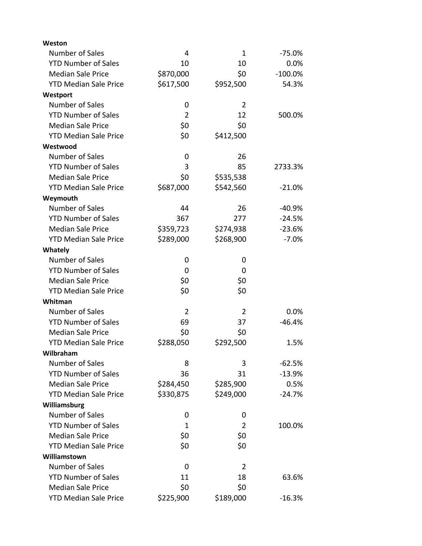| Weston                       |                |                |           |
|------------------------------|----------------|----------------|-----------|
| Number of Sales              | 4              | 1              | -75.0%    |
| <b>YTD Number of Sales</b>   | 10             | 10             | 0.0%      |
| <b>Median Sale Price</b>     | \$870,000      | \$0            | $-100.0%$ |
| <b>YTD Median Sale Price</b> | \$617,500      | \$952,500      | 54.3%     |
| Westport                     |                |                |           |
| Number of Sales              | 0              | $\overline{2}$ |           |
| <b>YTD Number of Sales</b>   | $\overline{2}$ | 12             | 500.0%    |
| <b>Median Sale Price</b>     | \$0            | \$0            |           |
| <b>YTD Median Sale Price</b> | \$0            | \$412,500      |           |
| Westwood                     |                |                |           |
| Number of Sales              | 0              | 26             |           |
| <b>YTD Number of Sales</b>   | 3              | 85             | 2733.3%   |
| <b>Median Sale Price</b>     | \$0            | \$535,538      |           |
| <b>YTD Median Sale Price</b> | \$687,000      | \$542,560      | $-21.0%$  |
| Weymouth                     |                |                |           |
| Number of Sales              | 44             | 26             | $-40.9%$  |
| <b>YTD Number of Sales</b>   | 367            | 277            | $-24.5%$  |
| <b>Median Sale Price</b>     | \$359,723      | \$274,938      | $-23.6%$  |
| <b>YTD Median Sale Price</b> | \$289,000      | \$268,900      | $-7.0%$   |
| <b>Whately</b>               |                |                |           |
| Number of Sales              | 0              | 0              |           |
| <b>YTD Number of Sales</b>   | 0              | 0              |           |
| <b>Median Sale Price</b>     | \$0            | \$0            |           |
| <b>YTD Median Sale Price</b> | \$0            | \$0            |           |
| Whitman                      |                |                |           |
| Number of Sales              | $\overline{2}$ | $\overline{2}$ | 0.0%      |
| <b>YTD Number of Sales</b>   | 69             | 37             | $-46.4%$  |
| <b>Median Sale Price</b>     | \$0            | \$0            |           |
| <b>YTD Median Sale Price</b> | \$288,050      | \$292,500      | 1.5%      |
| Wilbraham                    |                |                |           |
| Number of Sales              | 8              | 3              | $-62.5%$  |
| <b>YTD Number of Sales</b>   | 36             | 31             | $-13.9%$  |
| <b>Median Sale Price</b>     | \$284,450      | \$285,900      | 0.5%      |
| <b>YTD Median Sale Price</b> | \$330,875      | \$249,000      | $-24.7%$  |
| Williamsburg                 |                |                |           |
| Number of Sales              | 0              | 0              |           |
| <b>YTD Number of Sales</b>   | 1              | 2              | 100.0%    |
| <b>Median Sale Price</b>     | \$0            | \$0            |           |
| <b>YTD Median Sale Price</b> | \$0            | \$0            |           |
| Williamstown                 |                |                |           |
| Number of Sales              | 0              | $\overline{2}$ |           |
| <b>YTD Number of Sales</b>   | 11             | 18             | 63.6%     |
| <b>Median Sale Price</b>     | \$0            | \$0            |           |
| <b>YTD Median Sale Price</b> | \$225,900      | \$189,000      | $-16.3%$  |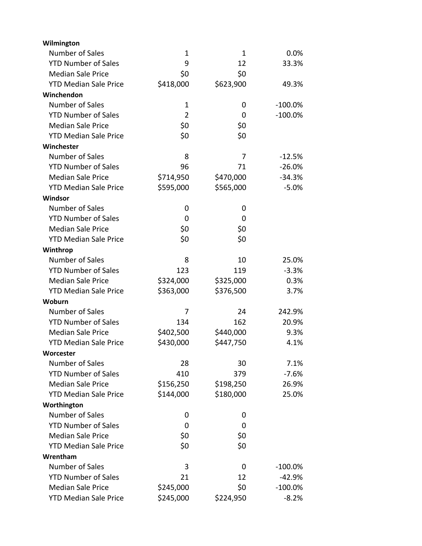| Wilmington                   |                |             |            |
|------------------------------|----------------|-------------|------------|
| Number of Sales              | $\mathbf{1}$   | $\mathbf 1$ | 0.0%       |
| <b>YTD Number of Sales</b>   | 9              | 12          | 33.3%      |
| <b>Median Sale Price</b>     | \$0            | \$0         |            |
| <b>YTD Median Sale Price</b> | \$418,000      | \$623,900   | 49.3%      |
| Winchendon                   |                |             |            |
| Number of Sales              | $\mathbf 1$    | 0           | $-100.0%$  |
| <b>YTD Number of Sales</b>   | $\overline{2}$ | 0           | $-100.0%$  |
| <b>Median Sale Price</b>     | \$0            | \$0         |            |
| <b>YTD Median Sale Price</b> | \$0            | \$0         |            |
| Winchester                   |                |             |            |
| Number of Sales              | 8              | 7           | $-12.5%$   |
| <b>YTD Number of Sales</b>   | 96             | 71          | $-26.0%$   |
| <b>Median Sale Price</b>     | \$714,950      | \$470,000   | $-34.3%$   |
| <b>YTD Median Sale Price</b> | \$595,000      | \$565,000   | $-5.0%$    |
| Windsor                      |                |             |            |
| Number of Sales              | 0              | 0           |            |
| <b>YTD Number of Sales</b>   | 0              | 0           |            |
| <b>Median Sale Price</b>     | \$0            | \$0         |            |
| <b>YTD Median Sale Price</b> | \$0            | \$0         |            |
| Winthrop                     |                |             |            |
| Number of Sales              | 8              | 10          | 25.0%      |
| <b>YTD Number of Sales</b>   | 123            | 119         | $-3.3%$    |
| <b>Median Sale Price</b>     | \$324,000      | \$325,000   | 0.3%       |
| <b>YTD Median Sale Price</b> | \$363,000      | \$376,500   | 3.7%       |
| Woburn                       |                |             |            |
| Number of Sales              | 7              | 24          | 242.9%     |
| <b>YTD Number of Sales</b>   | 134            | 162         | 20.9%      |
| <b>Median Sale Price</b>     | \$402,500      | \$440,000   | 9.3%       |
| <b>YTD Median Sale Price</b> | \$430,000      | \$447,750   | 4.1%       |
| Worcester                    |                |             |            |
| Number of Sales              | 28             | 30          | 7.1%       |
| <b>YTD Number of Sales</b>   | 410            | 379         | $-7.6%$    |
| <b>Median Sale Price</b>     | \$156,250      | \$198,250   | 26.9%      |
| <b>YTD Median Sale Price</b> | \$144,000      | \$180,000   | 25.0%      |
| Worthington                  |                |             |            |
| Number of Sales              | 0              | 0           |            |
| <b>YTD Number of Sales</b>   | 0              | 0           |            |
| <b>Median Sale Price</b>     | \$0            | \$0         |            |
| <b>YTD Median Sale Price</b> | \$0            | \$0         |            |
| Wrentham                     |                |             |            |
| Number of Sales              | 3              | 0           | $-100.0%$  |
| <b>YTD Number of Sales</b>   | 21             | 12          | $-42.9%$   |
| <b>Median Sale Price</b>     | \$245,000      | \$0         | $-100.0\%$ |
| <b>YTD Median Sale Price</b> | \$245,000      | \$224,950   | $-8.2%$    |